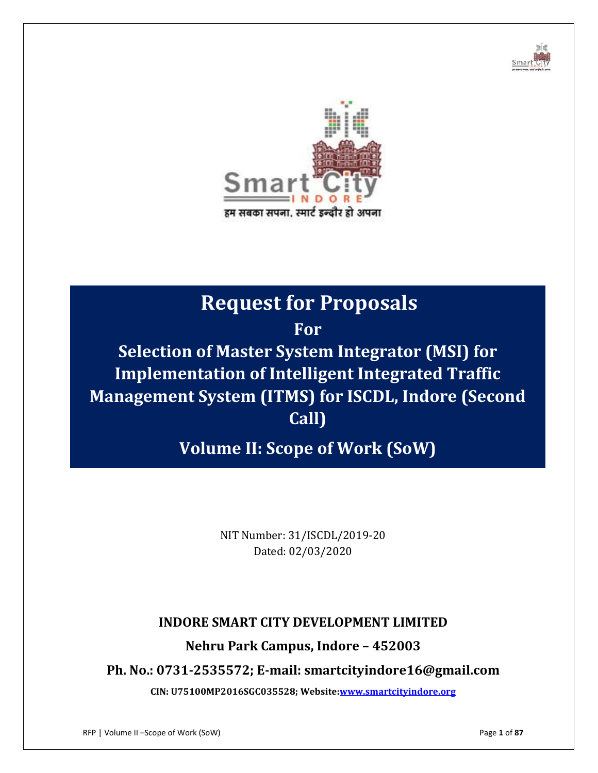



# **Request for Proposals**

**For**

**Selection of Master System Integrator (MSI) for Implementation of Intelligent Integrated Traffic Management System (ITMS) for ISCDL, Indore (Second Call)**

**Volume II: Scope of Work (SoW)**

NIT Number: 31/ISCDL/2019-20 Dated: 02/03/2020

# **INDORE SMART CITY DEVELOPMENT LIMITED**

# **Nehru Park Campus, Indore – 452003**

**Ph. No.: 0731-2535572; E-mail: smartcityindore16@gmail.com**

**CIN: U75100MP2016SGC035528; Website[:www.smartcityindore.org](http://www.smartcityindore.org/)**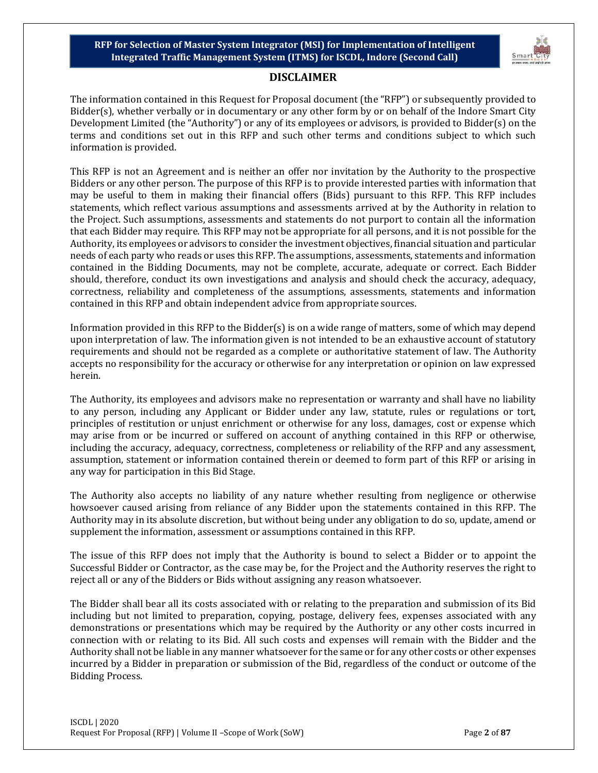

#### **DISCLAIMER**

The information contained in this Request for Proposal document (the "RFP") or subsequently provided to Bidder(s), whether verbally or in documentary or any other form by or on behalf of the Indore Smart City Development Limited (the "Authority") or any of its employees or advisors, is provided to Bidder(s) on the terms and conditions set out in this RFP and such other terms and conditions subject to which such information is provided.

This RFP is not an Agreement and is neither an offer nor invitation by the Authority to the prospective Bidders or any other person. The purpose of this RFP is to provide interested parties with information that may be useful to them in making their financial offers (Bids) pursuant to this RFP. This RFP includes statements, which reflect various assumptions and assessments arrived at by the Authority in relation to the Project. Such assumptions, assessments and statements do not purport to contain all the information that each Bidder may require. This RFP may not be appropriate for all persons, and it is not possible for the Authority, its employees or advisors to consider the investment objectives, financial situation and particular needs of each party who reads or uses this RFP. The assumptions, assessments, statements and information contained in the Bidding Documents, may not be complete, accurate, adequate or correct. Each Bidder should, therefore, conduct its own investigations and analysis and should check the accuracy, adequacy, correctness, reliability and completeness of the assumptions, assessments, statements and information contained in this RFP and obtain independent advice from appropriate sources.

Information provided in this RFP to the Bidder(s) is on a wide range of matters, some of which may depend upon interpretation of law. The information given is not intended to be an exhaustive account of statutory requirements and should not be regarded as a complete or authoritative statement of law. The Authority accepts no responsibility for the accuracy or otherwise for any interpretation or opinion on law expressed herein.

The Authority, its employees and advisors make no representation or warranty and shall have no liability to any person, including any Applicant or Bidder under any law, statute, rules or regulations or tort, principles of restitution or unjust enrichment or otherwise for any loss, damages, cost or expense which may arise from or be incurred or suffered on account of anything contained in this RFP or otherwise, including the accuracy, adequacy, correctness, completeness or reliability of the RFP and any assessment, assumption, statement or information contained therein or deemed to form part of this RFP or arising in any way for participation in this Bid Stage.

The Authority also accepts no liability of any nature whether resulting from negligence or otherwise howsoever caused arising from reliance of any Bidder upon the statements contained in this RFP. The Authority may in its absolute discretion, but without being under any obligation to do so, update, amend or supplement the information, assessment or assumptions contained in this RFP.

The issue of this RFP does not imply that the Authority is bound to select a Bidder or to appoint the Successful Bidder or Contractor, as the case may be, for the Project and the Authority reserves the right to reject all or any of the Bidders or Bids without assigning any reason whatsoever.

The Bidder shall bear all its costs associated with or relating to the preparation and submission of its Bid including but not limited to preparation, copying, postage, delivery fees, expenses associated with any demonstrations or presentations which may be required by the Authority or any other costs incurred in connection with or relating to its Bid. All such costs and expenses will remain with the Bidder and the Authority shall not be liable in any manner whatsoever for the same or for any other costs or other expenses incurred by a Bidder in preparation or submission of the Bid, regardless of the conduct or outcome of the Bidding Process.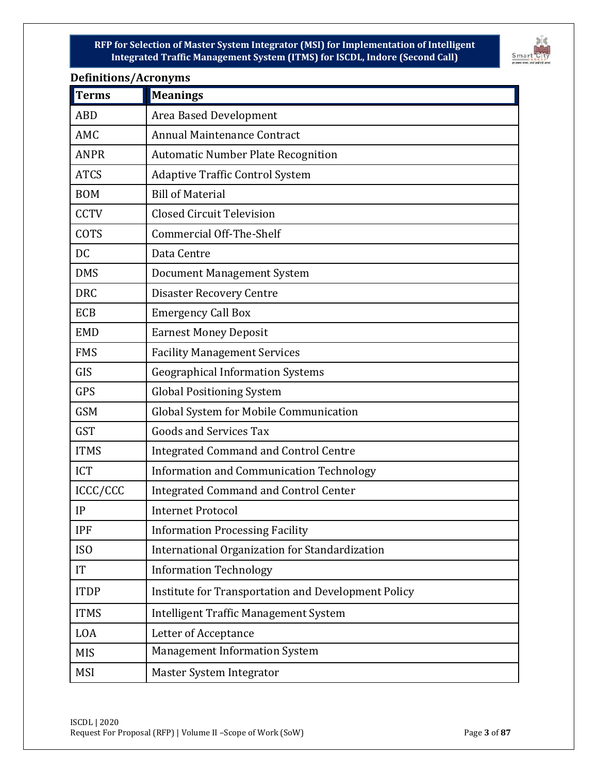

| Demmuons/nei on yms<br><b>Terms</b> | <b>Meanings</b>                                     |
|-------------------------------------|-----------------------------------------------------|
| <b>ABD</b>                          | Area Based Development                              |
| AMC                                 | Annual Maintenance Contract                         |
| <b>ANPR</b>                         | <b>Automatic Number Plate Recognition</b>           |
| <b>ATCS</b>                         | <b>Adaptive Traffic Control System</b>              |
| <b>BOM</b>                          | <b>Bill of Material</b>                             |
| <b>CCTV</b>                         | <b>Closed Circuit Television</b>                    |
| <b>COTS</b>                         | Commercial Off-The-Shelf                            |
| <b>DC</b>                           | Data Centre                                         |
| <b>DMS</b>                          | <b>Document Management System</b>                   |
| <b>DRC</b>                          | <b>Disaster Recovery Centre</b>                     |
| <b>ECB</b>                          | <b>Emergency Call Box</b>                           |
| <b>EMD</b>                          | <b>Earnest Money Deposit</b>                        |
| <b>FMS</b>                          | <b>Facility Management Services</b>                 |
| GIS                                 | <b>Geographical Information Systems</b>             |
| <b>GPS</b>                          | <b>Global Positioning System</b>                    |
| <b>GSM</b>                          | Global System for Mobile Communication              |
| <b>GST</b>                          | <b>Goods and Services Tax</b>                       |
| <b>ITMS</b>                         | <b>Integrated Command and Control Centre</b>        |
| <b>ICT</b>                          | Information and Communication Technology            |
| ICCC/CCC                            | Integrated Command and Control Center               |
| IP                                  | <b>Internet Protocol</b>                            |
| <b>IPF</b>                          | <b>Information Processing Facility</b>              |
| ISO                                 | International Organization for Standardization      |
| IT                                  | <b>Information Technology</b>                       |
| <b>ITDP</b>                         | Institute for Transportation and Development Policy |
| <b>ITMS</b>                         | Intelligent Traffic Management System               |
| LOA                                 | Letter of Acceptance                                |
| <b>MIS</b>                          | <b>Management Information System</b>                |
| <b>MSI</b>                          | Master System Integrator                            |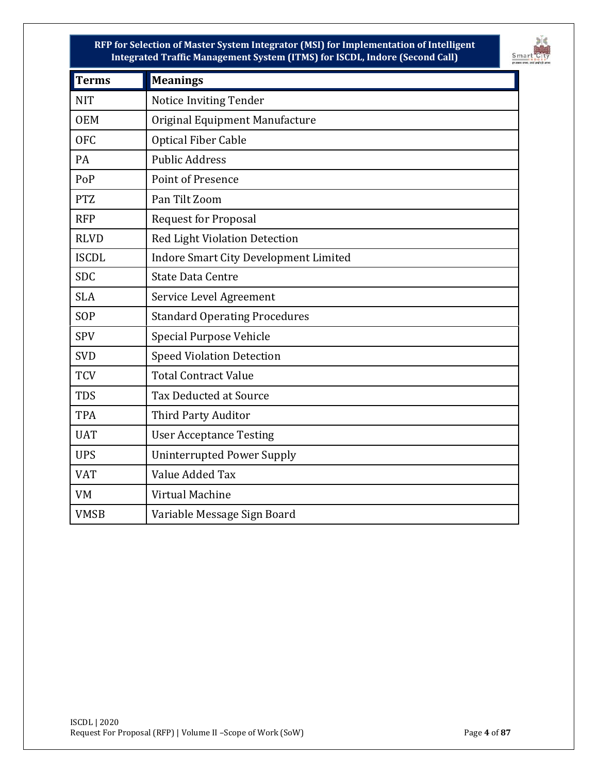

| Terms        | <b>Meanings</b>                              |  |  |
|--------------|----------------------------------------------|--|--|
| <b>NIT</b>   | <b>Notice Inviting Tender</b>                |  |  |
| <b>OEM</b>   | Original Equipment Manufacture               |  |  |
| <b>OFC</b>   | <b>Optical Fiber Cable</b>                   |  |  |
| PA           | <b>Public Address</b>                        |  |  |
| PoP          | Point of Presence                            |  |  |
| <b>PTZ</b>   | Pan Tilt Zoom                                |  |  |
| <b>RFP</b>   | <b>Request for Proposal</b>                  |  |  |
| <b>RLVD</b>  | <b>Red Light Violation Detection</b>         |  |  |
| <b>ISCDL</b> | <b>Indore Smart City Development Limited</b> |  |  |
| <b>SDC</b>   | <b>State Data Centre</b>                     |  |  |
| <b>SLA</b>   | Service Level Agreement                      |  |  |
| SOP          | <b>Standard Operating Procedures</b>         |  |  |
| <b>SPV</b>   | <b>Special Purpose Vehicle</b>               |  |  |
| <b>SVD</b>   | <b>Speed Violation Detection</b>             |  |  |
| <b>TCV</b>   | <b>Total Contract Value</b>                  |  |  |
| <b>TDS</b>   | <b>Tax Deducted at Source</b>                |  |  |
| <b>TPA</b>   | <b>Third Party Auditor</b>                   |  |  |
| <b>UAT</b>   | <b>User Acceptance Testing</b>               |  |  |
| <b>UPS</b>   | <b>Uninterrupted Power Supply</b>            |  |  |
| <b>VAT</b>   | Value Added Tax                              |  |  |
| VM           | Virtual Machine                              |  |  |
| <b>VMSB</b>  | Variable Message Sign Board                  |  |  |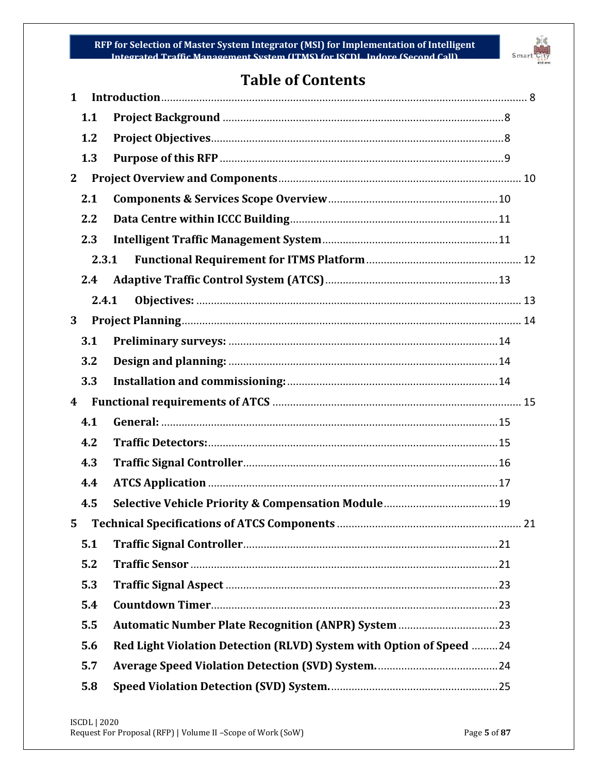

# **Table of Contents**

| $\mathbf{1}$ |                                                                     |  |
|--------------|---------------------------------------------------------------------|--|
| 1.1          |                                                                     |  |
| 1.2          |                                                                     |  |
| 1.3          |                                                                     |  |
| $\mathbf{2}$ |                                                                     |  |
| 2.1          |                                                                     |  |
| 2.2          |                                                                     |  |
| 2.3          |                                                                     |  |
| 2.3.1        |                                                                     |  |
| 2.4          |                                                                     |  |
| 2.4.1        |                                                                     |  |
| 3            |                                                                     |  |
| 3.1          |                                                                     |  |
| 3.2          |                                                                     |  |
| 3.3          |                                                                     |  |
| 4            |                                                                     |  |
|              |                                                                     |  |
| 4.1          |                                                                     |  |
| 4.2          |                                                                     |  |
| 4.3          |                                                                     |  |
| 4.4          |                                                                     |  |
| 4.5          |                                                                     |  |
| 5.           | 21                                                                  |  |
| 5.1          |                                                                     |  |
| 5.2          |                                                                     |  |
| 5.3          |                                                                     |  |
| 5.4          |                                                                     |  |
| 5.5          |                                                                     |  |
| 5.6          | Red Light Violation Detection (RLVD) System with Option of Speed 24 |  |
| 5.7          |                                                                     |  |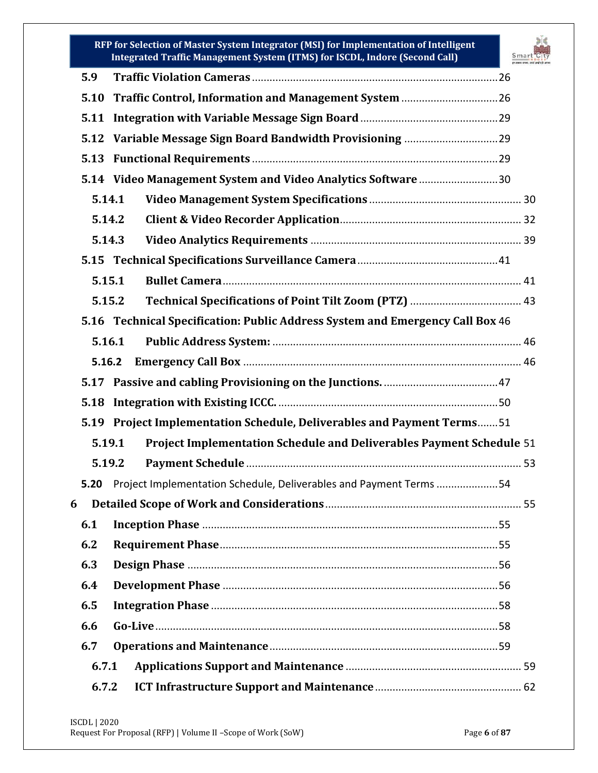

| 5.9                                                                              |  |
|----------------------------------------------------------------------------------|--|
| 5.10                                                                             |  |
| 5.11                                                                             |  |
| 5.12                                                                             |  |
| 5.13                                                                             |  |
|                                                                                  |  |
| 5.14 Video Management System and Video Analytics Software 30                     |  |
| 5.14.1                                                                           |  |
| 5.14.2                                                                           |  |
| 5.14.3                                                                           |  |
| 5.15                                                                             |  |
| 5.15.1                                                                           |  |
| 5.15.2                                                                           |  |
| 5.16 Technical Specification: Public Address System and Emergency Call Box 46    |  |
| 5.16.1                                                                           |  |
| 5.16.2                                                                           |  |
| 5.17                                                                             |  |
| 5.18                                                                             |  |
| <b>Project Implementation Schedule, Deliverables and Payment Terms51</b><br>5.19 |  |
| Project Implementation Schedule and Deliverables Payment Schedule 51<br>5.19.1   |  |
| 5.19.2                                                                           |  |
| Project Implementation Schedule, Deliverables and Payment Terms 54<br>5.20       |  |
| 6                                                                                |  |
| 6.1                                                                              |  |
| 6.2                                                                              |  |
|                                                                                  |  |
| 6.3                                                                              |  |
| 6.4                                                                              |  |
| 6.5                                                                              |  |
| 6.6                                                                              |  |
| 6.7                                                                              |  |
| 6.7.1                                                                            |  |
| 6.7.2                                                                            |  |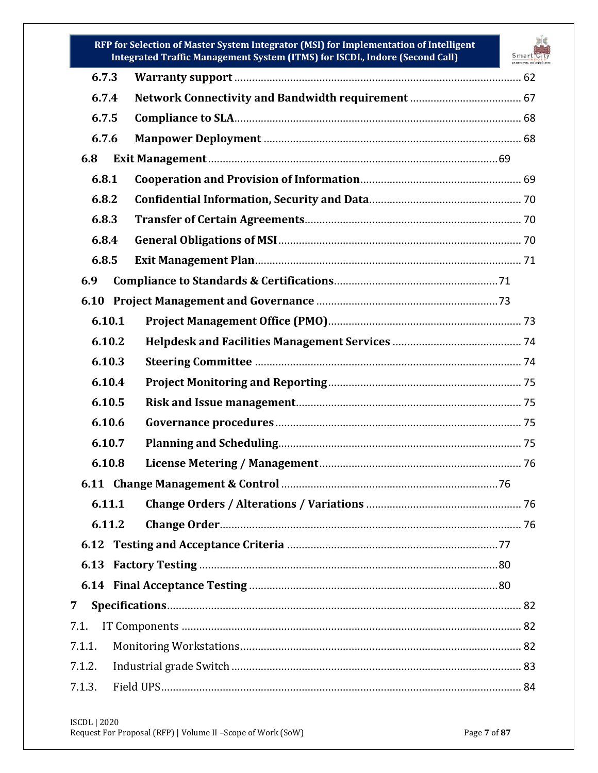

|        | integrated Traint Management System (Trims) for 15GDL, muore (Second Can) |  |
|--------|---------------------------------------------------------------------------|--|
| 6.7.3  |                                                                           |  |
| 6.7.4  |                                                                           |  |
| 6.7.5  |                                                                           |  |
| 6.7.6  |                                                                           |  |
| 6.8    |                                                                           |  |
| 6.8.1  |                                                                           |  |
| 6.8.2  |                                                                           |  |
| 6.8.3  |                                                                           |  |
| 6.8.4  |                                                                           |  |
| 6.8.5  |                                                                           |  |
| 6.9    |                                                                           |  |
|        |                                                                           |  |
| 6.10.1 |                                                                           |  |
| 6.10.2 |                                                                           |  |
| 6.10.3 |                                                                           |  |
| 6.10.4 |                                                                           |  |
| 6.10.5 |                                                                           |  |
| 6.10.6 |                                                                           |  |
| 6.10.7 |                                                                           |  |
| 6.10.8 |                                                                           |  |
| 6.11   |                                                                           |  |
| 6.11.1 |                                                                           |  |
| 6.11.2 |                                                                           |  |
|        |                                                                           |  |
|        |                                                                           |  |
|        |                                                                           |  |
| 7      |                                                                           |  |
| 7.1.   |                                                                           |  |
| 7.1.1. |                                                                           |  |
| 7.1.2. |                                                                           |  |
| 7.1.3. |                                                                           |  |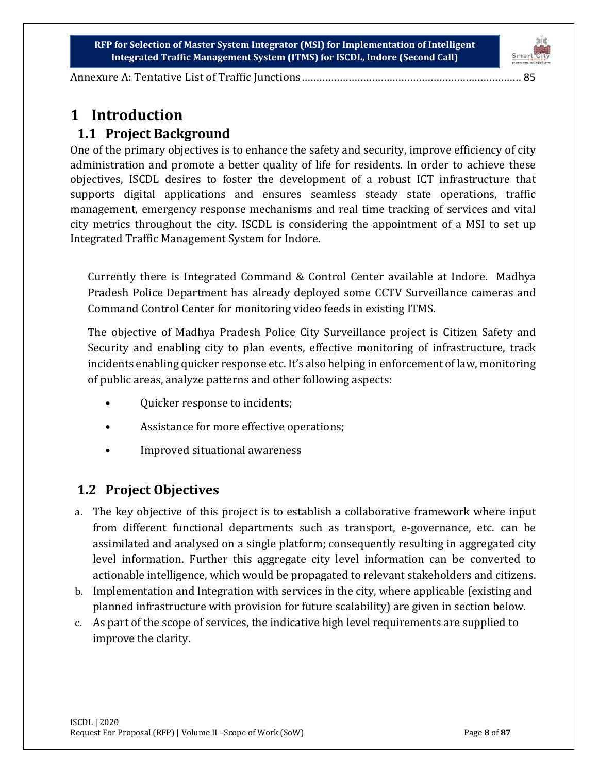

[Annexure A: Tentative List of Traffic Junctions](#page-84-0)........................................................................... 85

# <span id="page-7-0"></span>**1 Introduction**

# <span id="page-7-1"></span>**1.1 Project Background**

One of the primary objectives is to enhance the safety and security, improve efficiency of city administration and promote a better quality of life for residents. In order to achieve these objectives, ISCDL desires to foster the development of a robust ICT infrastructure that supports digital applications and ensures seamless steady state operations, traffic management, emergency response mechanisms and real time tracking of services and vital city metrics throughout the city. ISCDL is considering the appointment of a MSI to set up Integrated Traffic Management System for Indore.

Currently there is Integrated Command & Control Center available at Indore. Madhya Pradesh Police Department has already deployed some CCTV Surveillance cameras and Command Control Center for monitoring video feeds in existing ITMS.

The objective of Madhya Pradesh Police City Surveillance project is Citizen Safety and Security and enabling city to plan events, effective monitoring of infrastructure, track incidents enabling quicker response etc. It's also helping in enforcement of law, monitoring of public areas, analyze patterns and other following aspects:

- Ouicker response to incidents;
- Assistance for more effective operations;
- Improved situational awareness

# <span id="page-7-2"></span>**1.2 Project Objectives**

- a. The key objective of this project is to establish a collaborative framework where input from different functional departments such as transport, e-governance, etc. can be assimilated and analysed on a single platform; consequently resulting in aggregated city level information. Further this aggregate city level information can be converted to actionable intelligence, which would be propagated to relevant stakeholders and citizens.
- b. Implementation and Integration with services in the city, where applicable (existing and planned infrastructure with provision for future scalability) are given in section below.
- c. As part of the scope of services, the indicative high level requirements are supplied to improve the clarity.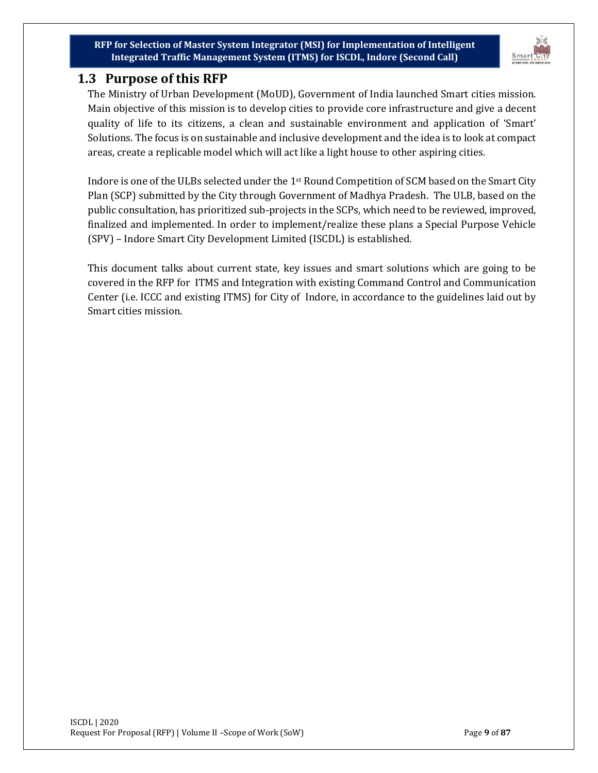

# <span id="page-8-0"></span>**1.3 Purpose of this RFP**

The Ministry of Urban Development (MoUD), Government of India launched Smart cities mission. Main objective of this mission is to develop cities to provide core infrastructure and give a decent quality of life to its citizens, a clean and sustainable environment and application of 'Smart' Solutions. The focus is on sustainable and inclusive development and the idea is to look at compact areas, create a replicable model which will act like a light house to other aspiring cities.

Indore is one of the ULBs selected under the 1st Round Competition of SCM based on the Smart City Plan (SCP) submitted by the City through Government of Madhya Pradesh. The ULB, based on the public consultation, has prioritized sub-projects in the SCPs, which need to be reviewed, improved, finalized and implemented. In order to implement/realize these plans a Special Purpose Vehicle (SPV) – Indore Smart City Development Limited (ISCDL) is established.

This document talks about current state, key issues and smart solutions which are going to be covered in the RFP for ITMS and Integration with existing Command Control and Communication Center (i.e. ICCC and existing ITMS) for City of Indore, in accordance to the guidelines laid out by Smart cities mission.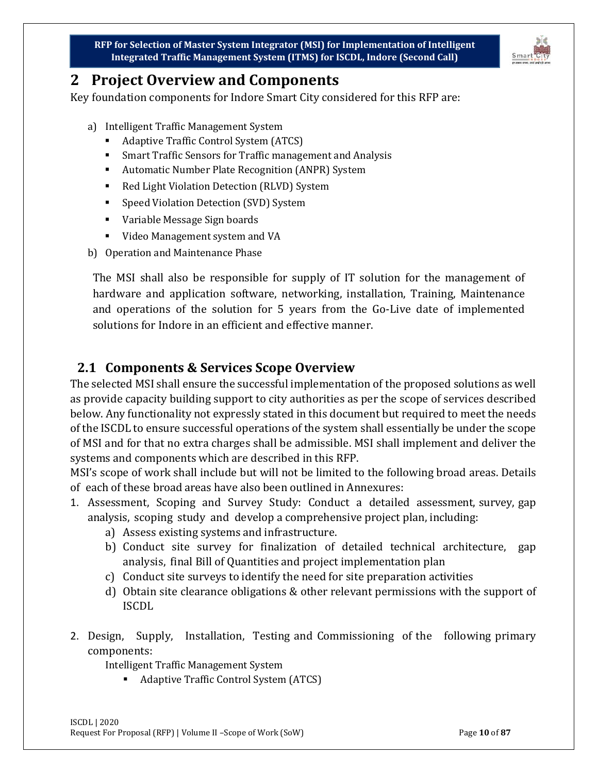

# <span id="page-9-0"></span>**2 Project Overview and Components**

Key foundation components for Indore Smart City considered for this RFP are:

- a) Intelligent Traffic Management System
	- Adaptive Traffic Control System (ATCS)
	- Smart Traffic Sensors for Traffic management and Analysis
	- Automatic Number Plate Recognition (ANPR) System
	- Red Light Violation Detection (RLVD) System
	- Speed Violation Detection (SVD) System
	- Variable Message Sign boards
	- Video Management system and VA
- b) Operation and Maintenance Phase

The MSI shall also be responsible for supply of IT solution for the management of hardware and application software, networking, installation, Training, Maintenance and operations of the solution for 5 years from the Go-Live date of implemented solutions for Indore in an efficient and effective manner.

# <span id="page-9-1"></span>**2.1 Components & Services Scope Overview**

The selected MSI shall ensure the successful implementation of the proposed solutions as well as provide capacity building support to city authorities as per the scope of services described below. Any functionality not expressly stated in this document but required to meet the needs of the ISCDL to ensure successful operations of the system shall essentially be under the scope of MSI and for that no extra charges shall be admissible. MSI shall implement and deliver the systems and components which are described in this RFP.

MSI's scope of work shall include but will not be limited to the following broad areas. Details of each of these broad areas have also been outlined in Annexures:

- 1. Assessment, Scoping and Survey Study: Conduct a detailed assessment, survey, gap analysis, scoping study and develop a comprehensive project plan, including:
	- a) Assess existing systems and infrastructure.
	- b) Conduct site survey for finalization of detailed technical architecture, gap analysis, final Bill of Quantities and project implementation plan
	- c) Conduct site surveys to identify the need for site preparation activities
	- d) Obtain site clearance obligations & other relevant permissions with the support of ISCDL
- 2. Design, Supply, Installation, Testing and Commissioning of the following primary components:

Intelligent Traffic Management System

■ Adaptive Traffic Control System (ATCS)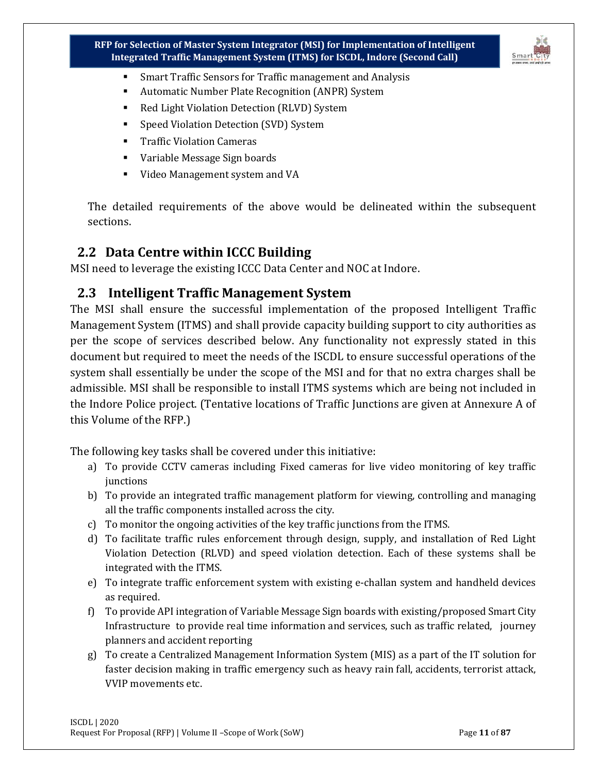

- Smart Traffic Sensors for Traffic management and Analysis
- Automatic Number Plate Recognition (ANPR) System
- Red Light Violation Detection (RLVD) System
- Speed Violation Detection (SVD) System
- **Traffic Violation Cameras**
- Variable Message Sign boards
- Video Management system and VA

The detailed requirements of the above would be delineated within the subsequent sections.

## <span id="page-10-0"></span>**2.2 Data Centre within ICCC Building**

MSI need to leverage the existing ICCC Data Center and NOC at Indore.

## <span id="page-10-1"></span>**2.3 Intelligent Traffic Management System**

The MSI shall ensure the successful implementation of the proposed Intelligent Traffic Management System (ITMS) and shall provide capacity building support to city authorities as per the scope of services described below. Any functionality not expressly stated in this document but required to meet the needs of the ISCDL to ensure successful operations of the system shall essentially be under the scope of the MSI and for that no extra charges shall be admissible. MSI shall be responsible to install ITMS systems which are being not included in the Indore Police project. (Tentative locations of Traffic Junctions are given at Annexure A of this Volume of the RFP.)

The following key tasks shall be covered under this initiative:

- a) To provide CCTV cameras including Fixed cameras for live video monitoring of key traffic junctions
- b) To provide an integrated traffic management platform for viewing, controlling and managing all the traffic components installed across the city.
- c) To monitor the ongoing activities of the key traffic junctions from the ITMS.
- d) To facilitate traffic rules enforcement through design, supply, and installation of Red Light Violation Detection (RLVD) and speed violation detection. Each of these systems shall be integrated with the ITMS.
- e) To integrate traffic enforcement system with existing e-challan system and handheld devices as required.
- f) To provide API integration of Variable Message Sign boards with existing/proposed Smart City Infrastructure to provide real time information and services, such as traffic related, journey planners and accident reporting
- g) To create a Centralized Management Information System (MIS) as a part of the IT solution for faster decision making in traffic emergency such as heavy rain fall, accidents, terrorist attack, VVIP movements etc.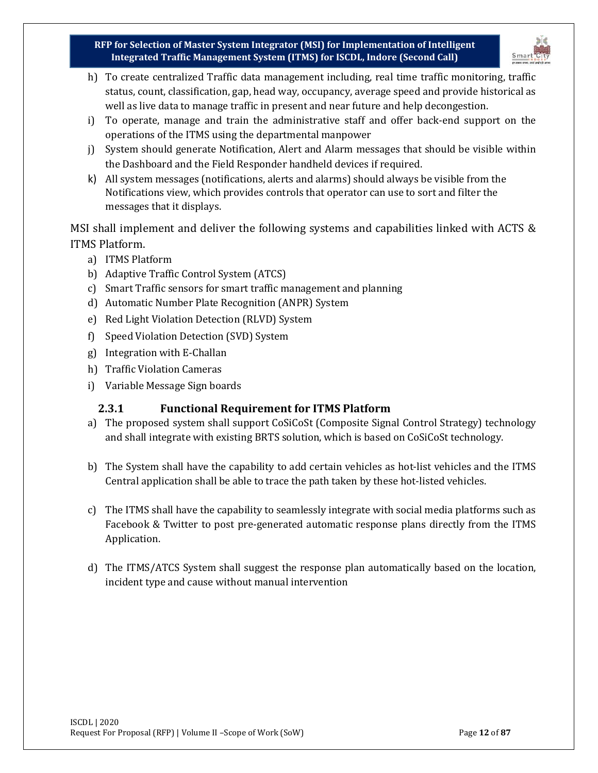

- h) To create centralized Traffic data management including, real time traffic monitoring, traffic status, count, classification, gap, head way, occupancy, average speed and provide historical as well as live data to manage traffic in present and near future and help decongestion.
- i) To operate, manage and train the administrative staff and offer back-end support on the operations of the ITMS using the departmental manpower
- j) System should generate Notification, Alert and Alarm messages that should be visible within the Dashboard and the Field Responder handheld devices if required.
- k) All system messages (notifications, alerts and alarms) should always be visible from the Notifications view, which provides controls that operator can use to sort and filter the messages that it displays.

MSI shall implement and deliver the following systems and capabilities linked with ACTS & ITMS Platform.

- a) ITMS Platform
- b) Adaptive Traffic Control System (ATCS)
- c) Smart Traffic sensors for smart traffic management and planning
- d) Automatic Number Plate Recognition (ANPR) System
- e) Red Light Violation Detection (RLVD) System
- f) Speed Violation Detection (SVD) System
- g) Integration with E-Challan
- h) Traffic Violation Cameras
- <span id="page-11-0"></span>i) Variable Message Sign boards

## **2.3.1 Functional Requirement for ITMS Platform**

- a) The proposed system shall support CoSiCoSt (Composite Signal Control Strategy) technology and shall integrate with existing BRTS solution, which is based on CoSiCoSt technology.
- b) The System shall have the capability to add certain vehicles as hot-list vehicles and the ITMS Central application shall be able to trace the path taken by these hot-listed vehicles.
- c) The ITMS shall have the capability to seamlessly integrate with social media platforms such as Facebook & Twitter to post pre-generated automatic response plans directly from the ITMS Application.
- d) The ITMS/ATCS System shall suggest the response plan automatically based on the location, incident type and cause without manual intervention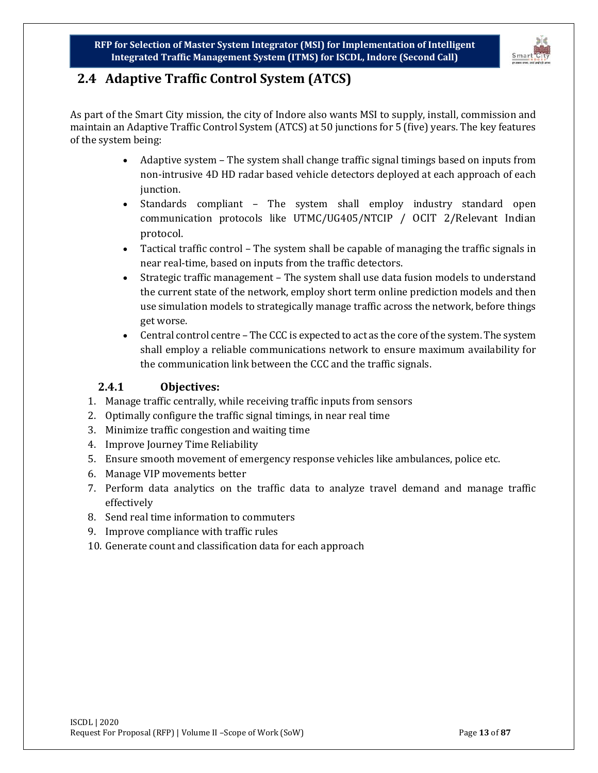

# <span id="page-12-0"></span>**2.4 Adaptive Traffic Control System (ATCS)**

As part of the Smart City mission, the city of Indore also wants MSI to supply, install, commission and maintain an Adaptive Traffic Control System (ATCS) at 50 junctions for 5 (five) years. The key features of the system being:

- Adaptive system The system shall change traffic signal timings based on inputs from non-intrusive 4D HD radar based vehicle detectors deployed at each approach of each junction.
- Standards compliant The system shall employ industry standard open communication protocols like UTMC/UG405/NTCIP / OCIT 2/Relevant Indian protocol.
- Tactical traffic control The system shall be capable of managing the traffic signals in near real-time, based on inputs from the traffic detectors.
- Strategic traffic management The system shall use data fusion models to understand the current state of the network, employ short term online prediction models and then use simulation models to strategically manage traffic across the network, before things get worse.
- Central control centre The CCC is expected to act as the core of the system. The system shall employ a reliable communications network to ensure maximum availability for the communication link between the CCC and the traffic signals.

## **2.4.1 Objectives:**

- <span id="page-12-1"></span>1. Manage traffic centrally, while receiving traffic inputs from sensors
- 2. Optimally configure the traffic signal timings, in near real time
- 3. Minimize traffic congestion and waiting time
- 4. Improve Journey Time Reliability
- 5. Ensure smooth movement of emergency response vehicles like ambulances, police etc.
- 6. Manage VIP movements better
- 7. Perform data analytics on the traffic data to analyze travel demand and manage traffic effectively
- 8. Send real time information to commuters
- 9. Improve compliance with traffic rules
- 10. Generate count and classification data for each approach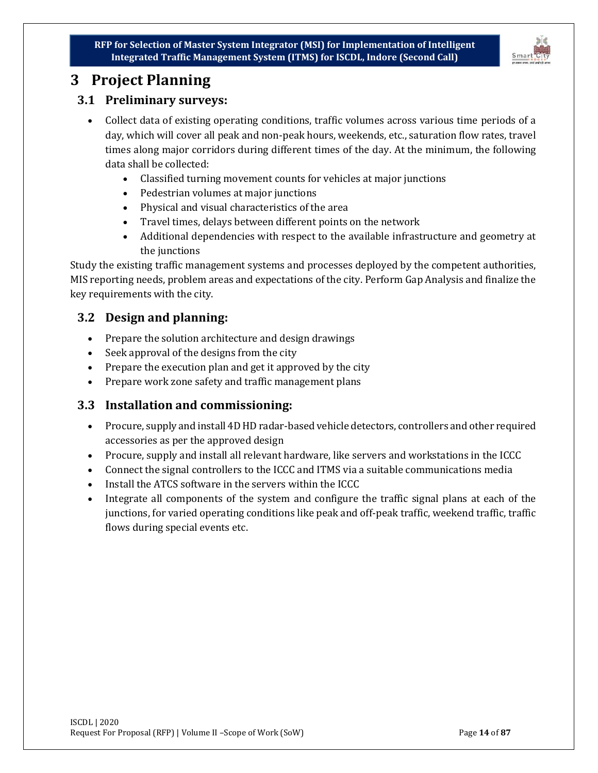

# <span id="page-13-0"></span>**3 Project Planning**

## <span id="page-13-1"></span>**3.1 Preliminary surveys:**

- Collect data of existing operating conditions, traffic volumes across various time periods of a day, which will cover all peak and non-peak hours, weekends, etc., saturation flow rates, travel times along major corridors during different times of the day. At the minimum, the following data shall be collected:
	- Classified turning movement counts for vehicles at major junctions
	- Pedestrian volumes at major junctions
	- Physical and visual characteristics of the area
	- Travel times, delays between different points on the network
	- Additional dependencies with respect to the available infrastructure and geometry at the junctions

Study the existing traffic management systems and processes deployed by the competent authorities, MIS reporting needs, problem areas and expectations of the city. Perform Gap Analysis and finalize the key requirements with the city.

## <span id="page-13-2"></span>**3.2 Design and planning:**

- Prepare the solution architecture and design drawings
- Seek approval of the designs from the city
- Prepare the execution plan and get it approved by the city
- Prepare work zone safety and traffic management plans

#### <span id="page-13-3"></span>**3.3 Installation and commissioning:**

- Procure, supply and install 4D HD radar-based vehicle detectors, controllers and other required accessories as per the approved design
- Procure, supply and install all relevant hardware, like servers and workstations in the ICCC
- Connect the signal controllers to the ICCC and ITMS via a suitable communications media
- Install the ATCS software in the servers within the ICCC
- Integrate all components of the system and configure the traffic signal plans at each of the junctions, for varied operating conditions like peak and off-peak traffic, weekend traffic, traffic flows during special events etc.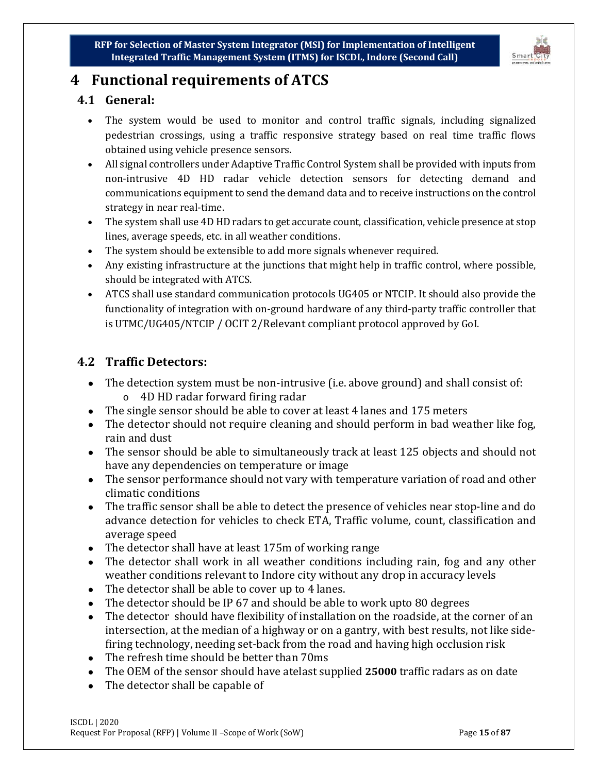

# <span id="page-14-0"></span>**4 Functional requirements of ATCS**

# <span id="page-14-1"></span>**4.1 General:**

- The system would be used to monitor and control traffic signals, including signalized pedestrian crossings, using a traffic responsive strategy based on real time traffic flows obtained using vehicle presence sensors.
- All signal controllers under Adaptive Traffic Control System shall be provided with inputs from non-intrusive 4D HD radar vehicle detection sensors for detecting demand and communications equipment to send the demand data and to receive instructions on the control strategy in near real-time.
- The system shall use 4D HD radars to get accurate count, classification, vehicle presence at stop lines, average speeds, etc. in all weather conditions.
- The system should be extensible to add more signals whenever required.
- Any existing infrastructure at the junctions that might help in traffic control, where possible, should be integrated with ATCS.
- ATCS shall use standard communication protocols UG405 or NTCIP. It should also provide the functionality of integration with on-ground hardware of any third-party traffic controller that is UTMC/UG405/NTCIP / OCIT 2/Relevant compliant protocol approved by GoI.

# <span id="page-14-2"></span>**4.2 Traffic Detectors:**

- The detection system must be non-intrusive (i.e. above ground) and shall consist of: o 4D HD radar forward firing radar
- The single sensor should be able to cover at least 4 lanes and 175 meters
- The detector should not require cleaning and should perform in bad weather like fog, rain and dust
- The sensor should be able to simultaneously track at least 125 objects and should not have any dependencies on temperature or image
- The sensor performance should not vary with temperature variation of road and other climatic conditions
- The traffic sensor shall be able to detect the presence of vehicles near stop-line and do advance detection for vehicles to check ETA, Traffic volume, count, classification and average speed
- The detector shall have at least 175m of working range
- The detector shall work in all weather conditions including rain, fog and any other weather conditions relevant to Indore city without any drop in accuracy levels
- The detector shall be able to cover up to 4 lanes.
- The detector should be IP 67 and should be able to work upto 80 degrees
- The detector should have flexibility of installation on the roadside, at the corner of an intersection, at the median of a highway or on a gantry, with best results, not like sidefiring technology, needing set-back from the road and having high occlusion risk
- The refresh time should be better than 70ms
- The OEM of the sensor should have atelast supplied **25000** traffic radars as on date
- The detector shall be capable of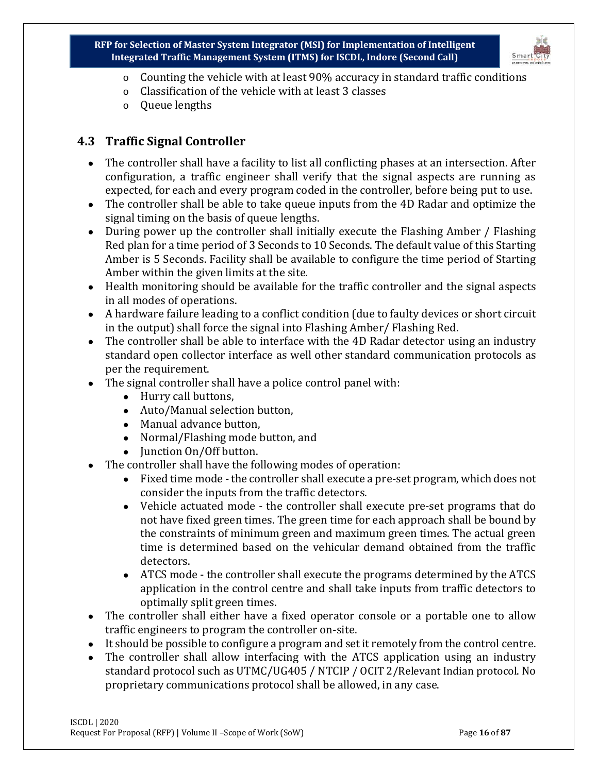

- $\circ$  Counting the vehicle with at least 90% accuracy in standard traffic conditions
- o Classification of the vehicle with at least 3 classes
- o Queue lengths

# <span id="page-15-0"></span>**4.3 Traffic Signal Controller**

- The controller shall have a facility to list all conflicting phases at an intersection. After configuration, a traffic engineer shall verify that the signal aspects are running as expected, for each and every program coded in the controller, before being put to use.
- The controller shall be able to take queue inputs from the 4D Radar and optimize the signal timing on the basis of queue lengths.
- During power up the controller shall initially execute the Flashing Amber / Flashing Red plan for a time period of 3 Seconds to 10 Seconds. The default value of this Starting Amber is 5 Seconds. Facility shall be available to configure the time period of Starting Amber within the given limits at the site.
- Health monitoring should be available for the traffic controller and the signal aspects in all modes of operations.
- A hardware failure leading to a conflict condition (due to faulty devices or short circuit in the output) shall force the signal into Flashing Amber/ Flashing Red.
- The controller shall be able to interface with the 4D Radar detector using an industry standard open collector interface as well other standard communication protocols as per the requirement.
- The signal controller shall have a police control panel with:
	- Hurry call buttons,
	- Auto/Manual selection button,
	- Manual advance button,
	- Normal/Flashing mode button, and
	- Junction On/Off button.
- The controller shall have the following modes of operation:
	- Fixed time mode the controller shall execute a pre-set program, which does not consider the inputs from the traffic detectors.
	- Vehicle actuated mode the controller shall execute pre-set programs that do not have fixed green times. The green time for each approach shall be bound by the constraints of minimum green and maximum green times. The actual green time is determined based on the vehicular demand obtained from the traffic detectors.
	- ATCS mode the controller shall execute the programs determined by the ATCS application in the control centre and shall take inputs from traffic detectors to optimally split green times.
- The controller shall either have a fixed operator console or a portable one to allow traffic engineers to program the controller on-site.
- It should be possible to configure a program and set it remotely from the control centre.
- The controller shall allow interfacing with the ATCS application using an industry standard protocol such as UTMC/UG405 / NTCIP / OCIT 2/Relevant Indian protocol. No proprietary communications protocol shall be allowed, in any case.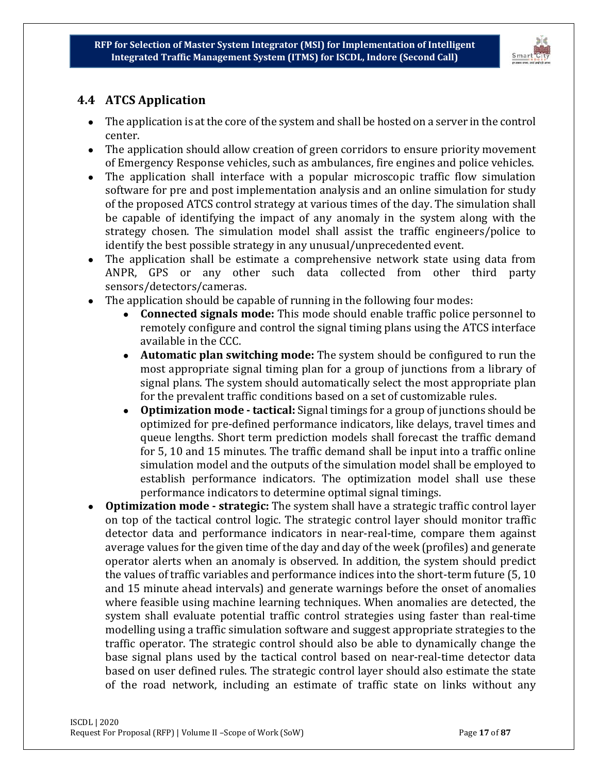

# <span id="page-16-0"></span>**4.4 ATCS Application**

- The application is at the core of the system and shall be hosted on a server in the control center.
- The application should allow creation of green corridors to ensure priority movement of Emergency Response vehicles, such as ambulances, fire engines and police vehicles.
- The application shall interface with a popular microscopic traffic flow simulation software for pre and post implementation analysis and an online simulation for study of the proposed ATCS control strategy at various times of the day. The simulation shall be capable of identifying the impact of any anomaly in the system along with the strategy chosen. The simulation model shall assist the traffic engineers/police to identify the best possible strategy in any unusual/unprecedented event.
- The application shall be estimate a comprehensive network state using data from ANPR, GPS or any other such data collected from other third party sensors/detectors/cameras.
- The application should be capable of running in the following four modes:
	- **Connected signals mode:** This mode should enable traffic police personnel to remotely configure and control the signal timing plans using the ATCS interface available in the CCC.
	- **Automatic plan switching mode:** The system should be configured to run the most appropriate signal timing plan for a group of junctions from a library of signal plans. The system should automatically select the most appropriate plan for the prevalent traffic conditions based on a set of customizable rules.
	- **Optimization mode - tactical:** Signal timings for a group of junctions should be optimized for pre-defined performance indicators, like delays, travel times and queue lengths. Short term prediction models shall forecast the traffic demand for 5, 10 and 15 minutes. The traffic demand shall be input into a traffic online simulation model and the outputs of the simulation model shall be employed to establish performance indicators. The optimization model shall use these performance indicators to determine optimal signal timings.
- **Optimization mode - strategic:** The system shall have a strategic traffic control layer on top of the tactical control logic. The strategic control layer should monitor traffic detector data and performance indicators in near-real-time, compare them against average values for the given time of the day and day of the week (profiles) and generate operator alerts when an anomaly is observed. In addition, the system should predict the values of traffic variables and performance indices into the short-term future (5, 10 and 15 minute ahead intervals) and generate warnings before the onset of anomalies where feasible using machine learning techniques. When anomalies are detected, the system shall evaluate potential traffic control strategies using faster than real-time modelling using a traffic simulation software and suggest appropriate strategies to the traffic operator. The strategic control should also be able to dynamically change the base signal plans used by the tactical control based on near-real-time detector data based on user defined rules. The strategic control layer should also estimate the state of the road network, including an estimate of traffic state on links without any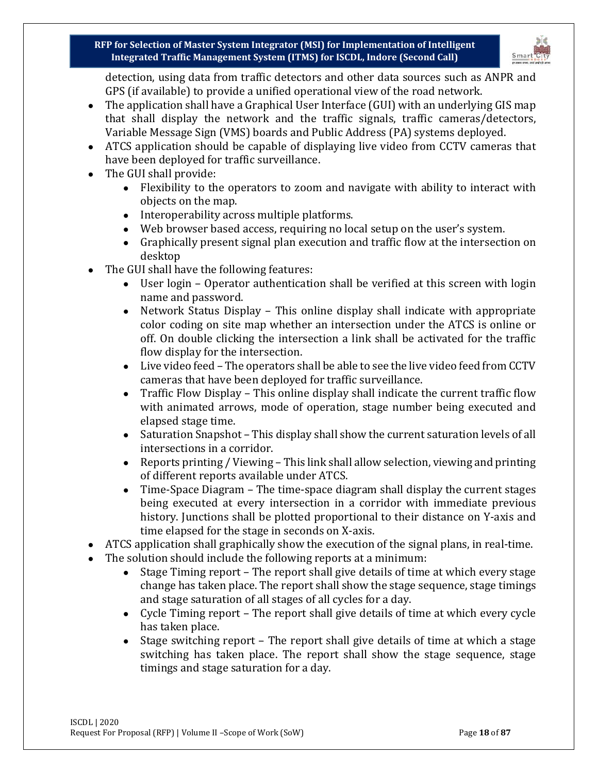

detection, using data from traffic detectors and other data sources such as ANPR and GPS (if available) to provide a unified operational view of the road network.

- The application shall have a Graphical User Interface (GUI) with an underlying GIS map that shall display the network and the traffic signals, traffic cameras/detectors, Variable Message Sign (VMS) boards and Public Address (PA) systems deployed.
- ATCS application should be capable of displaying live video from CCTV cameras that have been deployed for traffic surveillance.
- The GUI shall provide:
	- Flexibility to the operators to zoom and navigate with ability to interact with objects on the map.
	- Interoperability across multiple platforms.
	- Web browser based access, requiring no local setup on the user's system.
	- Graphically present signal plan execution and traffic flow at the intersection on desktop
- The GUI shall have the following features:
	- User login Operator authentication shall be verified at this screen with login name and password.
	- Network Status Display This online display shall indicate with appropriate color coding on site map whether an intersection under the ATCS is online or off. On double clicking the intersection a link shall be activated for the traffic flow display for the intersection.
	- Live video feed The operators shall be able to see the live video feed from CCTV cameras that have been deployed for traffic surveillance.
	- Traffic Flow Display This online display shall indicate the current traffic flow with animated arrows, mode of operation, stage number being executed and elapsed stage time.
	- Saturation Snapshot This display shall show the current saturation levels of all intersections in a corridor.
	- Reports printing / Viewing This link shall allow selection, viewing and printing of different reports available under ATCS.
	- Time-Space Diagram The time-space diagram shall display the current stages being executed at every intersection in a corridor with immediate previous history. Junctions shall be plotted proportional to their distance on Y-axis and time elapsed for the stage in seconds on X-axis.
- ATCS application shall graphically show the execution of the signal plans, in real-time.
- The solution should include the following reports at a minimum:
	- Stage Timing report The report shall give details of time at which every stage change has taken place. The report shall show the stage sequence, stage timings and stage saturation of all stages of all cycles for a day.
	- Cycle Timing report The report shall give details of time at which every cycle has taken place.
	- Stage switching report The report shall give details of time at which a stage switching has taken place. The report shall show the stage sequence, stage timings and stage saturation for a day.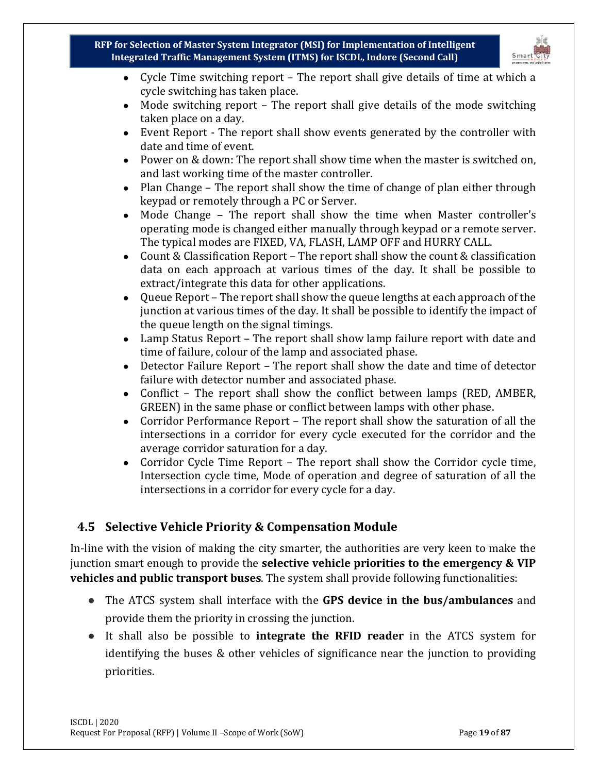

- Cycle Time switching report The report shall give details of time at which a cycle switching has taken place.
- Mode switching report The report shall give details of the mode switching taken place on a day.
- Event Report The report shall show events generated by the controller with date and time of event.
- Power on & down: The report shall show time when the master is switched on, and last working time of the master controller.
- Plan Change The report shall show the time of change of plan either through keypad or remotely through a PC or Server.
- Mode Change The report shall show the time when Master controller's operating mode is changed either manually through keypad or a remote server. The typical modes are FIXED, VA, FLASH, LAMP OFF and HURRY CALL.
- Count & Classification Report The report shall show the count & classification data on each approach at various times of the day. It shall be possible to extract/integrate this data for other applications.
- Queue Report The report shall show the queue lengths at each approach of the junction at various times of the day. It shall be possible to identify the impact of the queue length on the signal timings.
- Lamp Status Report The report shall show lamp failure report with date and time of failure, colour of the lamp and associated phase.
- Detector Failure Report The report shall show the date and time of detector failure with detector number and associated phase.
- Conflict The report shall show the conflict between lamps (RED, AMBER, GREEN) in the same phase or conflict between lamps with other phase.
- Corridor Performance Report The report shall show the saturation of all the intersections in a corridor for every cycle executed for the corridor and the average corridor saturation for a day.
- Corridor Cycle Time Report The report shall show the Corridor cycle time, Intersection cycle time, Mode of operation and degree of saturation of all the intersections in a corridor for every cycle for a day.

# <span id="page-18-0"></span>**4.5 Selective Vehicle Priority & Compensation Module**

In-line with the vision of making the city smarter, the authorities are very keen to make the junction smart enough to provide the **selective vehicle priorities to the emergency & VIP vehicles and public transport buses**. The system shall provide following functionalities:

- The ATCS system shall interface with the **GPS device in the bus/ambulances** and provide them the priority in crossing the junction.
- It shall also be possible to **integrate the RFID reader** in the ATCS system for identifying the buses & other vehicles of significance near the junction to providing priorities.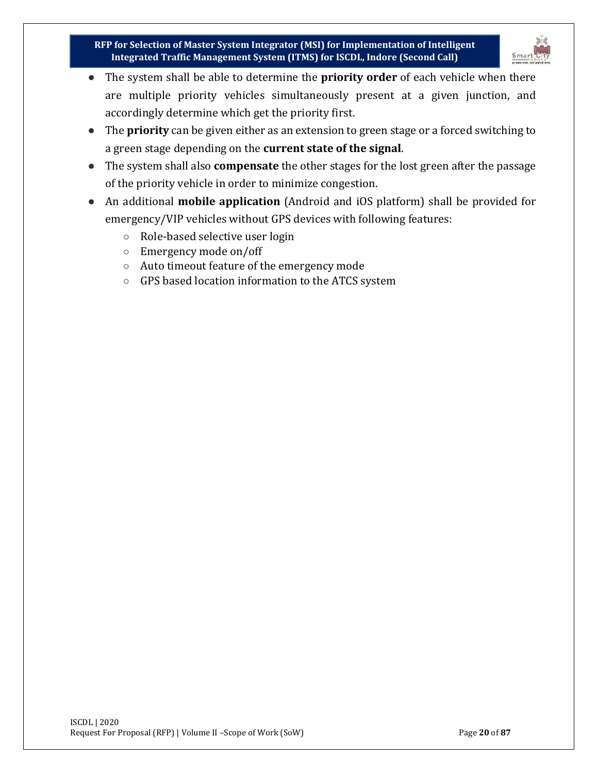

- The system shall be able to determine the **priority order** of each vehicle when there are multiple priority vehicles simultaneously present at a given junction, and accordingly determine which get the priority first.
- The **priority** can be given either as an extension to green stage or a forced switching to a green stage depending on the **current state of the signal**.
- The system shall also **compensate** the other stages for the lost green after the passage of the priority vehicle in order to minimize congestion.
- An additional **mobile application** (Android and iOS platform) shall be provided for emergency/VIP vehicles without GPS devices with following features:
	- Role-based selective user login
	- Emergency mode on/off
	- Auto timeout feature of the emergency mode
	- GPS based location information to the ATCS system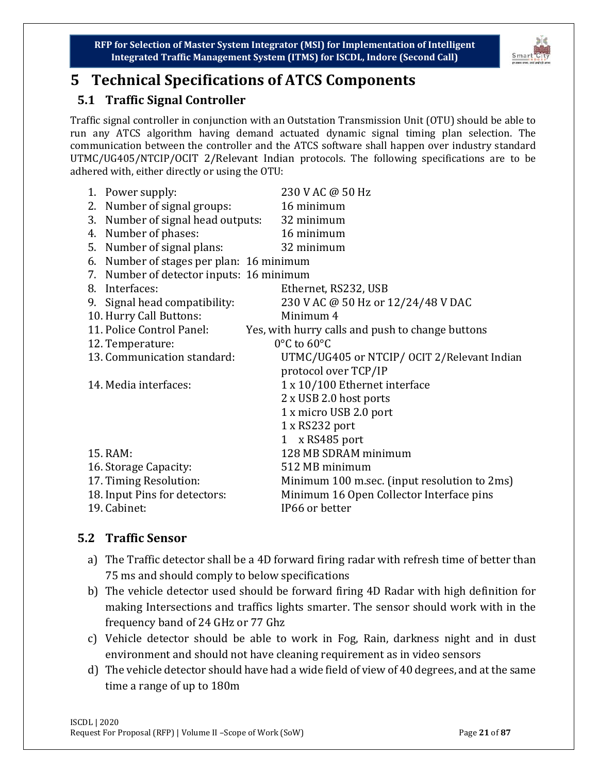

# <span id="page-20-0"></span>**5 Technical Specifications of ATCS Components**

# <span id="page-20-1"></span>**5.1 Traffic Signal Controller**

Traffic signal controller in conjunction with an Outstation Transmission Unit (OTU) should be able to run any ATCS algorithm having demand actuated dynamic signal timing plan selection. The communication between the controller and the ATCS software shall happen over industry standard UTMC/UG405/NTCIP/OCIT 2/Relevant Indian protocols. The following specifications are to be adhered with, either directly or using the OTU:

| 1. Power supply:                         | 230 V AC @ 50 Hz                                 |
|------------------------------------------|--------------------------------------------------|
| 2. Number of signal groups:              | 16 minimum                                       |
|                                          |                                                  |
| 3. Number of signal head outputs:        | 32 minimum                                       |
| 4. Number of phases:                     | 16 minimum                                       |
| 5. Number of signal plans:               | 32 minimum                                       |
| 6. Number of stages per plan: 16 minimum |                                                  |
| 7. Number of detector inputs: 16 minimum |                                                  |
| 8. Interfaces:                           | Ethernet, RS232, USB                             |
| 9. Signal head compatibility:            | 230 V AC @ 50 Hz or 12/24/48 V DAC               |
| 10. Hurry Call Buttons:                  | Minimum 4                                        |
| 11. Police Control Panel:                | Yes, with hurry calls and push to change buttons |
| 12. Temperature:                         | 0°C to 60°C                                      |
| 13. Communication standard:              | UTMC/UG405 or NTCIP/ OCIT 2/Relevant Indian      |
|                                          | protocol over TCP/IP                             |
| 14. Media interfaces:                    | 1 x 10/100 Ethernet interface                    |
|                                          | 2 x USB 2.0 host ports                           |
|                                          | 1 x micro USB 2.0 port                           |
|                                          | 1 x RS232 port                                   |
|                                          | 1 x RS485 port                                   |
| 15. RAM:                                 | 128 MB SDRAM minimum                             |
| 16. Storage Capacity:                    | 512 MB minimum                                   |
| 17. Timing Resolution:                   | Minimum 100 m.sec. (input resolution to 2ms)     |
| 18. Input Pins for detectors:            | Minimum 16 Open Collector Interface pins         |
| 19. Cabinet:                             | IP66 or better                                   |
|                                          |                                                  |

# <span id="page-20-2"></span>**5.2 Traffic Sensor**

- a) The Traffic detector shall be a 4D forward firing radar with refresh time of better than 75 ms and should comply to below specifications
- b) The vehicle detector used should be forward firing 4D Radar with high definition for making Intersections and traffics lights smarter. The sensor should work with in the frequency band of 24 GHz or 77 Ghz
- c) Vehicle detector should be able to work in Fog, Rain, darkness night and in dust environment and should not have cleaning requirement as in video sensors
- d) The vehicle detector should have had a wide field of view of 40 degrees, and at the same time a range of up to 180m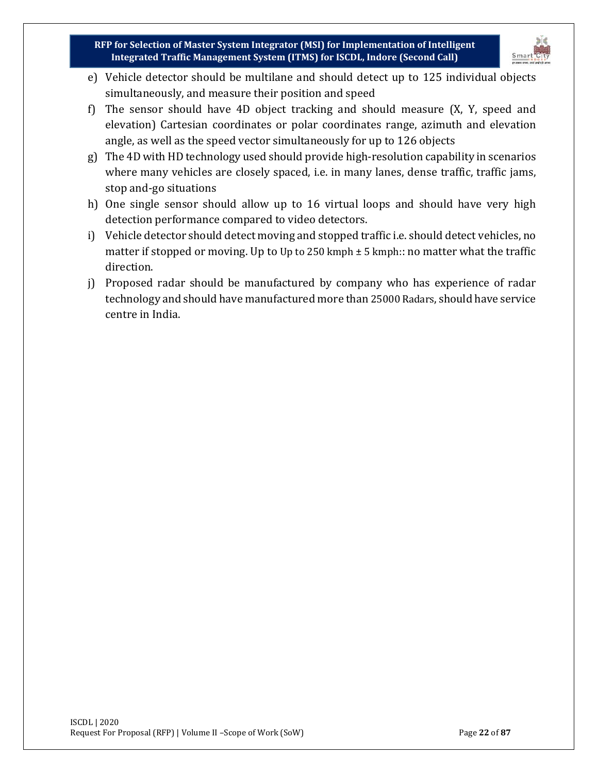

- e) Vehicle detector should be multilane and should detect up to 125 individual objects simultaneously, and measure their position and speed
- f) The sensor should have 4D object tracking and should measure (X, Y, speed and elevation) Cartesian coordinates or polar coordinates range, azimuth and elevation angle, as well as the speed vector simultaneously for up to 126 objects
- g) The 4D with HD technology used should provide high-resolution capability in scenarios where many vehicles are closely spaced, i.e. in many lanes, dense traffic, traffic jams, stop and-go situations
- h) One single sensor should allow up to 16 virtual loops and should have very high detection performance compared to video detectors.
- i) Vehicle detector should detect moving and stopped traffic i.e. should detect vehicles, no matter if stopped or moving. Up to Up to 250 kmph  $\pm$  5 kmph:: no matter what the traffic direction.
- j) Proposed radar should be manufactured by company who has experience of radar technology and should have manufactured more than 25000 Radars, should have service centre in India.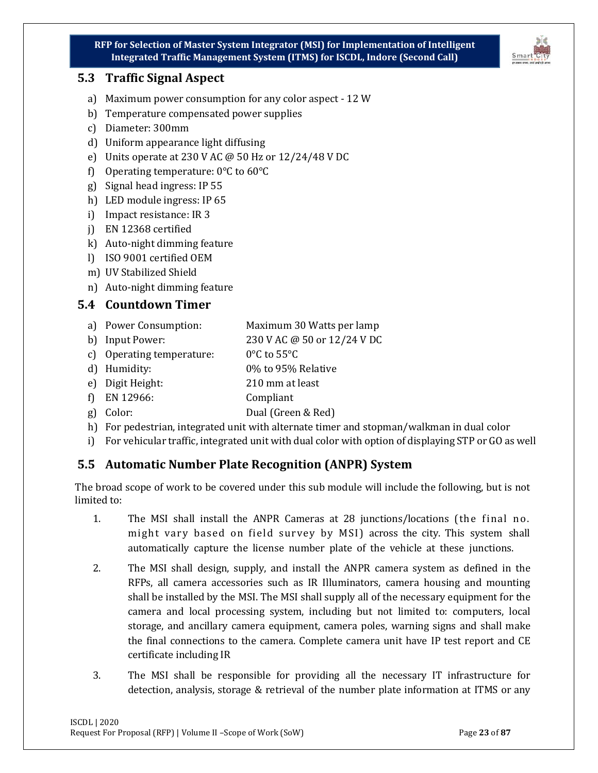#### <span id="page-22-0"></span>**5.3 Traffic Signal Aspect**

- a) Maximum power consumption for any color aspect 12 W
- b) Temperature compensated power supplies
- c) Diameter: 300mm
- d) Uniform appearance light diffusing
- e) Units operate at 230 V AC @ 50 Hz or 12/24/48 V DC
- f) Operating temperature: 0°C to 60°C
- g) Signal head ingress: IP 55
- h) LED module ingress: IP 65
- i) Impact resistance: IR 3
- j) EN 12368 certified
- k) Auto-night dimming feature
- l) ISO 9001 certified OEM
- m) UV Stabilized Shield
- n) Auto-night dimming feature

#### <span id="page-22-1"></span>**5.4 Countdown Timer**

- a) Power Consumption: Maximum 30 Watts per lamp
- b) Input Power: 230 V AC @ 50 or 12/24 V DC
- c) Operating temperature: 0°C to 55°C
- d) Humidity: 0% to 95% Relative
- e) Digit Height: 210 mm at least
- f) EN 12966: Compliant
- g) Color: Dual (Green & Red)
- h) For pedestrian, integrated unit with alternate timer and stopman/walkman in dual color
- i) For vehicular traffic, integrated unit with dual color with option of displaying STP or GO as well

## <span id="page-22-2"></span>**5.5 Automatic Number Plate Recognition (ANPR) System**

The broad scope of work to be covered under this sub module will include the following, but is not limited to:

- 1. The MSI shall install the ANPR Cameras at 28 junctions/locations (the final no. might vary based on field survey by MSI) across the city. This system shall automatically capture the license number plate of the vehicle at these junctions.
- 2. The MSI shall design, supply, and install the ANPR camera system as defined in the RFPs, all camera accessories such as IR Illuminators, camera housing and mounting shall be installed by the MSI. The MSI shall supply all of the necessary equipment for the camera and local processing system, including but not limited to: computers, local storage, and ancillary camera equipment, camera poles, warning signs and shall make the final connections to the camera. Complete camera unit have IP test report and CE certificate including IR
- 3. The MSI shall be responsible for providing all the necessary IT infrastructure for detection, analysis, storage & retrieval of the number plate information at ITMS or any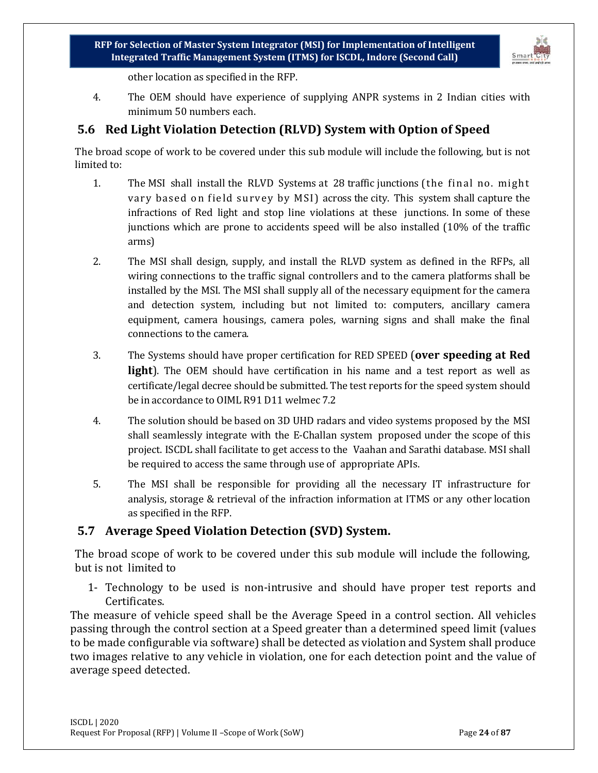

other location as specified in the RFP.

4. The OEM should have experience of supplying ANPR systems in 2 Indian cities with minimum 50 numbers each.

#### <span id="page-23-0"></span>**5.6 Red Light Violation Detection (RLVD) System with Option of Speed**

The broad scope of work to be covered under this sub module will include the following, but is not limited to:

- 1. The MSI shall install the RLVD Systems at 28 traffic junctions (the final no. might vary based on field survey by MSI) across the city. This system shall capture the infractions of Red light and stop line violations at these junctions. In some of these junctions which are prone to accidents speed will be also installed (10% of the traffic arms)
- 2. The MSI shall design, supply, and install the RLVD system as defined in the RFPs, all wiring connections to the traffic signal controllers and to the camera platforms shall be installed by the MSI. The MSI shall supply all of the necessary equipment for the camera and detection system, including but not limited to: computers, ancillary camera equipment, camera housings, camera poles, warning signs and shall make the final connections to the camera.
- 3. The Systems should have proper certification for RED SPEED (**over speeding at Red light**). The OEM should have certification in his name and a test report as well as certificate/legal decree should be submitted. The test reports for the speed system should be in accordance to OIML R91 D11 welmec 7.2
- 4. The solution should be based on 3D UHD radars and video systems proposed by the MSI shall seamlessly integrate with the E-Challan system proposed under the scope of this project. ISCDL shall facilitate to get access to the Vaahan and Sarathi database. MSI shall be required to access the same through use of appropriate APIs.
- 5. The MSI shall be responsible for providing all the necessary IT infrastructure for analysis, storage & retrieval of the infraction information at ITMS or any other location as specified in the RFP.

#### <span id="page-23-1"></span>**5.7 Average Speed Violation Detection (SVD) System.**

The broad scope of work to be covered under this sub module will include the following, but is not limited to

1- Technology to be used is non-intrusive and should have proper test reports and Certificates.

The measure of vehicle speed shall be the Average Speed in a control section. All vehicles passing through the control section at a Speed greater than a determined speed limit (values to be made configurable via software) shall be detected as violation and System shall produce two images relative to any vehicle in violation, one for each detection point and the value of average speed detected.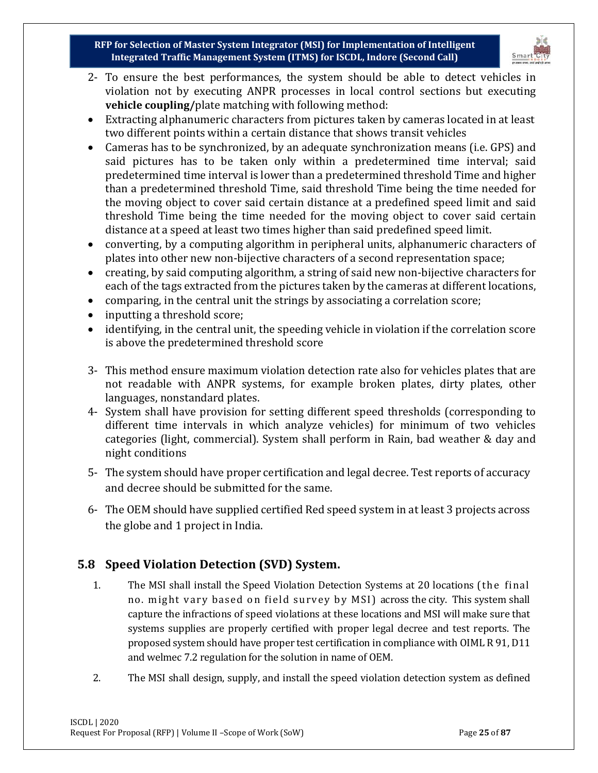

- 2- To ensure the best performances, the system should be able to detect vehicles in violation not by executing ANPR processes in local control sections but executing **vehicle coupling/**plate matching with following method:
- Extracting alphanumeric characters from pictures taken by cameras located in at least two different points within a certain distance that shows transit vehicles
- Cameras has to be synchronized, by an adequate synchronization means (i.e. GPS) and said pictures has to be taken only within a predetermined time interval; said predetermined time interval is lower than a predetermined threshold Time and higher than a predetermined threshold Time, said threshold Time being the time needed for the moving object to cover said certain distance at a predefined speed limit and said threshold Time being the time needed for the moving object to cover said certain distance at a speed at least two times higher than said predefined speed limit.
- converting, by a computing algorithm in peripheral units, alphanumeric characters of plates into other new non-bijective characters of a second representation space;
- creating, by said computing algorithm, a string of said new non-bijective characters for each of the tags extracted from the pictures taken by the cameras at different locations,
- comparing, in the central unit the strings by associating a correlation score;
- inputting a threshold score;
- identifying, in the central unit, the speeding vehicle in violation if the correlation score is above the predetermined threshold score
- 3- This method ensure maximum violation detection rate also for vehicles plates that are not readable with ANPR systems, for example broken plates, dirty plates, other languages, nonstandard plates.
- 4- System shall have provision for setting different speed thresholds (corresponding to different time intervals in which analyze vehicles) for minimum of two vehicles categories (light, commercial). System shall perform in Rain, bad weather & day and night conditions
- 5- The system should have proper certification and legal decree. Test reports of accuracy and decree should be submitted for the same.
- 6- The OEM should have supplied certified Red speed system in at least 3 projects across the globe and 1 project in India.

# <span id="page-24-0"></span>**5.8 Speed Violation Detection (SVD) System.**

- 1. The MSI shall install the Speed Violation Detection Systems at 20 locations (the final no. might vary based on field survey by MSI) across the city. This system shall capture the infractions of speed violations at these locations and MSI will make sure that systems supplies are properly certified with proper legal decree and test reports. The proposed system should have proper test certification in compliance with OIML R 91, D11 and welmec 7.2 regulation for the solution in name of OEM.
- 2. The MSI shall design, supply, and install the speed violation detection system as defined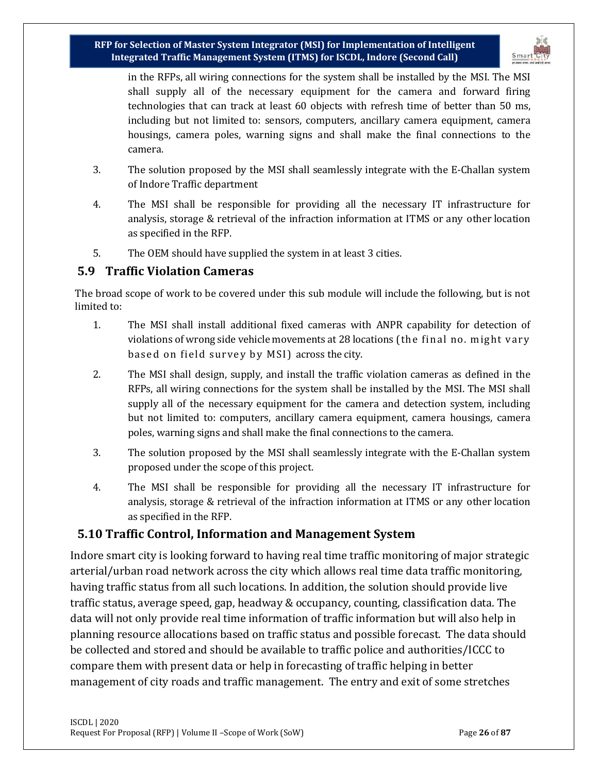

in the RFPs, all wiring connections for the system shall be installed by the MSI. The MSI shall supply all of the necessary equipment for the camera and forward firing technologies that can track at least 60 objects with refresh time of better than 50 ms, including but not limited to: sensors, computers, ancillary camera equipment, camera housings, camera poles, warning signs and shall make the final connections to the camera.

- 3. The solution proposed by the MSI shall seamlessly integrate with the E-Challan system of Indore Traffic department
- 4. The MSI shall be responsible for providing all the necessary IT infrastructure for analysis, storage & retrieval of the infraction information at ITMS or any other location as specified in the RFP.
- 5. The OEM should have supplied the system in at least 3 cities.

#### <span id="page-25-0"></span>**5.9 Traffic Violation Cameras**

The broad scope of work to be covered under this sub module will include the following, but is not limited to:

- 1. The MSI shall install additional fixed cameras with ANPR capability for detection of violations of wrong side vehicle movements at 28 locations (the final no. might vary based on field survey by MSI) across the city.
- 2. The MSI shall design, supply, and install the traffic violation cameras as defined in the RFPs, all wiring connections for the system shall be installed by the MSI. The MSI shall supply all of the necessary equipment for the camera and detection system, including but not limited to: computers, ancillary camera equipment, camera housings, camera poles, warning signs and shall make the final connections to the camera.
- 3. The solution proposed by the MSI shall seamlessly integrate with the E-Challan system proposed under the scope of this project.
- 4. The MSI shall be responsible for providing all the necessary IT infrastructure for analysis, storage & retrieval of the infraction information at ITMS or any other location as specified in the RFP.

## <span id="page-25-1"></span>**5.10 Traffic Control, Information and Management System**

Indore smart city is looking forward to having real time traffic monitoring of major strategic arterial/urban road network across the city which allows real time data traffic monitoring, having traffic status from all such locations. In addition, the solution should provide live traffic status, average speed, gap, headway & occupancy, counting, classification data. The data will not only provide real time information of traffic information but will also help in planning resource allocations based on traffic status and possible forecast. The data should be collected and stored and should be available to traffic police and authorities/ICCC to compare them with present data or help in forecasting of traffic helping in better management of city roads and traffic management. The entry and exit of some stretches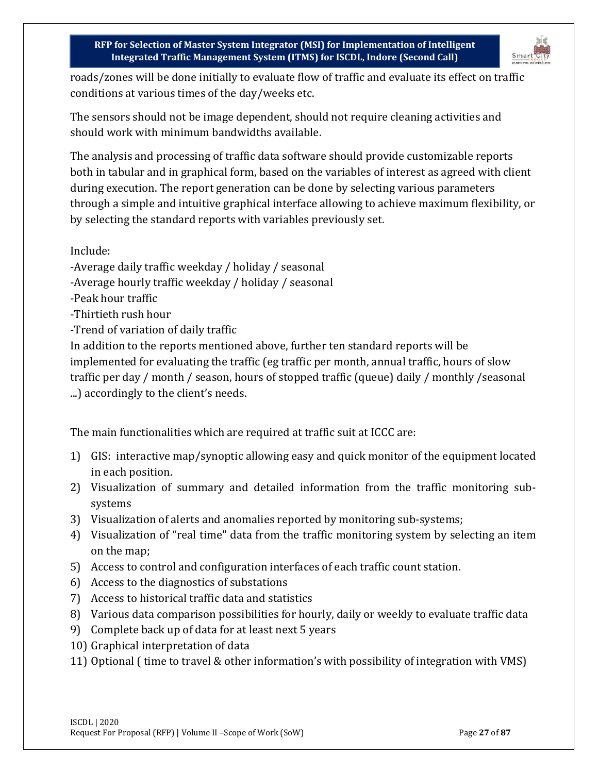

roads/zones will be done initially to evaluate flow of traffic and evaluate its effect on traffic conditions at various times of the day/weeks etc.

The sensors should not be image dependent, should not require cleaning activities and should work with minimum bandwidths available.

The analysis and processing of traffic data software should provide customizable reports both in tabular and in graphical form, based on the variables of interest as agreed with client during execution. The report generation can be done by selecting various parameters through a simple and intuitive graphical interface allowing to achieve maximum flexibility, or by selecting the standard reports with variables previously set.

Include:

-Average daily traffic weekday / holiday / seasonal

-Average hourly traffic weekday / holiday / seasonal

-Peak hour traffic

-Thirtieth rush hour

-Trend of variation of daily traffic

In addition to the reports mentioned above, further ten standard reports will be implemented for evaluating the traffic (eg traffic per month, annual traffic, hours of slow traffic per day / month / season, hours of stopped traffic (queue) daily / monthly /seasonal ...) accordingly to the client's needs.

The main functionalities which are required at traffic suit at ICCC are:

- 1) GIS: interactive map/synoptic allowing easy and quick monitor of the equipment located in each position.
- 2) Visualization of summary and detailed information from the traffic monitoring subsystems
- 3) Visualization of alerts and anomalies reported by monitoring sub-systems;
- 4) Visualization of "real time" data from the traffic monitoring system by selecting an item on the map;
- 5) Access to control and configuration interfaces of each traffic count station.
- 6) Access to the diagnostics of substations
- 7) Access to historical traffic data and statistics
- 8) Various data comparison possibilities for hourly, daily or weekly to evaluate traffic data
- 9) Complete back up of data for at least next 5 years
- 10) Graphical interpretation of data
- 11) Optional ( time to travel & other information's with possibility of integration with VMS)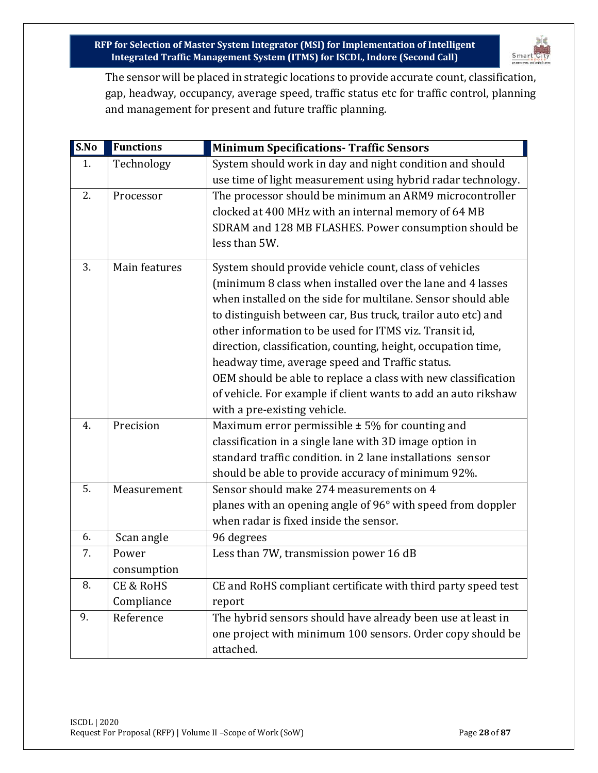

The sensor will be placed in strategic locations to provide accurate count, classification, gap, headway, occupancy, average speed, traffic status etc for traffic control, planning and management for present and future traffic planning.

| S.No | <b>Functions</b> | <b>Minimum Specifications- Traffic Sensors</b>                 |
|------|------------------|----------------------------------------------------------------|
| 1.   | Technology       | System should work in day and night condition and should       |
|      |                  | use time of light measurement using hybrid radar technology.   |
| 2.   | Processor        | The processor should be minimum an ARM9 microcontroller        |
|      |                  | clocked at 400 MHz with an internal memory of 64 MB            |
|      |                  | SDRAM and 128 MB FLASHES. Power consumption should be          |
|      |                  | less than 5W.                                                  |
| 3.   | Main features    | System should provide vehicle count, class of vehicles         |
|      |                  | (minimum 8 class when installed over the lane and 4 lasses     |
|      |                  | when installed on the side for multilane. Sensor should able   |
|      |                  | to distinguish between car, Bus truck, trailor auto etc) and   |
|      |                  | other information to be used for ITMS viz. Transit id,         |
|      |                  | direction, classification, counting, height, occupation time,  |
|      |                  | headway time, average speed and Traffic status.                |
|      |                  | OEM should be able to replace a class with new classification  |
|      |                  | of vehicle. For example if client wants to add an auto rikshaw |
|      |                  | with a pre-existing vehicle.                                   |
| 4.   | Precision        | Maximum error permissible $\pm$ 5% for counting and            |
|      |                  | classification in a single lane with 3D image option in        |
|      |                  | standard traffic condition. in 2 lane installations sensor     |
|      |                  | should be able to provide accuracy of minimum 92%.             |
| 5.   | Measurement      | Sensor should make 274 measurements on 4                       |
|      |                  | planes with an opening angle of 96° with speed from doppler    |
|      |                  | when radar is fixed inside the sensor.                         |
| 6.   | Scan angle       | 96 degrees                                                     |
| 7.   | Power            | Less than 7W, transmission power 16 dB                         |
|      | consumption      |                                                                |
| 8.   | CE & RoHS        | CE and RoHS compliant certificate with third party speed test  |
|      | Compliance       | report                                                         |
| 9.   | Reference        | The hybrid sensors should have already been use at least in    |
|      |                  | one project with minimum 100 sensors. Order copy should be     |
|      |                  | attached.                                                      |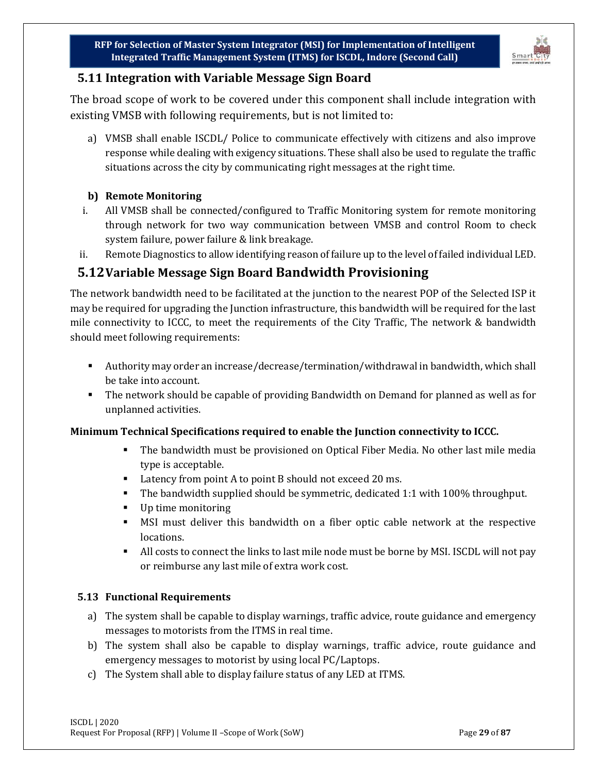

## <span id="page-28-0"></span>**5.11 Integration with Variable Message Sign Board**

The broad scope of work to be covered under this component shall include integration with existing VMSB with following requirements, but is not limited to:

a) VMSB shall enable ISCDL/ Police to communicate effectively with citizens and also improve response while dealing with exigency situations. These shall also be used to regulate the traffic situations across the city by communicating right messages at the right time.

#### **b) Remote Monitoring**

- i. All VMSB shall be connected/configured to Traffic Monitoring system for remote monitoring through network for two way communication between VMSB and control Room to check system failure, power failure & link breakage.
- ii. Remote Diagnostics to allow identifying reason of failure up to the level of failed individual LED.

# <span id="page-28-1"></span>**5.12Variable Message Sign Board Bandwidth Provisioning**

The network bandwidth need to be facilitated at the junction to the nearest POP of the Selected ISP it may be required for upgrading the Junction infrastructure, this bandwidth will be required for the last mile connectivity to ICCC, to meet the requirements of the City Traffic, The network & bandwidth should meet following requirements:

- Authority may order an increase/decrease/termination/withdrawal in bandwidth, which shall be take into account.
- The network should be capable of providing Bandwidth on Demand for planned as well as for unplanned activities.

#### **Minimum Technical Specifications required to enable the Junction connectivity to ICCC.**

- The bandwidth must be provisioned on Optical Fiber Media. No other last mile media type is acceptable.
- Latency from point A to point B should not exceed 20 ms.
- The bandwidth supplied should be symmetric, dedicated 1:1 with 100% throughput.
- Up time monitoring
- MSI must deliver this bandwidth on a fiber optic cable network at the respective locations.
- All costs to connect the links to last mile node must be borne by MSI. ISCDL will not pay or reimburse any last mile of extra work cost.

#### <span id="page-28-2"></span>**5.13 Functional Requirements**

- a) The system shall be capable to display warnings, traffic advice, route guidance and emergency messages to motorists from the ITMS in real time.
- b) The system shall also be capable to display warnings, traffic advice, route guidance and emergency messages to motorist by using local PC/Laptops.
- c) The System shall able to display failure status of any LED at ITMS.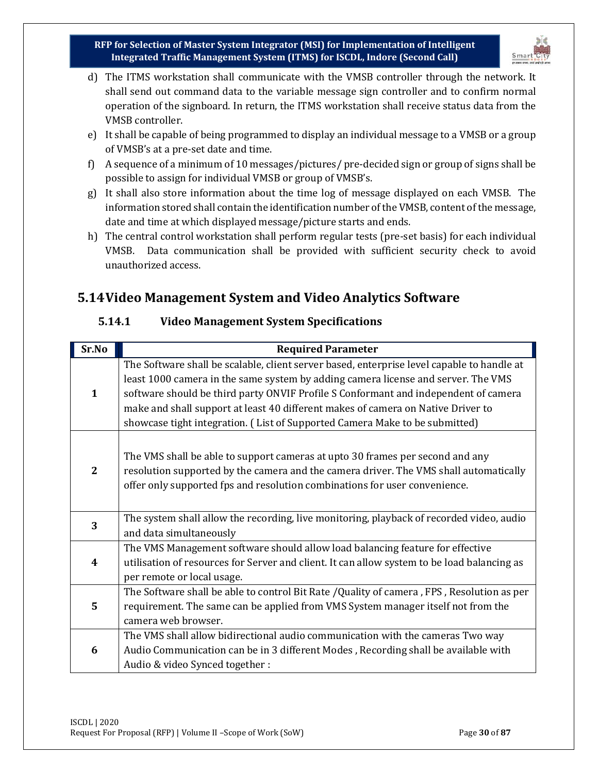

- d) The ITMS workstation shall communicate with the VMSB controller through the network. It shall send out command data to the variable message sign controller and to confirm normal operation of the signboard. In return, the ITMS workstation shall receive status data from the VMSB controller.
- e) It shall be capable of being programmed to display an individual message to a VMSB or a group of VMSB's at a pre-set date and time.
- f) A sequence of a minimum of 10 messages/pictures/ pre-decided sign or group of signs shall be possible to assign for individual VMSB or group of VMSB's.
- g) It shall also store information about the time log of message displayed on each VMSB. The information stored shall contain the identification number of the VMSB, content of the message, date and time at which displayed message/picture starts and ends.
- h) The central control workstation shall perform regular tests (pre-set basis) for each individual VMSB. Data communication shall be provided with sufficient security check to avoid unauthorized access.

# <span id="page-29-1"></span><span id="page-29-0"></span>**5.14Video Management System and Video Analytics Software**

| Sr.No        | <b>Required Parameter</b>                                                                                                                                                                                                                                                                                                                                                                                                                 |
|--------------|-------------------------------------------------------------------------------------------------------------------------------------------------------------------------------------------------------------------------------------------------------------------------------------------------------------------------------------------------------------------------------------------------------------------------------------------|
| $\mathbf{1}$ | The Software shall be scalable, client server based, enterprise level capable to handle at<br>least 1000 camera in the same system by adding camera license and server. The VMS<br>software should be third party ONVIF Profile S Conformant and independent of camera<br>make and shall support at least 40 different makes of camera on Native Driver to<br>showcase tight integration. (List of Supported Camera Make to be submitted) |
| $\mathbf{2}$ | The VMS shall be able to support cameras at upto 30 frames per second and any<br>resolution supported by the camera and the camera driver. The VMS shall automatically<br>offer only supported fps and resolution combinations for user convenience.                                                                                                                                                                                      |
| 3            | The system shall allow the recording, live monitoring, playback of recorded video, audio<br>and data simultaneously                                                                                                                                                                                                                                                                                                                       |
| 4            | The VMS Management software should allow load balancing feature for effective<br>utilisation of resources for Server and client. It can allow system to be load balancing as<br>per remote or local usage.                                                                                                                                                                                                                                |
| 5            | The Software shall be able to control Bit Rate /Quality of camera, FPS, Resolution as per<br>requirement. The same can be applied from VMS System manager itself not from the<br>camera web browser.                                                                                                                                                                                                                                      |
| 6            | The VMS shall allow bidirectional audio communication with the cameras Two way<br>Audio Communication can be in 3 different Modes, Recording shall be available with<br>Audio & video Synced together :                                                                                                                                                                                                                                   |

#### **5.14.1 Video Management System Specifications**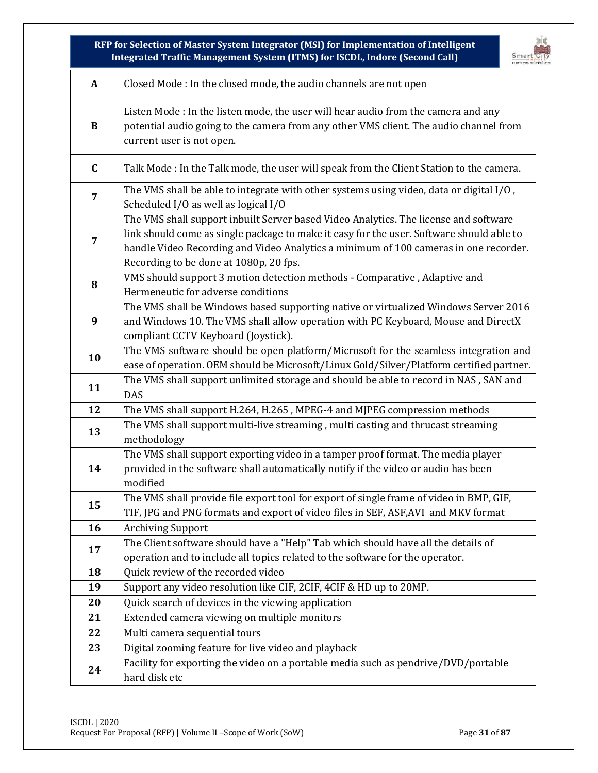| biđ<br>RFP for Selection of Master System Integrator (MSI) for Implementation of Intelligent<br>Integrated Traffic Management System (ITMS) for ISCDL, Indore (Second Call)<br>Smart"( |                                                                                                                                                                                                                                                                                                                    |  |  |  |
|----------------------------------------------------------------------------------------------------------------------------------------------------------------------------------------|--------------------------------------------------------------------------------------------------------------------------------------------------------------------------------------------------------------------------------------------------------------------------------------------------------------------|--|--|--|
| $\mathbf{A}$                                                                                                                                                                           | Closed Mode : In the closed mode, the audio channels are not open                                                                                                                                                                                                                                                  |  |  |  |
| $\bf{B}$                                                                                                                                                                               | Listen Mode : In the listen mode, the user will hear audio from the camera and any<br>potential audio going to the camera from any other VMS client. The audio channel from<br>current user is not open.                                                                                                           |  |  |  |
| $\mathbf C$                                                                                                                                                                            | Talk Mode : In the Talk mode, the user will speak from the Client Station to the camera.                                                                                                                                                                                                                           |  |  |  |
| 7                                                                                                                                                                                      | The VMS shall be able to integrate with other systems using video, data or digital I/O,<br>Scheduled I/O as well as logical I/O                                                                                                                                                                                    |  |  |  |
| $\overline{7}$                                                                                                                                                                         | The VMS shall support inbuilt Server based Video Analytics. The license and software<br>link should come as single package to make it easy for the user. Software should able to<br>handle Video Recording and Video Analytics a minimum of 100 cameras in one recorder.<br>Recording to be done at 1080p, 20 fps. |  |  |  |
| 8                                                                                                                                                                                      | VMS should support 3 motion detection methods - Comparative, Adaptive and<br>Hermeneutic for adverse conditions                                                                                                                                                                                                    |  |  |  |
| 9                                                                                                                                                                                      | The VMS shall be Windows based supporting native or virtualized Windows Server 2016<br>and Windows 10. The VMS shall allow operation with PC Keyboard, Mouse and DirectX<br>compliant CCTV Keyboard (Joystick).                                                                                                    |  |  |  |
| 10                                                                                                                                                                                     | The VMS software should be open platform/Microsoft for the seamless integration and<br>ease of operation. OEM should be Microsoft/Linux Gold/Silver/Platform certified partner.                                                                                                                                    |  |  |  |
| 11                                                                                                                                                                                     | The VMS shall support unlimited storage and should be able to record in NAS, SAN and<br><b>DAS</b>                                                                                                                                                                                                                 |  |  |  |
| 12                                                                                                                                                                                     | The VMS shall support H.264, H.265, MPEG-4 and MJPEG compression methods                                                                                                                                                                                                                                           |  |  |  |
| 13                                                                                                                                                                                     | The VMS shall support multi-live streaming, multi casting and thrucast streaming<br>methodology                                                                                                                                                                                                                    |  |  |  |
| 14                                                                                                                                                                                     | The VMS shall support exporting video in a tamper proof format. The media player<br>provided in the software shall automatically notify if the video or audio has been<br>modified                                                                                                                                 |  |  |  |
| 15                                                                                                                                                                                     | The VMS shall provide file export tool for export of single frame of video in BMP, GIF,<br>TIF, JPG and PNG formats and export of video files in SEF, ASF, AVI and MKV format                                                                                                                                      |  |  |  |
| 16                                                                                                                                                                                     | <b>Archiving Support</b>                                                                                                                                                                                                                                                                                           |  |  |  |
| 17                                                                                                                                                                                     | The Client software should have a "Help" Tab which should have all the details of                                                                                                                                                                                                                                  |  |  |  |
|                                                                                                                                                                                        | operation and to include all topics related to the software for the operator.                                                                                                                                                                                                                                      |  |  |  |
| 18                                                                                                                                                                                     | Quick review of the recorded video                                                                                                                                                                                                                                                                                 |  |  |  |
| 19                                                                                                                                                                                     | Support any video resolution like CIF, 2CIF, 4CIF & HD up to 20MP.                                                                                                                                                                                                                                                 |  |  |  |
| 20                                                                                                                                                                                     | Quick search of devices in the viewing application                                                                                                                                                                                                                                                                 |  |  |  |
| 21                                                                                                                                                                                     | Extended camera viewing on multiple monitors                                                                                                                                                                                                                                                                       |  |  |  |
| 22                                                                                                                                                                                     | Multi camera sequential tours                                                                                                                                                                                                                                                                                      |  |  |  |
| 23                                                                                                                                                                                     | Digital zooming feature for live video and playback                                                                                                                                                                                                                                                                |  |  |  |
| 24                                                                                                                                                                                     | Facility for exporting the video on a portable media such as pendrive/DVD/portable<br>hard disk etc                                                                                                                                                                                                                |  |  |  |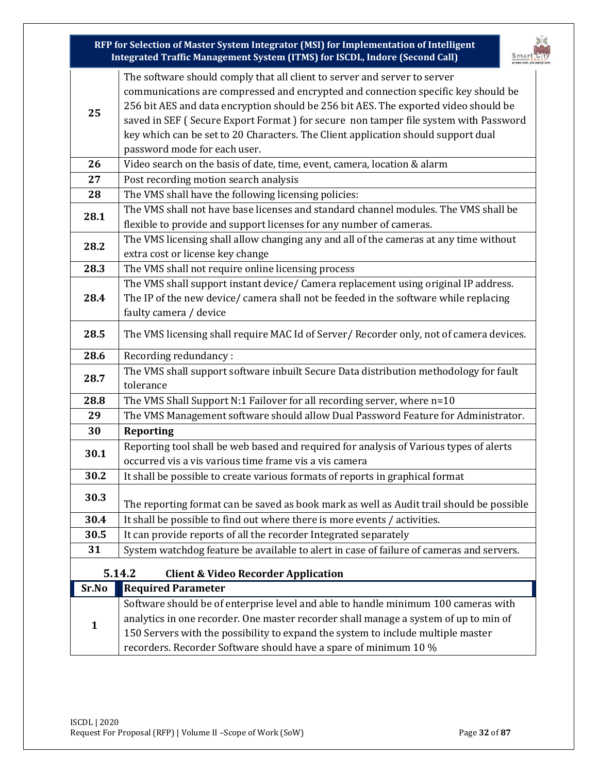<span id="page-31-0"></span>

|       | RFP for Selection of Master System Integrator (MSI) for Implementation of Intelligent<br>Integrated Traffic Management System (ITMS) for ISCDL, Indore (Second Call)                                                                                                                                                                                                                                                                                              |  |
|-------|-------------------------------------------------------------------------------------------------------------------------------------------------------------------------------------------------------------------------------------------------------------------------------------------------------------------------------------------------------------------------------------------------------------------------------------------------------------------|--|
| 25    | The software should comply that all client to server and server to server<br>communications are compressed and encrypted and connection specific key should be<br>256 bit AES and data encryption should be 256 bit AES. The exported video should be<br>saved in SEF (Secure Export Format) for secure non tamper file system with Password<br>key which can be set to 20 Characters. The Client application should support dual<br>password mode for each user. |  |
| 26    | Video search on the basis of date, time, event, camera, location & alarm                                                                                                                                                                                                                                                                                                                                                                                          |  |
| 27    | Post recording motion search analysis                                                                                                                                                                                                                                                                                                                                                                                                                             |  |
| 28    | The VMS shall have the following licensing policies:                                                                                                                                                                                                                                                                                                                                                                                                              |  |
| 28.1  | The VMS shall not have base licenses and standard channel modules. The VMS shall be<br>flexible to provide and support licenses for any number of cameras.                                                                                                                                                                                                                                                                                                        |  |
| 28.2  | The VMS licensing shall allow changing any and all of the cameras at any time without<br>extra cost or license key change                                                                                                                                                                                                                                                                                                                                         |  |
| 28.3  | The VMS shall not require online licensing process                                                                                                                                                                                                                                                                                                                                                                                                                |  |
| 28.4  | The VMS shall support instant device/ Camera replacement using original IP address.<br>The IP of the new device/ camera shall not be feeded in the software while replacing<br>faulty camera / device                                                                                                                                                                                                                                                             |  |
| 28.5  | The VMS licensing shall require MAC Id of Server/ Recorder only, not of camera devices.                                                                                                                                                                                                                                                                                                                                                                           |  |
| 28.6  | Recording redundancy:                                                                                                                                                                                                                                                                                                                                                                                                                                             |  |
| 28.7  | The VMS shall support software inbuilt Secure Data distribution methodology for fault<br>tolerance                                                                                                                                                                                                                                                                                                                                                                |  |
| 28.8  | The VMS Shall Support N:1 Failover for all recording server, where n=10                                                                                                                                                                                                                                                                                                                                                                                           |  |
| 29    | The VMS Management software should allow Dual Password Feature for Administrator.                                                                                                                                                                                                                                                                                                                                                                                 |  |
| 30    | <b>Reporting</b>                                                                                                                                                                                                                                                                                                                                                                                                                                                  |  |
| 30.1  | Reporting tool shall be web based and required for analysis of Various types of alerts<br>occurred vis a vis various time frame vis a vis camera                                                                                                                                                                                                                                                                                                                  |  |
| 30.2  | It shall be possible to create various formats of reports in graphical format                                                                                                                                                                                                                                                                                                                                                                                     |  |
| 30.3  | The reporting format can be saved as book mark as well as Audit trail should be possible                                                                                                                                                                                                                                                                                                                                                                          |  |
| 30.4  | It shall be possible to find out where there is more events / activities.                                                                                                                                                                                                                                                                                                                                                                                         |  |
| 30.5  | It can provide reports of all the recorder Integrated separately                                                                                                                                                                                                                                                                                                                                                                                                  |  |
| 31    | System watchdog feature be available to alert in case of failure of cameras and servers.                                                                                                                                                                                                                                                                                                                                                                          |  |
|       | 5.14.2<br><b>Client &amp; Video Recorder Application</b>                                                                                                                                                                                                                                                                                                                                                                                                          |  |
| Sr.No | <b>Required Parameter</b>                                                                                                                                                                                                                                                                                                                                                                                                                                         |  |
|       | Software should be of enterprise level and able to handle minimum 100 cameras with                                                                                                                                                                                                                                                                                                                                                                                |  |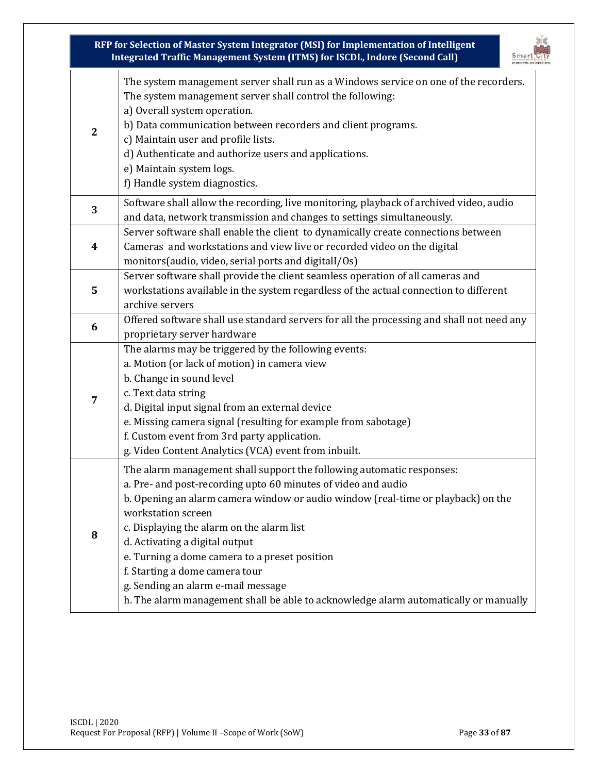|             | RFP for Selection of Master System Integrator (MSI) for Implementation of Intelligent<br>Integrated Traffic Management System (ITMS) for ISCDL, Indore (Second Call)                                                                                                                                                                                                                                                                                                                                                                             |
|-------------|--------------------------------------------------------------------------------------------------------------------------------------------------------------------------------------------------------------------------------------------------------------------------------------------------------------------------------------------------------------------------------------------------------------------------------------------------------------------------------------------------------------------------------------------------|
| $\mathbf 2$ | The system management server shall run as a Windows service on one of the recorders.<br>The system management server shall control the following:<br>a) Overall system operation.<br>b) Data communication between recorders and client programs.<br>c) Maintain user and profile lists.<br>d) Authenticate and authorize users and applications.<br>e) Maintain system logs.<br>f) Handle system diagnostics.                                                                                                                                   |
| 3           | Software shall allow the recording, live monitoring, playback of archived video, audio<br>and data, network transmission and changes to settings simultaneously.                                                                                                                                                                                                                                                                                                                                                                                 |
| 4           | Server software shall enable the client to dynamically create connections between<br>Cameras and workstations and view live or recorded video on the digital<br>monitors(audio, video, serial ports and digitall/Os)                                                                                                                                                                                                                                                                                                                             |
| 5           | Server software shall provide the client seamless operation of all cameras and<br>workstations available in the system regardless of the actual connection to different<br>archive servers                                                                                                                                                                                                                                                                                                                                                       |
| 6           | Offered software shall use standard servers for all the processing and shall not need any<br>proprietary server hardware                                                                                                                                                                                                                                                                                                                                                                                                                         |
| 7           | The alarms may be triggered by the following events:<br>a. Motion (or lack of motion) in camera view<br>b. Change in sound level<br>c. Text data string<br>d. Digital input signal from an external device<br>e. Missing camera signal (resulting for example from sabotage)<br>f. Custom event from 3rd party application.<br>g. Video Content Analytics (VCA) event from inbuilt.                                                                                                                                                              |
| 8           | The alarm management shall support the following automatic responses:<br>a. Pre- and post-recording upto 60 minutes of video and audio<br>b. Opening an alarm camera window or audio window (real-time or playback) on the<br>workstation screen<br>c. Displaying the alarm on the alarm list<br>d. Activating a digital output<br>e. Turning a dome camera to a preset position<br>f. Starting a dome camera tour<br>g. Sending an alarm e-mail message<br>h. The alarm management shall be able to acknowledge alarm automatically or manually |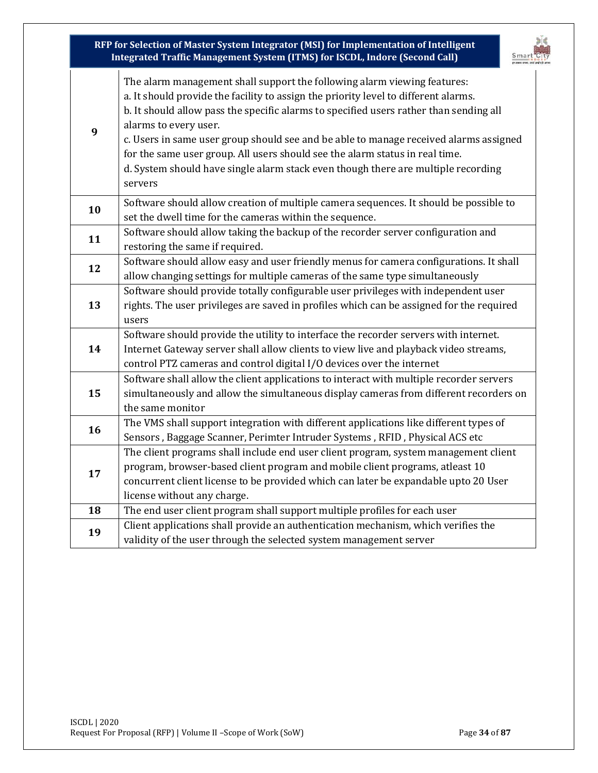|    | RFP for Selection of Master System Integrator (MSI) for Implementation of Intelligent<br>Integrated Traffic Management System (ITMS) for ISCDL, Indore (Second Call)                                                                                                                                                                                                                                                                                                                                                                                        |
|----|-------------------------------------------------------------------------------------------------------------------------------------------------------------------------------------------------------------------------------------------------------------------------------------------------------------------------------------------------------------------------------------------------------------------------------------------------------------------------------------------------------------------------------------------------------------|
| 9  | The alarm management shall support the following alarm viewing features:<br>a. It should provide the facility to assign the priority level to different alarms.<br>b. It should allow pass the specific alarms to specified users rather than sending all<br>alarms to every user.<br>c. Users in same user group should see and be able to manage received alarms assigned<br>for the same user group. All users should see the alarm status in real time.<br>d. System should have single alarm stack even though there are multiple recording<br>servers |
| 10 | Software should allow creation of multiple camera sequences. It should be possible to<br>set the dwell time for the cameras within the sequence.                                                                                                                                                                                                                                                                                                                                                                                                            |
| 11 | Software should allow taking the backup of the recorder server configuration and<br>restoring the same if required.                                                                                                                                                                                                                                                                                                                                                                                                                                         |
| 12 | Software should allow easy and user friendly menus for camera configurations. It shall<br>allow changing settings for multiple cameras of the same type simultaneously                                                                                                                                                                                                                                                                                                                                                                                      |
| 13 | Software should provide totally configurable user privileges with independent user<br>rights. The user privileges are saved in profiles which can be assigned for the required<br>users                                                                                                                                                                                                                                                                                                                                                                     |
| 14 | Software should provide the utility to interface the recorder servers with internet.<br>Internet Gateway server shall allow clients to view live and playback video streams,<br>control PTZ cameras and control digital I/O devices over the internet                                                                                                                                                                                                                                                                                                       |
| 15 | Software shall allow the client applications to interact with multiple recorder servers<br>simultaneously and allow the simultaneous display cameras from different recorders on<br>the same monitor                                                                                                                                                                                                                                                                                                                                                        |
| 16 | The VMS shall support integration with different applications like different types of<br>Sensors, Baggage Scanner, Perimter Intruder Systems, RFID, Physical ACS etc                                                                                                                                                                                                                                                                                                                                                                                        |
| 17 | The client programs shall include end user client program, system management client<br>program, browser-based client program and mobile client programs, atleast 10<br>concurrent client license to be provided which can later be expandable upto 20 User<br>license without any charge.                                                                                                                                                                                                                                                                   |
| 18 | The end user client program shall support multiple profiles for each user                                                                                                                                                                                                                                                                                                                                                                                                                                                                                   |
| 19 | Client applications shall provide an authentication mechanism, which verifies the<br>validity of the user through the selected system management server                                                                                                                                                                                                                                                                                                                                                                                                     |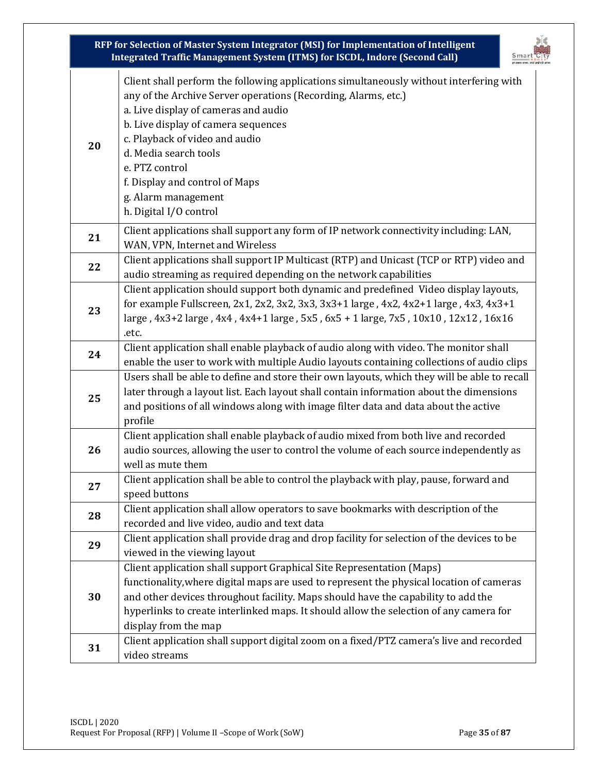| RFP for Selection of Master System Integrator (MSI) for Implementation of Intelligent<br>Integrated Traffic Management System (ITMS) for ISCDL, Indore (Second Call) |                                                                                                                                                                                                                                                                                                                                                                                                          |
|----------------------------------------------------------------------------------------------------------------------------------------------------------------------|----------------------------------------------------------------------------------------------------------------------------------------------------------------------------------------------------------------------------------------------------------------------------------------------------------------------------------------------------------------------------------------------------------|
| 20                                                                                                                                                                   | Client shall perform the following applications simultaneously without interfering with<br>any of the Archive Server operations (Recording, Alarms, etc.)<br>a. Live display of cameras and audio<br>b. Live display of camera sequences<br>c. Playback of video and audio<br>d. Media search tools<br>e. PTZ control<br>f. Display and control of Maps<br>g. Alarm management<br>h. Digital I/O control |
| 21                                                                                                                                                                   | Client applications shall support any form of IP network connectivity including: LAN,<br>WAN, VPN, Internet and Wireless                                                                                                                                                                                                                                                                                 |
| 22                                                                                                                                                                   | Client applications shall support IP Multicast (RTP) and Unicast (TCP or RTP) video and<br>audio streaming as required depending on the network capabilities                                                                                                                                                                                                                                             |
| 23                                                                                                                                                                   | Client application should support both dynamic and predefined Video display layouts,<br>for example Fullscreen, 2x1, 2x2, 3x2, 3x3, 3x3+1 large, 4x2, 4x2+1 large, 4x3, 4x3+1<br>large, 4x3+2 large, 4x4, 4x4+1 large, 5x5, 6x5 + 1 large, 7x5, 10x10, 12x12, 16x16                                                                                                                                      |
| 24                                                                                                                                                                   | .etc.<br>Client application shall enable playback of audio along with video. The monitor shall<br>enable the user to work with multiple Audio layouts containing collections of audio clips                                                                                                                                                                                                              |
| 25                                                                                                                                                                   | Users shall be able to define and store their own layouts, which they will be able to recall<br>later through a layout list. Each layout shall contain information about the dimensions<br>and positions of all windows along with image filter data and data about the active<br>profile                                                                                                                |
| 26                                                                                                                                                                   | Client application shall enable playback of audio mixed from both live and recorded<br>audio sources, allowing the user to control the volume of each source independently as<br>well as mute them                                                                                                                                                                                                       |
| 27                                                                                                                                                                   | Client application shall be able to control the playback with play, pause, forward and<br>speed buttons                                                                                                                                                                                                                                                                                                  |
| 28                                                                                                                                                                   | Client application shall allow operators to save bookmarks with description of the<br>recorded and live video, audio and text data                                                                                                                                                                                                                                                                       |
| 29                                                                                                                                                                   | Client application shall provide drag and drop facility for selection of the devices to be<br>viewed in the viewing layout                                                                                                                                                                                                                                                                               |
| 30                                                                                                                                                                   | Client application shall support Graphical Site Representation (Maps)<br>functionality, where digital maps are used to represent the physical location of cameras<br>and other devices throughout facility. Maps should have the capability to add the<br>hyperlinks to create interlinked maps. It should allow the selection of any camera for<br>display from the map                                 |
| 31                                                                                                                                                                   | Client application shall support digital zoom on a fixed/PTZ camera's live and recorded<br>video streams                                                                                                                                                                                                                                                                                                 |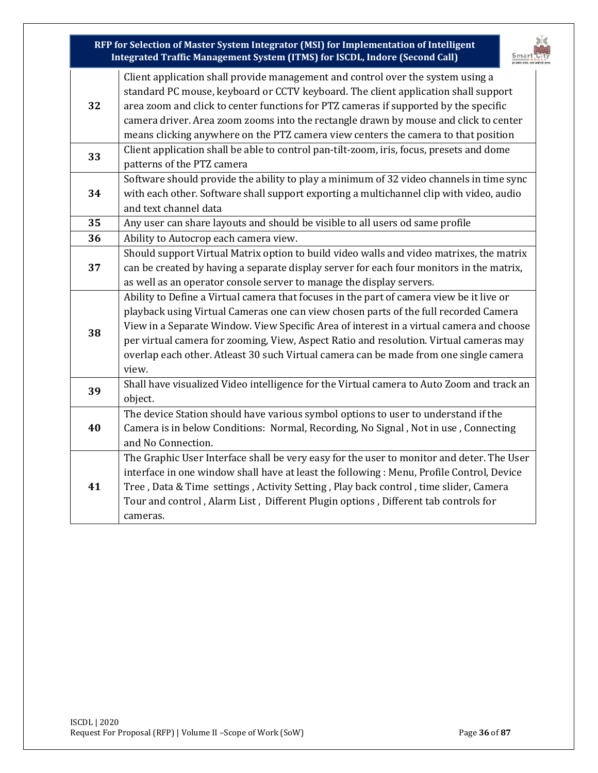**RFP for Selection of Master System Integrator (MSI) for Implementation of Intelligent Integrated Traffic Management System (ITMS) for ISCDL, Indore (Second Call) 32** Client application shall provide management and control over the system using a standard PC mouse, keyboard or CCTV keyboard. The client application shall support area zoom and click to center functions for PTZ cameras if supported by the specific camera driver. Area zoom zooms into the rectangle drawn by mouse and click to center means clicking anywhere on the PTZ camera view centers the camera to that position **33** Client application shall be able to control pan-tilt-zoom, iris, focus, presets and dome patterns of the PTZ camera **34** Software should provide the ability to play a minimum of 32 video channels in time sync with each other. Software shall support exporting a multichannel clip with video, audio and text channel data **35** Any user can share layouts and should be visible to all users od same profile **36** Ability to Autocrop each camera view. **37** Should support Virtual Matrix option to build video walls and video matrixes, the matrix can be created by having a separate display server for each four monitors in the matrix, as well as an operator console server to manage the display servers. **38** Ability to Define a Virtual camera that focuses in the part of camera view be it live or playback using Virtual Cameras one can view chosen parts of the full recorded Camera View in a Separate Window. View Specific Area of interest in a virtual camera and choose per virtual camera for zooming, View, Aspect Ratio and resolution. Virtual cameras may overlap each other. Atleast 30 such Virtual camera can be made from one single camera view. **39** Shall have visualized Video intelligence for the Virtual camera to Auto Zoom and track an object. **40** The device Station should have various symbol options to user to understand if the Camera is in below Conditions: Normal, Recording, No Signal , Not in use , Connecting and No Connection. **41** The Graphic User Interface shall be very easy for the user to monitor and deter. The User interface in one window shall have at least the following : Menu, Profile Control, Device Tree , Data & Time settings , Activity Setting , Play back control , time slider, Camera Tour and control , Alarm List , Different Plugin options , Different tab controls for cameras.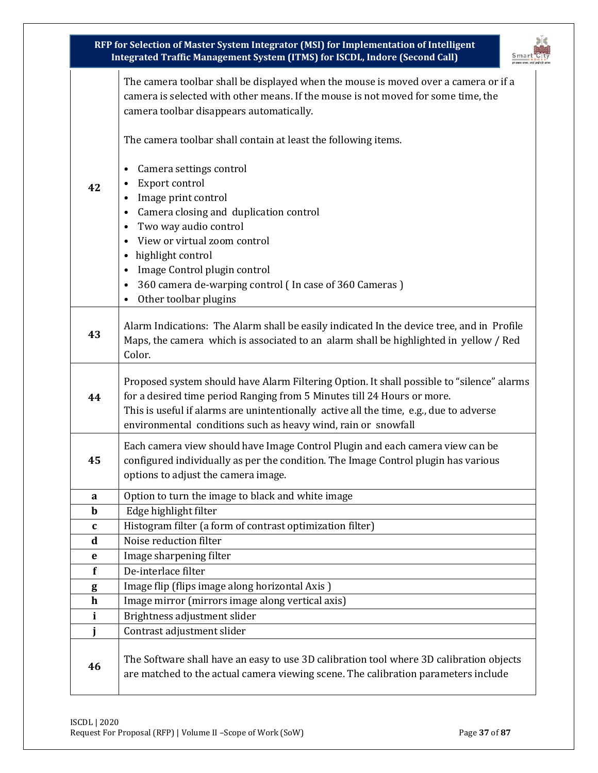|              | RFP for Selection of Master System Integrator (MSI) for Implementation of Intelligent<br>Integrated Traffic Management System (ITMS) for ISCDL, Indore (Second Call)                                                                                                                                                            |  |  |
|--------------|---------------------------------------------------------------------------------------------------------------------------------------------------------------------------------------------------------------------------------------------------------------------------------------------------------------------------------|--|--|
|              | The camera toolbar shall be displayed when the mouse is moved over a camera or if a<br>camera is selected with other means. If the mouse is not moved for some time, the<br>camera toolbar disappears automatically.                                                                                                            |  |  |
|              | The camera toolbar shall contain at least the following items.                                                                                                                                                                                                                                                                  |  |  |
| 42           | Camera settings control<br>$\bullet$<br>Export control<br>$\bullet$<br>Image print control<br>$\bullet$<br>Camera closing and duplication control<br>Two way audio control<br>$\bullet$<br>View or virtual zoom control<br>highlight control<br>$\bullet$<br>Image Control plugin control<br>$\bullet$                          |  |  |
|              | 360 camera de-warping control (In case of 360 Cameras)<br>$\bullet$<br>Other toolbar plugins<br>$\bullet$                                                                                                                                                                                                                       |  |  |
| 43           | Alarm Indications: The Alarm shall be easily indicated In the device tree, and in Profile<br>Maps, the camera which is associated to an alarm shall be highlighted in yellow / Red<br>Color.                                                                                                                                    |  |  |
| 44           | Proposed system should have Alarm Filtering Option. It shall possible to "silence" alarms<br>for a desired time period Ranging from 5 Minutes till 24 Hours or more.<br>This is useful if alarms are unintentionally active all the time, e.g., due to adverse<br>environmental conditions such as heavy wind, rain or snowfall |  |  |
| 45           | Each camera view should have Image Control Plugin and each camera view can be<br>configured individually as per the condition. The Image Control plugin has various<br>options to adjust the camera image.                                                                                                                      |  |  |
| a            | Option to turn the image to black and white image                                                                                                                                                                                                                                                                               |  |  |
| $\mathbf b$  | Edge highlight filter                                                                                                                                                                                                                                                                                                           |  |  |
| $\mathbf c$  | Histogram filter (a form of contrast optimization filter)                                                                                                                                                                                                                                                                       |  |  |
| $\mathbf d$  | Noise reduction filter                                                                                                                                                                                                                                                                                                          |  |  |
| e            | Image sharpening filter                                                                                                                                                                                                                                                                                                         |  |  |
| f            | De-interlace filter                                                                                                                                                                                                                                                                                                             |  |  |
| g            | Image flip (flips image along horizontal Axis)                                                                                                                                                                                                                                                                                  |  |  |
| $\mathbf h$  | Image mirror (mirrors image along vertical axis)                                                                                                                                                                                                                                                                                |  |  |
| $\mathbf{i}$ | Brightness adjustment slider                                                                                                                                                                                                                                                                                                    |  |  |
| j            | Contrast adjustment slider                                                                                                                                                                                                                                                                                                      |  |  |
| 46           | The Software shall have an easy to use 3D calibration tool where 3D calibration objects<br>are matched to the actual camera viewing scene. The calibration parameters include                                                                                                                                                   |  |  |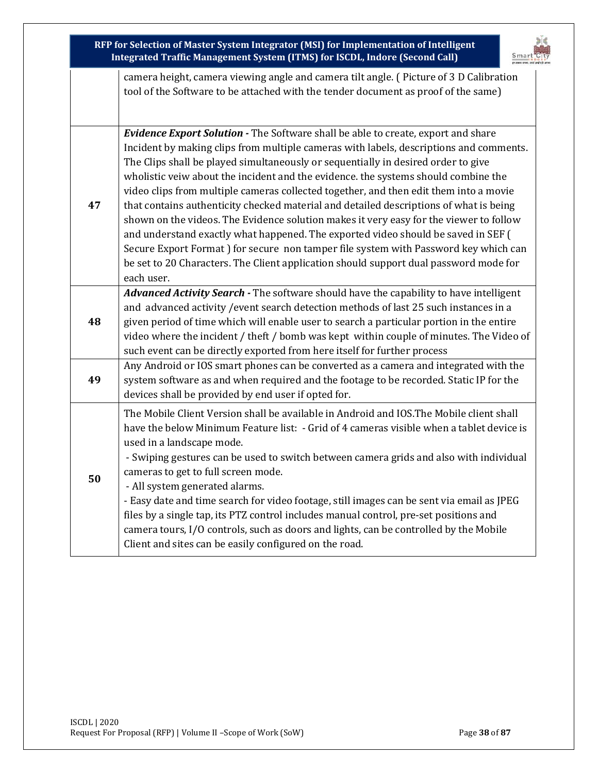|    | RFP for Selection of Master System Integrator (MSI) for Implementation of Intelligent<br>Integrated Traffic Management System (ITMS) for ISCDL, Indore (Second Call)                                                                                                                                                                                                                                                                                                                                                                                                                                                                                                                                                                                                                                                                                                                                                    |
|----|-------------------------------------------------------------------------------------------------------------------------------------------------------------------------------------------------------------------------------------------------------------------------------------------------------------------------------------------------------------------------------------------------------------------------------------------------------------------------------------------------------------------------------------------------------------------------------------------------------------------------------------------------------------------------------------------------------------------------------------------------------------------------------------------------------------------------------------------------------------------------------------------------------------------------|
|    | camera height, camera viewing angle and camera tilt angle. (Picture of 3 D Calibration<br>tool of the Software to be attached with the tender document as proof of the same)                                                                                                                                                                                                                                                                                                                                                                                                                                                                                                                                                                                                                                                                                                                                            |
| 47 | Evidence Export Solution - The Software shall be able to create, export and share<br>Incident by making clips from multiple cameras with labels, descriptions and comments.<br>The Clips shall be played simultaneously or sequentially in desired order to give<br>wholistic veiw about the incident and the evidence. the systems should combine the<br>video clips from multiple cameras collected together, and then edit them into a movie<br>that contains authenticity checked material and detailed descriptions of what is being<br>shown on the videos. The Evidence solution makes it very easy for the viewer to follow<br>and understand exactly what happened. The exported video should be saved in SEF (<br>Secure Export Format ) for secure non tamper file system with Password key which can<br>be set to 20 Characters. The Client application should support dual password mode for<br>each user. |
| 48 | Advanced Activity Search - The software should have the capability to have intelligent<br>and advanced activity / event search detection methods of last 25 such instances in a<br>given period of time which will enable user to search a particular portion in the entire<br>video where the incident / theft / bomb was kept within couple of minutes. The Video of<br>such event can be directly exported from here itself for further process<br>Any Android or IOS smart phones can be converted as a camera and integrated with the                                                                                                                                                                                                                                                                                                                                                                              |
| 49 | system software as and when required and the footage to be recorded. Static IP for the<br>devices shall be provided by end user if opted for.                                                                                                                                                                                                                                                                                                                                                                                                                                                                                                                                                                                                                                                                                                                                                                           |
| 50 | The Mobile Client Version shall be available in Android and IOS. The Mobile client shall<br>have the below Minimum Feature list: - Grid of 4 cameras visible when a tablet device is<br>used in a landscape mode.<br>- Swiping gestures can be used to switch between camera grids and also with individual<br>cameras to get to full screen mode.<br>- All system generated alarms.<br>- Easy date and time search for video footage, still images can be sent via email as JPEG<br>files by a single tap, its PTZ control includes manual control, pre-set positions and<br>camera tours, I/O controls, such as doors and lights, can be controlled by the Mobile<br>Client and sites can be easily configured on the road.                                                                                                                                                                                           |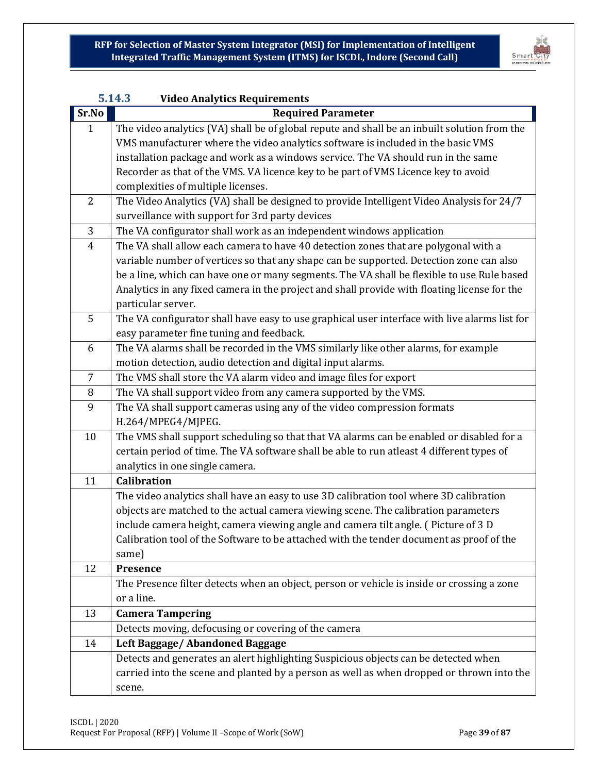

|                | 5.14.3<br><b>Video Analytics Requirements</b>                                                                                                |  |
|----------------|----------------------------------------------------------------------------------------------------------------------------------------------|--|
| Sr.No          | <b>Required Parameter</b>                                                                                                                    |  |
| $\mathbf{1}$   | The video analytics (VA) shall be of global repute and shall be an inbuilt solution from the                                                 |  |
|                | VMS manufacturer where the video analytics software is included in the basic VMS                                                             |  |
|                | installation package and work as a windows service. The VA should run in the same                                                            |  |
|                | Recorder as that of the VMS. VA licence key to be part of VMS Licence key to avoid                                                           |  |
|                | complexities of multiple licenses.                                                                                                           |  |
| 2              | The Video Analytics (VA) shall be designed to provide Intelligent Video Analysis for 24/7<br>surveillance with support for 3rd party devices |  |
| 3              | The VA configurator shall work as an independent windows application                                                                         |  |
| $\overline{4}$ | The VA shall allow each camera to have 40 detection zones that are polygonal with a                                                          |  |
|                | variable number of vertices so that any shape can be supported. Detection zone can also                                                      |  |
|                | be a line, which can have one or many segments. The VA shall be flexible to use Rule based                                                   |  |
|                | Analytics in any fixed camera in the project and shall provide with floating license for the                                                 |  |
|                | particular server.                                                                                                                           |  |
| 5              | The VA configurator shall have easy to use graphical user interface with live alarms list for                                                |  |
|                | easy parameter fine tuning and feedback.                                                                                                     |  |
| 6              | The VA alarms shall be recorded in the VMS similarly like other alarms, for example                                                          |  |
|                | motion detection, audio detection and digital input alarms.                                                                                  |  |
| 7              | The VMS shall store the VA alarm video and image files for export                                                                            |  |
| 8              | The VA shall support video from any camera supported by the VMS.                                                                             |  |
| 9              | The VA shall support cameras using any of the video compression formats                                                                      |  |
|                | H.264/MPEG4/MJPEG.                                                                                                                           |  |
| 10             | The VMS shall support scheduling so that that VA alarms can be enabled or disabled for a                                                     |  |
|                | certain period of time. The VA software shall be able to run atleast 4 different types of                                                    |  |
|                | analytics in one single camera.                                                                                                              |  |
| 11             | <b>Calibration</b>                                                                                                                           |  |
|                | The video analytics shall have an easy to use 3D calibration tool where 3D calibration                                                       |  |
|                | objects are matched to the actual camera viewing scene. The calibration parameters                                                           |  |
|                | include camera height, camera viewing angle and camera tilt angle. (Picture of 3 D                                                           |  |
|                | Calibration tool of the Software to be attached with the tender document as proof of the                                                     |  |
|                | same)                                                                                                                                        |  |
| 12             | Presence                                                                                                                                     |  |
|                | The Presence filter detects when an object, person or vehicle is inside or crossing a zone                                                   |  |
|                | or a line.                                                                                                                                   |  |
| 13             | <b>Camera Tampering</b>                                                                                                                      |  |
|                | Detects moving, defocusing or covering of the camera                                                                                         |  |
| 14             | Left Baggage/ Abandoned Baggage                                                                                                              |  |
|                | Detects and generates an alert highlighting Suspicious objects can be detected when                                                          |  |
|                | carried into the scene and planted by a person as well as when dropped or thrown into the                                                    |  |
|                | scene.                                                                                                                                       |  |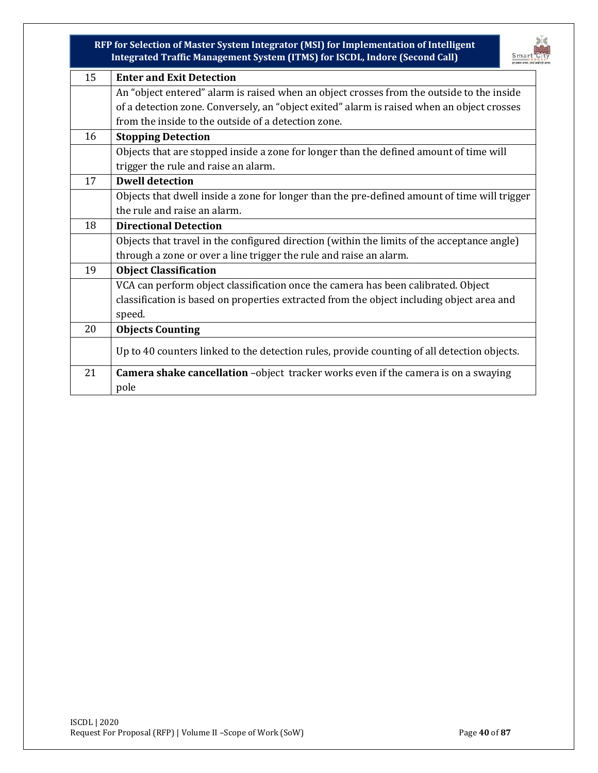

| 15 | <b>Enter and Exit Detection</b>                                                              |  |  |
|----|----------------------------------------------------------------------------------------------|--|--|
|    | An "object entered" alarm is raised when an object crosses from the outside to the inside    |  |  |
|    | of a detection zone. Conversely, an "object exited" alarm is raised when an object crosses   |  |  |
|    | from the inside to the outside of a detection zone.                                          |  |  |
| 16 | <b>Stopping Detection</b>                                                                    |  |  |
|    | Objects that are stopped inside a zone for longer than the defined amount of time will       |  |  |
|    | trigger the rule and raise an alarm.                                                         |  |  |
| 17 | <b>Dwell detection</b>                                                                       |  |  |
|    | Objects that dwell inside a zone for longer than the pre-defined amount of time will trigger |  |  |
|    | the rule and raise an alarm.                                                                 |  |  |
| 18 | <b>Directional Detection</b>                                                                 |  |  |
|    | Objects that travel in the configured direction (within the limits of the acceptance angle)  |  |  |
|    | through a zone or over a line trigger the rule and raise an alarm.                           |  |  |
| 19 | <b>Object Classification</b>                                                                 |  |  |
|    | VCA can perform object classification once the camera has been calibrated. Object            |  |  |
|    | classification is based on properties extracted from the object including object area and    |  |  |
|    | speed.                                                                                       |  |  |
| 20 | <b>Objects Counting</b>                                                                      |  |  |
|    | Up to 40 counters linked to the detection rules, provide counting of all detection objects.  |  |  |
| 21 | <b>Camera shake cancellation</b> -object tracker works even if the camera is on a swaying    |  |  |
|    | pole                                                                                         |  |  |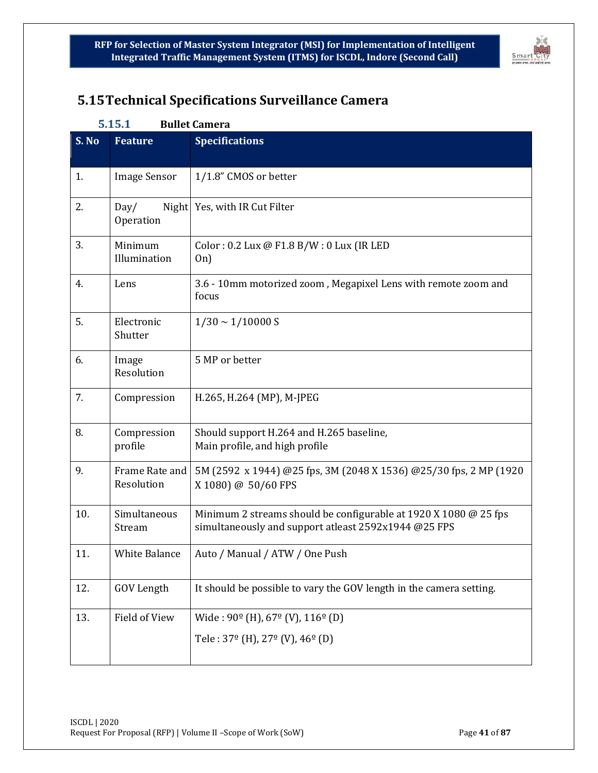

# **5.15Technical Specifications Surveillance Camera**

#### **5.15.1 Bullet Camera**

| S. No | <b>Feature</b>               | <b>Specifications</b>                                                                                                    |  |
|-------|------------------------------|--------------------------------------------------------------------------------------------------------------------------|--|
| 1.    | <b>Image Sensor</b>          | 1/1.8" CMOS or better                                                                                                    |  |
| 2.    | Day/<br>Operation            | Night Yes, with IR Cut Filter                                                                                            |  |
| 3.    | Minimum<br>Illumination      | Color: 0.2 Lux @ F1.8 B/W: 0 Lux (IR LED<br>On)                                                                          |  |
| 4.    | Lens                         | 3.6 - 10mm motorized zoom, Megapixel Lens with remote zoom and<br>focus                                                  |  |
| 5.    | Electronic<br>Shutter        | $1/30 \sim 1/10000$ S                                                                                                    |  |
| 6.    | Image<br>Resolution          | 5 MP or better                                                                                                           |  |
| 7.    | Compression                  | H.265, H.264 (MP), M-JPEG                                                                                                |  |
| 8.    | Compression<br>profile       | Should support H.264 and H.265 baseline,<br>Main profile, and high profile                                               |  |
| 9.    | Frame Rate and<br>Resolution | 5M (2592 x 1944) @25 fps, 3M (2048 X 1536) @25/30 fps, 2 MP (1920<br>X 1080) @ 50/60 FPS                                 |  |
| 10.   | Simultaneous<br>Stream       | Minimum 2 streams should be configurable at 1920 X 1080 @ 25 fps<br>simultaneously and support atleast 2592x1944 @25 FPS |  |
| 11.   | <b>White Balance</b>         | Auto / Manual / ATW / One Push                                                                                           |  |
| 12.   | <b>GOV Length</b>            | It should be possible to vary the GOV length in the camera setting.                                                      |  |
| 13.   | Field of View                | Wide: $90^{\circ}$ (H), $67^{\circ}$ (V), $116^{\circ}$ (D)                                                              |  |
|       |                              | Tele: $37^{\circ}$ (H), $27^{\circ}$ (V), $46^{\circ}$ (D)                                                               |  |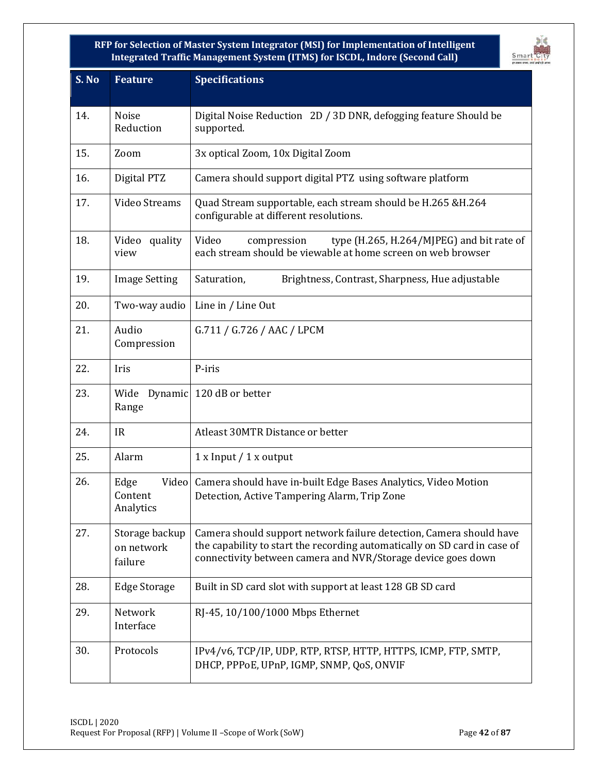

| S. No | <b>Feature</b>                          | <b>Specifications</b>                                                                                                                                                                                            |  |
|-------|-----------------------------------------|------------------------------------------------------------------------------------------------------------------------------------------------------------------------------------------------------------------|--|
| 14.   | <b>Noise</b><br>Reduction               | Digital Noise Reduction 2D / 3D DNR, defogging feature Should be<br>supported.                                                                                                                                   |  |
| 15.   | Zoom                                    | 3x optical Zoom, 10x Digital Zoom                                                                                                                                                                                |  |
| 16.   | Digital PTZ                             | Camera should support digital PTZ using software platform                                                                                                                                                        |  |
| 17.   | Video Streams                           | Quad Stream supportable, each stream should be H.265 &H.264<br>configurable at different resolutions.                                                                                                            |  |
| 18.   | Video quality<br>view                   | Video<br>type (H.265, H.264/MJPEG) and bit rate of<br>compression<br>each stream should be viewable at home screen on web browser                                                                                |  |
| 19.   | <b>Image Setting</b>                    | Saturation,<br>Brightness, Contrast, Sharpness, Hue adjustable                                                                                                                                                   |  |
| 20.   | Two-way audio                           | Line in / Line Out                                                                                                                                                                                               |  |
| 21.   | Audio<br>Compression                    | G.711 / G.726 / AAC / LPCM                                                                                                                                                                                       |  |
| 22.   | Iris                                    | P-iris                                                                                                                                                                                                           |  |
| 23.   | Wide<br>Range                           | Dynamic 120 dB or better                                                                                                                                                                                         |  |
| 24.   | <b>IR</b>                               | Atleast 30MTR Distance or better                                                                                                                                                                                 |  |
| 25.   | Alarm                                   | $1x$ Input $/1x$ output                                                                                                                                                                                          |  |
| 26.   | Edge<br>Content<br>Analytics            | Video Camera should have in-built Edge Bases Analytics, Video Motion<br>Detection, Active Tampering Alarm, Trip Zone                                                                                             |  |
| 27.   | Storage backup<br>on network<br>failure | Camera should support network failure detection, Camera should have<br>the capability to start the recording automatically on SD card in case of<br>connectivity between camera and NVR/Storage device goes down |  |
| 28.   | <b>Edge Storage</b>                     | Built in SD card slot with support at least 128 GB SD card                                                                                                                                                       |  |
| 29.   | Network<br>Interface                    | RJ-45, 10/100/1000 Mbps Ethernet                                                                                                                                                                                 |  |
| 30.   | Protocols                               | IPv4/v6, TCP/IP, UDP, RTP, RTSP, HTTP, HTTPS, ICMP, FTP, SMTP,<br>DHCP, PPPoE, UPnP, IGMP, SNMP, QoS, ONVIF                                                                                                      |  |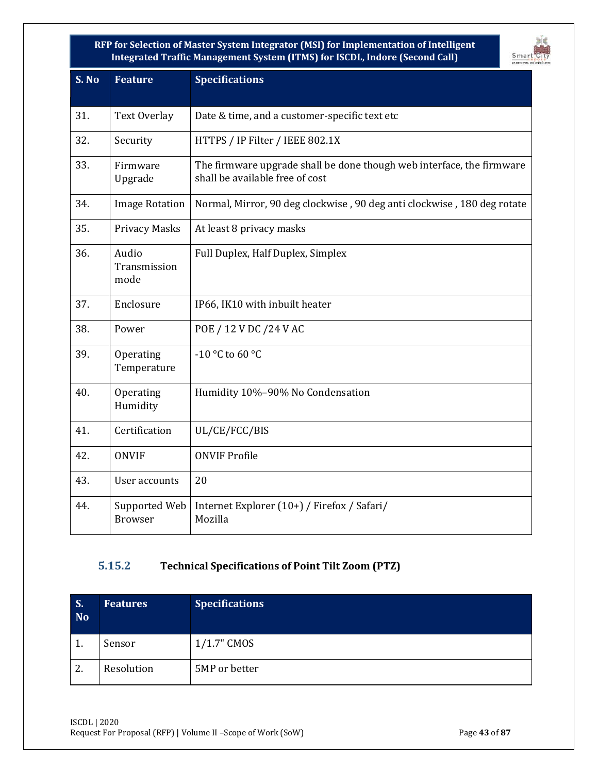

| S. No | <b>Feature</b>                  | <b>Specifications</b>                                                                                    |  |
|-------|---------------------------------|----------------------------------------------------------------------------------------------------------|--|
| 31.   | <b>Text Overlay</b>             | Date & time, and a customer-specific text etc                                                            |  |
| 32.   | Security                        | HTTPS / IP Filter / IEEE 802.1X                                                                          |  |
| 33.   | Firmware<br>Upgrade             | The firmware upgrade shall be done though web interface, the firmware<br>shall be available free of cost |  |
| 34.   | <b>Image Rotation</b>           | Normal, Mirror, 90 deg clockwise, 90 deg anti clockwise, 180 deg rotate                                  |  |
| 35.   | <b>Privacy Masks</b>            | At least 8 privacy masks                                                                                 |  |
| 36.   | Audio<br>Transmission<br>mode   | Full Duplex, Half Duplex, Simplex                                                                        |  |
| 37.   | Enclosure                       | IP66, IK10 with inbuilt heater                                                                           |  |
| 38.   | Power                           | POE / 12 V DC / 24 V AC                                                                                  |  |
| 39.   | Operating<br>Temperature        | -10 °C to 60 °C                                                                                          |  |
| 40.   | Operating<br>Humidity           | Humidity 10%-90% No Condensation                                                                         |  |
| 41.   | Certification                   | UL/CE/FCC/BIS                                                                                            |  |
| 42.   | <b>ONVIF</b>                    | <b>ONVIF Profile</b>                                                                                     |  |
| 43.   | User accounts                   | 20                                                                                                       |  |
| 44.   | Supported Web<br><b>Browser</b> | Internet Explorer (10+) / Firefox / Safari/<br>Mozilla                                                   |  |

### **5.15.2 Technical Specifications of Point Tilt Zoom (PTZ)**

| S.<br><b>No</b> | <b>Features</b> | <b>Specifications</b> |
|-----------------|-----------------|-----------------------|
| 1.              | Sensor          | $1/1.7$ " CMOS        |
| 2.              | Resolution      | 5MP or better         |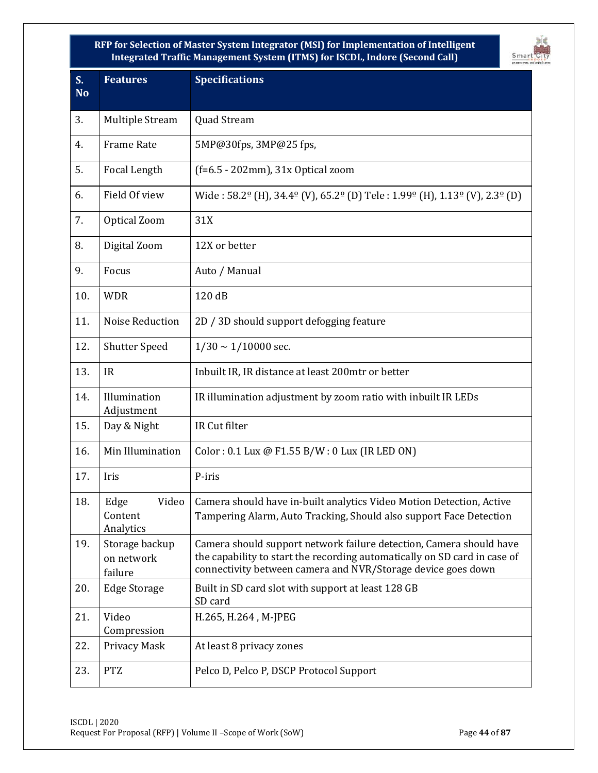

| S <sub>r</sub><br><b>No</b> | <b>Features</b>                         | <b>Specifications</b>                                                                                                                                                                                            |  |
|-----------------------------|-----------------------------------------|------------------------------------------------------------------------------------------------------------------------------------------------------------------------------------------------------------------|--|
| 3.                          | <b>Multiple Stream</b>                  | Quad Stream                                                                                                                                                                                                      |  |
| 4.                          | <b>Frame Rate</b>                       | 5MP@30fps, 3MP@25 fps,                                                                                                                                                                                           |  |
| 5.                          | Focal Length                            | $(f=6.5 - 202mm)$ , 31x Optical zoom                                                                                                                                                                             |  |
| 6.                          | Field Of view                           | Wide: $58.2^{\circ}$ (H), $34.4^{\circ}$ (V), $65.2^{\circ}$ (D) Tele: $1.99^{\circ}$ (H), $1.13^{\circ}$ (V), $2.3^{\circ}$ (D)                                                                                 |  |
| 7.                          | Optical Zoom                            | 31X                                                                                                                                                                                                              |  |
| 8.                          | Digital Zoom                            | 12X or better                                                                                                                                                                                                    |  |
| 9.                          | Focus                                   | Auto / Manual                                                                                                                                                                                                    |  |
| 10.                         | <b>WDR</b>                              | 120 dB                                                                                                                                                                                                           |  |
| 11.                         | Noise Reduction                         | 2D / 3D should support defogging feature                                                                                                                                                                         |  |
| 12.                         | <b>Shutter Speed</b>                    | $1/30 \sim 1/10000$ sec.                                                                                                                                                                                         |  |
| 13.                         | <b>IR</b>                               | Inbuilt IR, IR distance at least 200mtr or better                                                                                                                                                                |  |
| 14.                         | Illumination<br>Adjustment              | IR illumination adjustment by zoom ratio with inbuilt IR LEDs                                                                                                                                                    |  |
| 15.                         | Day & Night                             | IR Cut filter                                                                                                                                                                                                    |  |
| 16.                         | Min Illumination                        | Color: 0.1 Lux @ F1.55 B/W: 0 Lux (IR LED ON)                                                                                                                                                                    |  |
| 17.                         | Iris                                    | P-iris                                                                                                                                                                                                           |  |
| 18.                         | Edge<br>Content<br>Analytics            | Video   Camera should have in-built analytics Video Motion Detection, Active<br>Tampering Alarm, Auto Tracking, Should also support Face Detection                                                               |  |
| 19.                         | Storage backup<br>on network<br>failure | Camera should support network failure detection, Camera should have<br>the capability to start the recording automatically on SD card in case of<br>connectivity between camera and NVR/Storage device goes down |  |
| 20.                         | <b>Edge Storage</b>                     | Built in SD card slot with support at least 128 GB<br>SD card                                                                                                                                                    |  |
| 21.                         | Video<br>Compression                    | H.265, H.264, M-JPEG                                                                                                                                                                                             |  |
| 22.                         | Privacy Mask                            | At least 8 privacy zones                                                                                                                                                                                         |  |
| 23.                         | <b>PTZ</b>                              | Pelco D, Pelco P, DSCP Protocol Support                                                                                                                                                                          |  |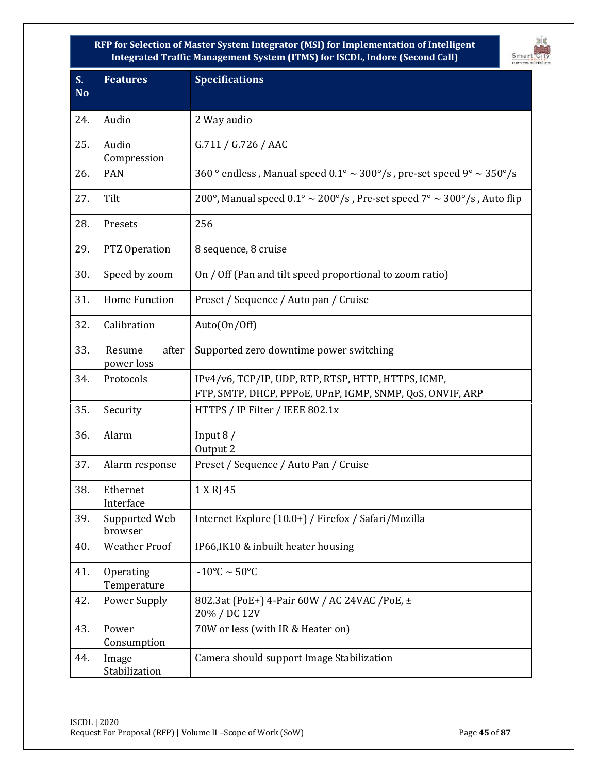

| S <sub>r</sub><br><b>No</b> | <b>Features</b>               | <b>Specifications</b>                                                                                            |  |
|-----------------------------|-------------------------------|------------------------------------------------------------------------------------------------------------------|--|
| 24.                         | Audio                         | 2 Way audio                                                                                                      |  |
| 25.                         | Audio<br>Compression          | G.711 / G.726 / AAC                                                                                              |  |
| 26.                         | <b>PAN</b>                    | 360 ° endless, Manual speed $0.1^{\circ} \sim 300^{\circ}/s$ , pre-set speed 9° $\sim 350^{\circ}/s$             |  |
| 27.                         | Tilt                          | 200°, Manual speed $0.1^{\circ} \sim 200^{\circ}/s$ , Pre-set speed $7^{\circ} \sim 300^{\circ}/s$ , Auto flip   |  |
| 28.                         | Presets                       | 256                                                                                                              |  |
| 29.                         | PTZ Operation                 | 8 sequence, 8 cruise                                                                                             |  |
| 30.                         | Speed by zoom                 | On / Off (Pan and tilt speed proportional to zoom ratio)                                                         |  |
| 31.                         | <b>Home Function</b>          | Preset / Sequence / Auto pan / Cruise                                                                            |  |
| 32.                         | Calibration                   | Auto(On/Off)                                                                                                     |  |
| 33.                         | Resume<br>after<br>power loss | Supported zero downtime power switching                                                                          |  |
| 34.                         | Protocols                     | IPv4/v6, TCP/IP, UDP, RTP, RTSP, HTTP, HTTPS, ICMP,<br>FTP, SMTP, DHCP, PPPoE, UPnP, IGMP, SNMP, QoS, ONVIF, ARP |  |
| 35.                         | Security                      | HTTPS / IP Filter / IEEE 802.1x                                                                                  |  |
| 36.                         | Alarm                         | Input $8/$<br>Output 2                                                                                           |  |
| 37.                         | Alarm response                | Preset / Sequence / Auto Pan / Cruise                                                                            |  |
| 38.                         | Ethernet<br>Interface         | 1 X RJ 45                                                                                                        |  |
| 39.                         | Supported Web<br>browser      | Internet Explore (10.0+) / Firefox / Safari/Mozilla                                                              |  |
| 40.                         | <b>Weather Proof</b>          | IP66, IK10 & inbuilt heater housing                                                                              |  |
| 41.                         | Operating<br>Temperature      | $-10^{\circ}$ C ~ 50 $^{\circ}$ C                                                                                |  |
| 42.                         | <b>Power Supply</b>           | 802.3at (PoE+) 4-Pair 60W / AC 24VAC / PoE, ±<br>20% / DC 12V                                                    |  |
| 43.                         | Power<br>Consumption          | 70W or less (with IR & Heater on)                                                                                |  |
| 44.                         | Image<br>Stabilization        | Camera should support Image Stabilization                                                                        |  |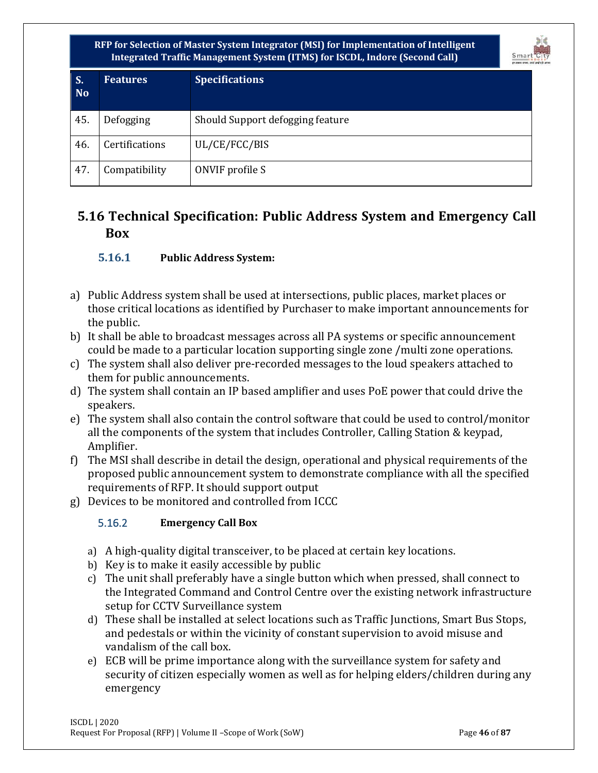

| $\mathsf{S}$ .<br><b>No</b> | <b>Features</b> | <b>Specifications</b>            |
|-----------------------------|-----------------|----------------------------------|
| 45.                         | Defogging       | Should Support defogging feature |
| 46.                         | Certifications  | UL/CE/FCC/BIS                    |
| 47.                         | Compatibility   | ONVIF profile S                  |

# **5.16 Technical Specification: Public Address System and Emergency Call Box**

#### **5.16.1 Public Address System:**

- a) Public Address system shall be used at intersections, public places, market places or those critical locations as identified by Purchaser to make important announcements for the public.
- b) It shall be able to broadcast messages across all PA systems or specific announcement could be made to a particular location supporting single zone /multi zone operations.
- c) The system shall also deliver pre-recorded messages to the loud speakers attached to them for public announcements.
- d) The system shall contain an IP based amplifier and uses PoE power that could drive the speakers.
- e) The system shall also contain the control software that could be used to control/monitor all the components of the system that includes Controller, Calling Station & keypad, Amplifier.
- f) The MSI shall describe in detail the design, operational and physical requirements of the proposed public announcement system to demonstrate compliance with all the specified requirements of RFP. It should support output
- g) Devices to be monitored and controlled from ICCC

#### 5.16.2 **Emergency Call Box**

- a) A high-quality digital transceiver, to be placed at certain key locations.
- b) Key is to make it easily accessible by public
- c) The unit shall preferably have a single button which when pressed, shall connect to the Integrated Command and Control Centre over the existing network infrastructure setup for CCTV Surveillance system
- d) These shall be installed at select locations such as Traffic Junctions, Smart Bus Stops, and pedestals or within the vicinity of constant supervision to avoid misuse and vandalism of the call box.
- e) ECB will be prime importance along with the surveillance system for safety and security of citizen especially women as well as for helping elders/children during any emergency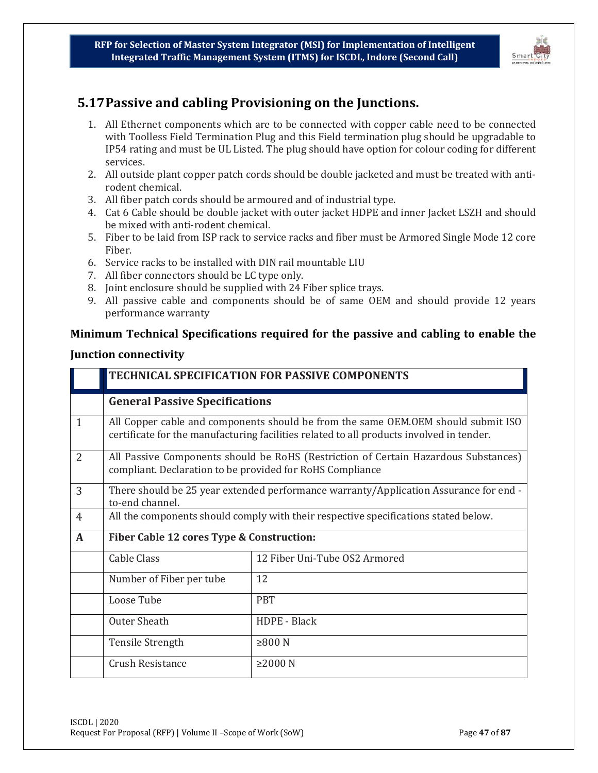

# **5.17Passive and cabling Provisioning on the Junctions.**

- 1. All Ethernet components which are to be connected with copper cable need to be connected with Toolless Field Termination Plug and this Field termination plug should be upgradable to IP54 rating and must be UL Listed. The plug should have option for colour coding for different services.
- 2. All outside plant copper patch cords should be double jacketed and must be treated with antirodent chemical.
- 3. All fiber patch cords should be armoured and of industrial type.
- 4. Cat 6 Cable should be double jacket with outer jacket HDPE and inner Jacket LSZH and should be mixed with anti-rodent chemical.
- 5. Fiber to be laid from ISP rack to service racks and fiber must be Armored Single Mode 12 core Fiber.
- 6. Service racks to be installed with DIN rail mountable LIU
- 7. All fiber connectors should be LC type only.
- 8. Joint enclosure should be supplied with 24 Fiber splice trays.
- 9. All passive cable and components should be of same OEM and should provide 12 years performance warranty

#### **Minimum Technical Specifications required for the passive and cabling to enable the**

#### **Junction connectivity**

|                | TECHNICAL SPECIFICATION FOR PASSIVE COMPONENTS                                                                                                                                |                               |  |
|----------------|-------------------------------------------------------------------------------------------------------------------------------------------------------------------------------|-------------------------------|--|
|                | <b>General Passive Specifications</b>                                                                                                                                         |                               |  |
| $\mathbf{1}$   | All Copper cable and components should be from the same OEM.OEM should submit ISO<br>certificate for the manufacturing facilities related to all products involved in tender. |                               |  |
| $\overline{2}$ | All Passive Components should be RoHS (Restriction of Certain Hazardous Substances)<br>compliant. Declaration to be provided for RoHS Compliance                              |                               |  |
| 3              | There should be 25 year extended performance warranty/Application Assurance for end -<br>to-end channel.                                                                      |                               |  |
| $\overline{4}$ | All the components should comply with their respective specifications stated below.                                                                                           |                               |  |
| $\mathbf{A}$   | Fiber Cable 12 cores Type & Construction:                                                                                                                                     |                               |  |
|                | <b>Cable Class</b>                                                                                                                                                            | 12 Fiber Uni-Tube OS2 Armored |  |
|                | Number of Fiber per tube                                                                                                                                                      | 12                            |  |
|                | Loose Tube                                                                                                                                                                    | <b>PBT</b>                    |  |
|                | Outer Sheath                                                                                                                                                                  | HDPE - Black                  |  |
|                | <b>Tensile Strength</b>                                                                                                                                                       | ≥800 N                        |  |
|                | Crush Resistance                                                                                                                                                              | $\geq$ 2000 N                 |  |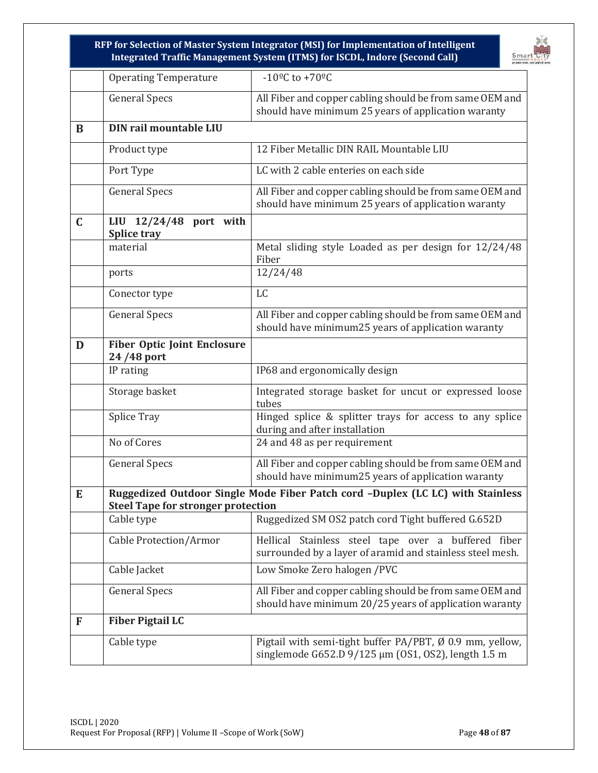

|             | <b>Operating Temperature</b>                     | $-10^{\circ}$ C to +70°C                                                                                           |  |  |
|-------------|--------------------------------------------------|--------------------------------------------------------------------------------------------------------------------|--|--|
|             | <b>General Specs</b>                             | All Fiber and copper cabling should be from same OEM and<br>should have minimum 25 years of application waranty    |  |  |
| B           | DIN rail mountable LIU                           |                                                                                                                    |  |  |
|             | Product type                                     | 12 Fiber Metallic DIN RAIL Mountable LIU                                                                           |  |  |
|             | Port Type                                        | LC with 2 cable enteries on each side                                                                              |  |  |
|             | <b>General Specs</b>                             | All Fiber and copper cabling should be from same OEM and<br>should have minimum 25 years of application waranty    |  |  |
| $\mathbf C$ | LIU $12/24/48$ port with<br>Splice tray          |                                                                                                                    |  |  |
|             | material                                         | Metal sliding style Loaded as per design for 12/24/48<br>Fiber                                                     |  |  |
|             | ports                                            | 12/24/48                                                                                                           |  |  |
|             | Conector type                                    | LC                                                                                                                 |  |  |
|             | <b>General Specs</b>                             | All Fiber and copper cabling should be from same OEM and<br>should have minimum25 years of application waranty     |  |  |
| D           | <b>Fiber Optic Joint Enclosure</b><br>24/48 port |                                                                                                                    |  |  |
|             | IP rating                                        | IP68 and ergonomically design                                                                                      |  |  |
|             | Storage basket                                   | Integrated storage basket for uncut or expressed loose<br>tubes                                                    |  |  |
|             | <b>Splice Tray</b>                               | Hinged splice & splitter trays for access to any splice<br>during and after installation                           |  |  |
|             | No of Cores                                      | 24 and 48 as per requirement                                                                                       |  |  |
|             | <b>General Specs</b>                             | All Fiber and copper cabling should be from same OEM and<br>should have minimum25 years of application waranty     |  |  |
| E           | <b>Steel Tape for stronger protection</b>        | Ruggedized Outdoor Single Mode Fiber Patch cord -Duplex (LC LC) with Stainless                                     |  |  |
|             | Cable type                                       | Ruggedized SM OS2 patch cord Tight buffered G.652D                                                                 |  |  |
|             | Cable Protection/Armor                           | Hellical Stainless steel tape over a buffered fiber<br>surrounded by a layer of aramid and stainless steel mesh.   |  |  |
|             | Cable Jacket                                     | Low Smoke Zero halogen / PVC                                                                                       |  |  |
|             | <b>General Specs</b>                             | All Fiber and copper cabling should be from same OEM and<br>should have minimum 20/25 years of application waranty |  |  |
| F           | <b>Fiber Pigtail LC</b>                          |                                                                                                                    |  |  |
|             | Cable type                                       | Pigtail with semi-tight buffer PA/PBT, Ø 0.9 mm, yellow,<br>singlemode G652.D 9/125 μm (OS1, OS2), length 1.5 m    |  |  |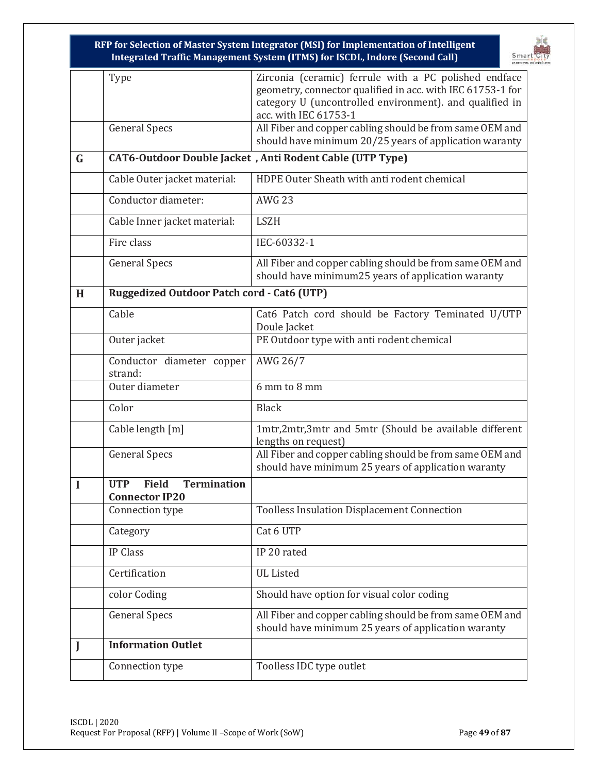

|          | Type                                                                      | Zirconia (ceramic) ferrule with a PC polished endface                                                           |
|----------|---------------------------------------------------------------------------|-----------------------------------------------------------------------------------------------------------------|
|          |                                                                           | geometry, connector qualified in acc. with IEC 61753-1 for                                                      |
|          |                                                                           | category U (uncontrolled environment). and qualified in<br>acc. with IEC 61753-1                                |
|          | <b>General Specs</b>                                                      | All Fiber and copper cabling should be from same OEM and                                                        |
|          |                                                                           | should have minimum 20/25 years of application waranty                                                          |
| G        |                                                                           | CAT6-Outdoor Double Jacket, Anti Rodent Cable (UTP Type)                                                        |
|          | Cable Outer jacket material:                                              | HDPE Outer Sheath with anti rodent chemical                                                                     |
|          | Conductor diameter:                                                       | <b>AWG 23</b>                                                                                                   |
|          | Cable Inner jacket material:                                              | <b>LSZH</b>                                                                                                     |
|          | Fire class                                                                | IEC-60332-1                                                                                                     |
|          | <b>General Specs</b>                                                      | All Fiber and copper cabling should be from same OEM and<br>should have minimum25 years of application waranty  |
| H        | <b>Ruggedized Outdoor Patch cord - Cat6 (UTP)</b>                         |                                                                                                                 |
|          | Cable                                                                     |                                                                                                                 |
|          |                                                                           | Cat6 Patch cord should be Factory Teminated U/UTP<br>Doule Jacket                                               |
|          | Outer jacket                                                              | PE Outdoor type with anti rodent chemical                                                                       |
|          | Conductor diameter copper<br>strand:                                      | AWG 26/7                                                                                                        |
|          | Outer diameter                                                            | 6 mm to 8 mm                                                                                                    |
|          | Color                                                                     | <b>Black</b>                                                                                                    |
|          | Cable length [m]                                                          | 1mtr,2mtr,3mtr and 5mtr (Should be available different<br>lengths on request)                                   |
|          | <b>General Specs</b>                                                      | All Fiber and copper cabling should be from same OEM and<br>should have minimum 25 years of application waranty |
| $\bf{I}$ | <b>Termination</b><br><b>UTP</b><br><b>Field</b><br><b>Connector IP20</b> |                                                                                                                 |
|          | Connection type                                                           | <b>Toolless Insulation Displacement Connection</b>                                                              |
|          | Category                                                                  | Cat 6 UTP                                                                                                       |
|          | <b>IP Class</b>                                                           | IP 20 rated                                                                                                     |
|          | Certification                                                             | <b>UL</b> Listed                                                                                                |
|          | color Coding                                                              | Should have option for visual color coding                                                                      |
|          | <b>General Specs</b>                                                      | All Fiber and copper cabling should be from same OEM and<br>should have minimum 25 years of application waranty |
|          | <b>Information Outlet</b>                                                 |                                                                                                                 |
|          | Connection type                                                           | Toolless IDC type outlet                                                                                        |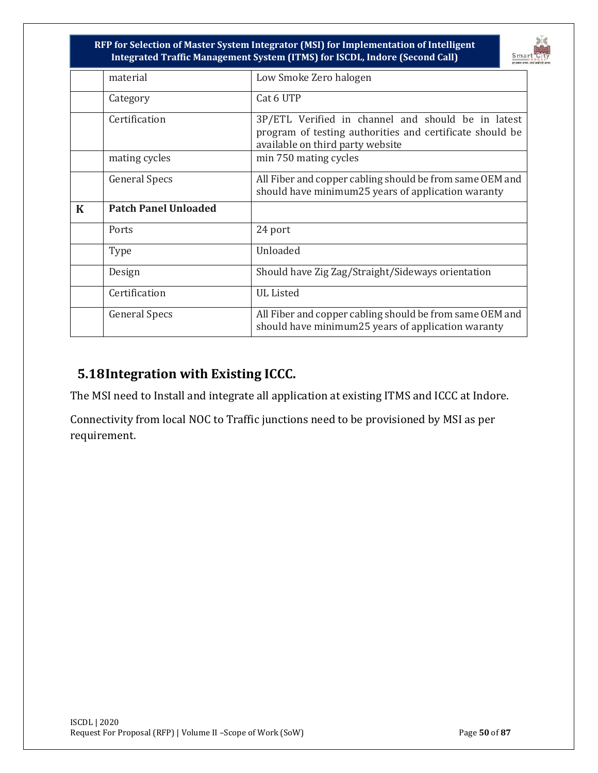

|             | material                    | Low Smoke Zero halogen                                                                                                                             |  |
|-------------|-----------------------------|----------------------------------------------------------------------------------------------------------------------------------------------------|--|
|             | Category                    | Cat 6 UTP                                                                                                                                          |  |
|             | Certification               | 3P/ETL Verified in channel and should be in latest<br>program of testing authorities and certificate should be<br>available on third party website |  |
|             | mating cycles               | min 750 mating cycles                                                                                                                              |  |
|             | <b>General Specs</b>        | All Fiber and copper cabling should be from same OEM and<br>should have minimum25 years of application waranty                                     |  |
| $\mathbf K$ | <b>Patch Panel Unloaded</b> |                                                                                                                                                    |  |
|             | Ports                       | 24 port                                                                                                                                            |  |
|             | Type                        | Unloaded                                                                                                                                           |  |
|             | Design                      | Should have Zig Zag/Straight/Sideways orientation                                                                                                  |  |
|             | Certification               | <b>UL Listed</b>                                                                                                                                   |  |
|             | <b>General Specs</b>        | All Fiber and copper cabling should be from same OEM and<br>should have minimum25 years of application waranty                                     |  |

# **5.18Integration with Existing ICCC.**

The MSI need to Install and integrate all application at existing ITMS and ICCC at Indore.

Connectivity from local NOC to Traffic junctions need to be provisioned by MSI as per requirement.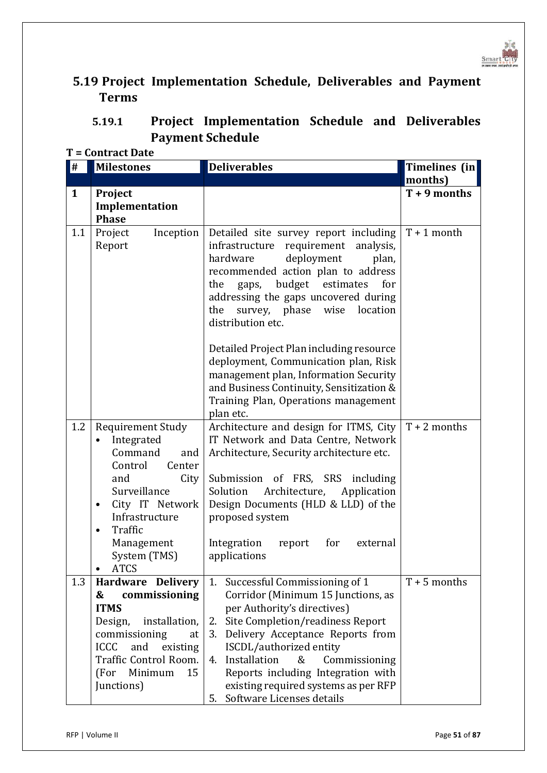

# **5.19 Project Implementation Schedule, Deliverables and Payment Terms**

| 5.19.1 | <b>Project Implementation Schedule and Deliverables</b> |  |  |
|--------|---------------------------------------------------------|--|--|
|        | <b>Payment Schedule</b>                                 |  |  |

**T = Contract Date**

| #            | <b>Milestones</b>                                                                                                                                                                                                                        | <b>Deliverables</b>                                                                                                                                                                                                                                                                                                                                                                                                                                                                                                                         | Timelines (in  |
|--------------|------------------------------------------------------------------------------------------------------------------------------------------------------------------------------------------------------------------------------------------|---------------------------------------------------------------------------------------------------------------------------------------------------------------------------------------------------------------------------------------------------------------------------------------------------------------------------------------------------------------------------------------------------------------------------------------------------------------------------------------------------------------------------------------------|----------------|
|              |                                                                                                                                                                                                                                          |                                                                                                                                                                                                                                                                                                                                                                                                                                                                                                                                             | months)        |
| $\mathbf{1}$ | Project<br>Implementation<br><b>Phase</b>                                                                                                                                                                                                |                                                                                                                                                                                                                                                                                                                                                                                                                                                                                                                                             | $T + 9$ months |
| 1.1          | Project<br>Inception<br>Report                                                                                                                                                                                                           | Detailed site survey report including<br>requirement<br>infrastructure<br>analysis,<br>deployment<br>hardware<br>plan,<br>recommended action plan to address<br>budget estimates<br>the<br>for<br>gaps,<br>addressing the gaps uncovered during<br>the<br>survey, phase wise<br>location<br>distribution etc.<br>Detailed Project Plan including resource<br>deployment, Communication plan, Risk<br>management plan, Information Security<br>and Business Continuity, Sensitization &<br>Training Plan, Operations management<br>plan etc. | $T + 1$ month  |
| 1.2          | <b>Requirement Study</b><br>Integrated<br>٠<br>Command<br>and<br>Control<br>Center<br>and<br>City<br>Surveillance<br>City IT Network<br>$\bullet$<br>Infrastructure<br>Traffic<br>$\bullet$<br>Management<br>System (TMS)<br><b>ATCS</b> | Architecture and design for ITMS, City<br>IT Network and Data Centre, Network<br>Architecture, Security architecture etc.<br>Submission of FRS, SRS including<br>Solution<br>Architecture, Application<br>Design Documents (HLD & LLD) of the<br>proposed system<br>Integration<br>for<br>report<br>external<br>applications                                                                                                                                                                                                                | $T + 2$ months |
| 1.3          | Hardware Delivery<br>commissioning<br>&<br><b>ITMS</b><br>Design,<br>installation,<br>commissioning<br>at<br><b>ICCC</b><br>and<br>existing<br>Traffic Control Room.<br>Minimum<br>15<br>(For<br>Junctions)                              | 1. Successful Commissioning of 1<br>Corridor (Minimum 15 Junctions, as<br>per Authority's directives)<br>Site Completion/readiness Report<br>2.<br>3. Delivery Acceptance Reports from<br>ISCDL/authorized entity<br>4. Installation<br>&<br>Commissioning<br>Reports including Integration with<br>existing required systems as per RFP<br>Software Licenses details<br>5.                                                                                                                                                                 | $T + 5$ months |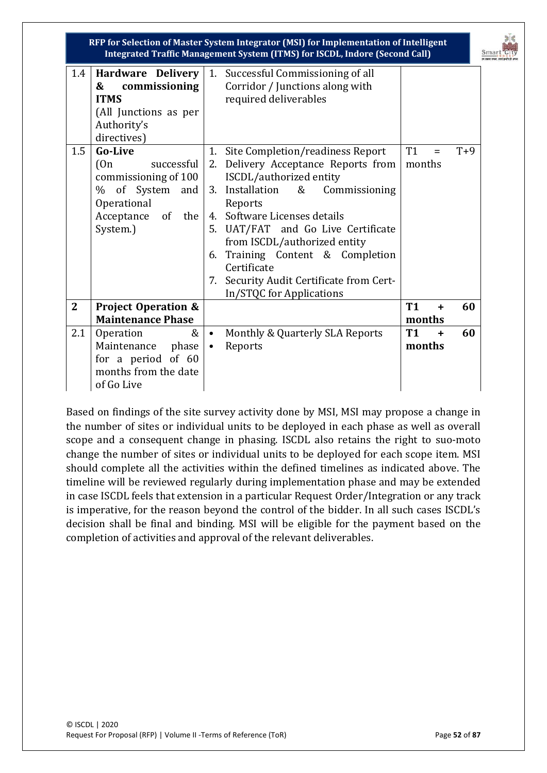

| 1.4            | <b>Hardware Delivery</b>       |                                          | 1. Successful Commissioning of all |           |           |       |
|----------------|--------------------------------|------------------------------------------|------------------------------------|-----------|-----------|-------|
|                | commissioning<br>&             |                                          | Corridor / Junctions along with    |           |           |       |
|                | <b>ITMS</b>                    |                                          | required deliverables              |           |           |       |
|                | (All Junctions as per          |                                          |                                    |           |           |       |
|                | Authority's                    |                                          |                                    |           |           |       |
|                | directives)                    |                                          |                                    |           |           |       |
| 1.5            | <b>Go-Live</b>                 | 1.                                       | Site Completion/readiness Report   | <b>T1</b> | $=$       | $T+9$ |
|                | (0n)<br>successful             | 2.                                       | Delivery Acceptance Reports from   | months    |           |       |
|                | commissioning of 100           |                                          | ISCDL/authorized entity            |           |           |       |
|                | of System and<br>%             |                                          | 3. Installation &<br>Commissioning |           |           |       |
|                | Operational                    |                                          | Reports                            |           |           |       |
|                | Acceptance of the              |                                          | 4. Software Licenses details       |           |           |       |
|                | System.)                       |                                          | 5. UAT/FAT and Go Live Certificate |           |           |       |
|                |                                |                                          | from ISCDL/authorized entity       |           |           |       |
|                |                                | 6.                                       | Training Content & Completion      |           |           |       |
|                |                                | Certificate                              |                                    |           |           |       |
|                |                                | 7. Security Audit Certificate from Cert- |                                    |           |           |       |
|                |                                |                                          | In/STQC for Applications           |           |           |       |
| $\overline{2}$ | <b>Project Operation &amp;</b> |                                          |                                    |           | $\ddot{}$ | 60    |
|                | <b>Maintenance Phase</b>       |                                          |                                    | months    |           |       |
| 2.1            | $\&$<br>Operation              | $\bullet$                                | Monthly & Quarterly SLA Reports    | <b>T1</b> | $\ddot{}$ | 60    |
|                | Maintenance<br>phase           | $\bullet$                                | Reports                            |           | months    |       |
|                | for a period of 60             |                                          |                                    |           |           |       |
|                | months from the date           |                                          |                                    |           |           |       |
|                | of Go Live                     |                                          |                                    |           |           |       |

Based on findings of the site survey activity done by MSI, MSI may propose a change in the number of sites or individual units to be deployed in each phase as well as overall scope and a consequent change in phasing. ISCDL also retains the right to suo-moto change the number of sites or individual units to be deployed for each scope item. MSI should complete all the activities within the defined timelines as indicated above. The timeline will be reviewed regularly during implementation phase and may be extended in case ISCDL feels that extension in a particular Request Order/Integration or any track is imperative, for the reason beyond the control of the bidder. In all such cases ISCDL's decision shall be final and binding. MSI will be eligible for the payment based on the completion of activities and approval of the relevant deliverables.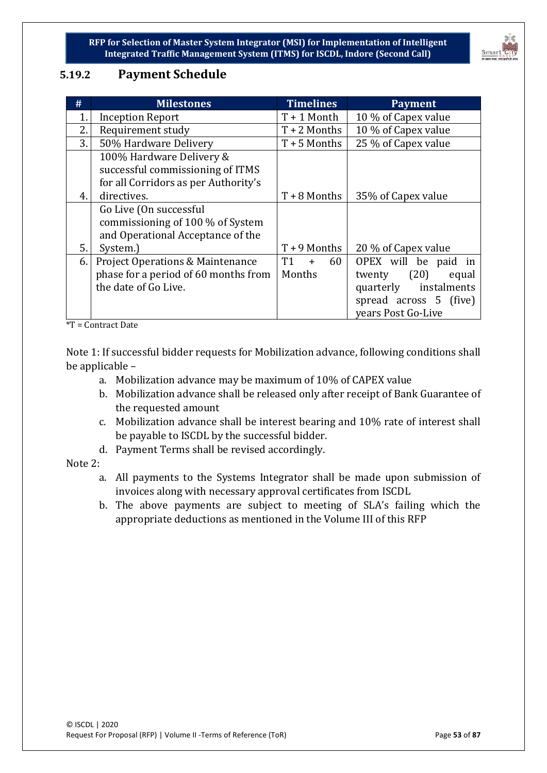

# **5.19.2 Payment Schedule**

| #  | <b>Milestones</b>                           | <b>Timelines</b> | <b>Payment</b>           |
|----|---------------------------------------------|------------------|--------------------------|
| 1. | <b>Inception Report</b>                     | $T + 1$ Month    | 10 % of Capex value      |
| 2. | Requirement study                           | $T + 2$ Months   | 10 % of Capex value      |
| 3. | 50% Hardware Delivery                       | $T + 5$ Months   | 25 % of Capex value      |
|    | 100% Hardware Delivery &                    |                  |                          |
|    | successful commissioning of ITMS            |                  |                          |
|    | for all Corridors as per Authority's        |                  |                          |
| 4. | directives.                                 | $T + 8$ Months   | 35% of Capex value       |
|    | Go Live (On successful                      |                  |                          |
|    | commissioning of 100 % of System            |                  |                          |
|    | and Operational Acceptance of the           |                  |                          |
| 5. | System.)                                    | $T + 9$ Months   | 20 % of Capex value      |
| 6. | <b>Project Operations &amp; Maintenance</b> | T1<br>60<br>$+$  | OPEX will be paid in     |
|    | phase for a period of 60 months from        | Months           | (20)<br>twenty<br>equal  |
|    | the date of Go Live.                        |                  | instalments<br>quarterly |
|    |                                             |                  | spread across 5 (five)   |
|    |                                             |                  | vears Post Go-Live       |

\*T = Contract Date

Note 1: If successful bidder requests for Mobilization advance, following conditions shall be applicable –

- a. Mobilization advance may be maximum of 10% of CAPEX value
- b. Mobilization advance shall be released only after receipt of Bank Guarantee of the requested amount
- c. Mobilization advance shall be interest bearing and 10% rate of interest shall be payable to ISCDL by the successful bidder.
- d. Payment Terms shall be revised accordingly.

Note 2:

- a. All payments to the Systems Integrator shall be made upon submission of invoices along with necessary approval certificates from ISCDL
- b. The above payments are subject to meeting of SLA's failing which the appropriate deductions as mentioned in the Volume III of this RFP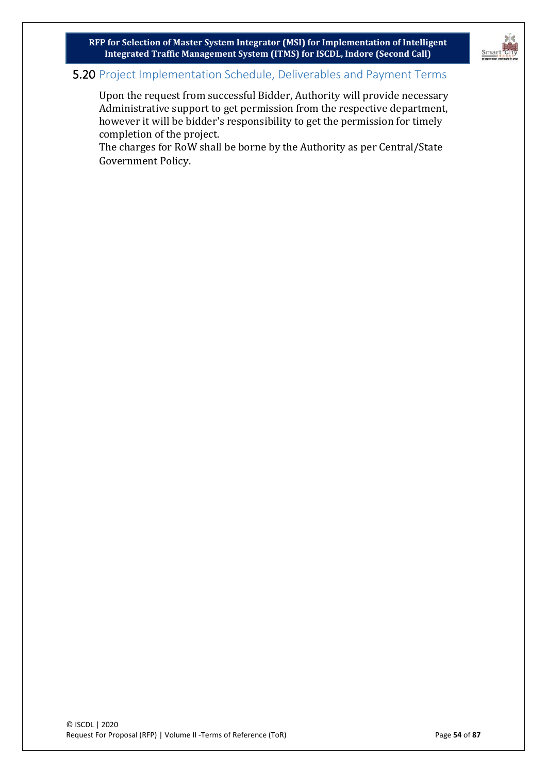

### 5.20 Project Implementation Schedule, Deliverables and Payment Terms

Upon the request from successful Bidder, Authority will provide necessary Administrative support to get permission from the respective department, however it will be bidder's responsibility to get the permission for timely completion of the project.

The charges for RoW shall be borne by the Authority as per Central/State Government Policy.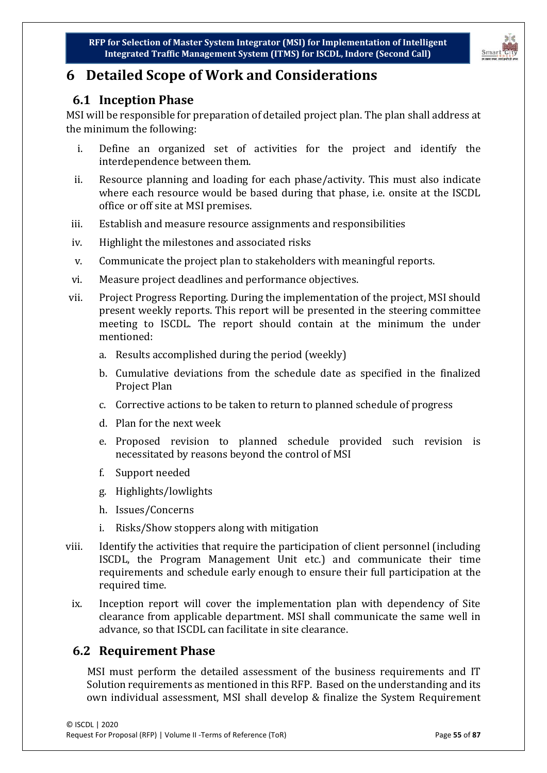

# **6 Detailed Scope of Work and Considerations**

# **6.1 Inception Phase**

MSI will be responsible for preparation of detailed project plan. The plan shall address at the minimum the following:

- i. Define an organized set of activities for the project and identify the interdependence between them.
- ii. Resource planning and loading for each phase/activity. This must also indicate where each resource would be based during that phase, i.e. onsite at the ISCDL office or off site at MSI premises.
- iii. Establish and measure resource assignments and responsibilities
- iv. Highlight the milestones and associated risks
- v. Communicate the project plan to stakeholders with meaningful reports.
- vi. Measure project deadlines and performance objectives.
- vii. Project Progress Reporting. During the implementation of the project, MSI should present weekly reports. This report will be presented in the steering committee meeting to ISCDL. The report should contain at the minimum the under mentioned:
	- a. Results accomplished during the period (weekly)
	- b. Cumulative deviations from the schedule date as specified in the finalized Project Plan
	- c. Corrective actions to be taken to return to planned schedule of progress
	- d. Plan for the next week
	- e. Proposed revision to planned schedule provided such revision is necessitated by reasons beyond the control of MSI
	- f. Support needed
	- g. Highlights/lowlights
	- h. Issues/Concerns
	- i. Risks/Show stoppers along with mitigation
- viii. Identify the activities that require the participation of client personnel (including ISCDL, the Program Management Unit etc.) and communicate their time requirements and schedule early enough to ensure their full participation at the required time.
- ix. Inception report will cover the implementation plan with dependency of Site clearance from applicable department. MSI shall communicate the same well in advance, so that ISCDL can facilitate in site clearance.

# **6.2 Requirement Phase**

MSI must perform the detailed assessment of the business requirements and IT Solution requirements as mentioned in this RFP. Based on the understanding and its own individual assessment, MSI shall develop & finalize the System Requirement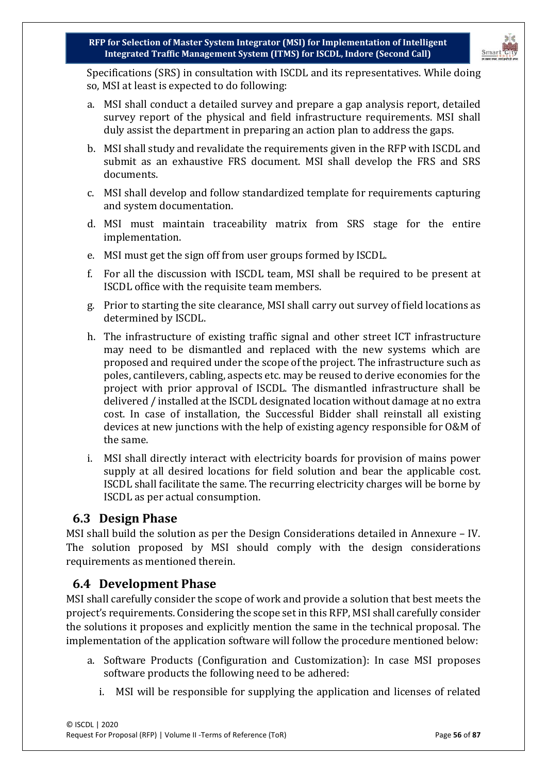

Specifications (SRS) in consultation with ISCDL and its representatives. While doing so, MSI at least is expected to do following:

- a. MSI shall conduct a detailed survey and prepare a gap analysis report, detailed survey report of the physical and field infrastructure requirements. MSI shall duly assist the department in preparing an action plan to address the gaps.
- b. MSI shall study and revalidate the requirements given in the RFP with ISCDL and submit as an exhaustive FRS document. MSI shall develop the FRS and SRS documents.
- c. MSI shall develop and follow standardized template for requirements capturing and system documentation.
- d. MSI must maintain traceability matrix from SRS stage for the entire implementation.
- e. MSI must get the sign off from user groups formed by ISCDL.
- f. For all the discussion with ISCDL team, MSI shall be required to be present at ISCDL office with the requisite team members.
- g. Prior to starting the site clearance, MSI shall carry out survey of field locations as determined by ISCDL.
- h. The infrastructure of existing traffic signal and other street ICT infrastructure may need to be dismantled and replaced with the new systems which are proposed and required under the scope of the project. The infrastructure such as poles, cantilevers, cabling, aspects etc. may be reused to derive economies for the project with prior approval of ISCDL. The dismantled infrastructure shall be delivered / installed at the ISCDL designated location without damage at no extra cost. In case of installation, the Successful Bidder shall reinstall all existing devices at new junctions with the help of existing agency responsible for O&M of the same.
- i. MSI shall directly interact with electricity boards for provision of mains power supply at all desired locations for field solution and bear the applicable cost. ISCDL shall facilitate the same. The recurring electricity charges will be borne by ISCDL as per actual consumption.

### **6.3 Design Phase**

MSI shall build the solution as per the Design Considerations detailed in Annexure – IV. The solution proposed by MSI should comply with the design considerations requirements as mentioned therein.

### **6.4 Development Phase**

MSI shall carefully consider the scope of work and provide a solution that best meets the project's requirements. Considering the scope set in this RFP, MSI shall carefully consider the solutions it proposes and explicitly mention the same in the technical proposal. The implementation of the application software will follow the procedure mentioned below:

- a. Software Products (Configuration and Customization): In case MSI proposes software products the following need to be adhered:
	- i. MSI will be responsible for supplying the application and licenses of related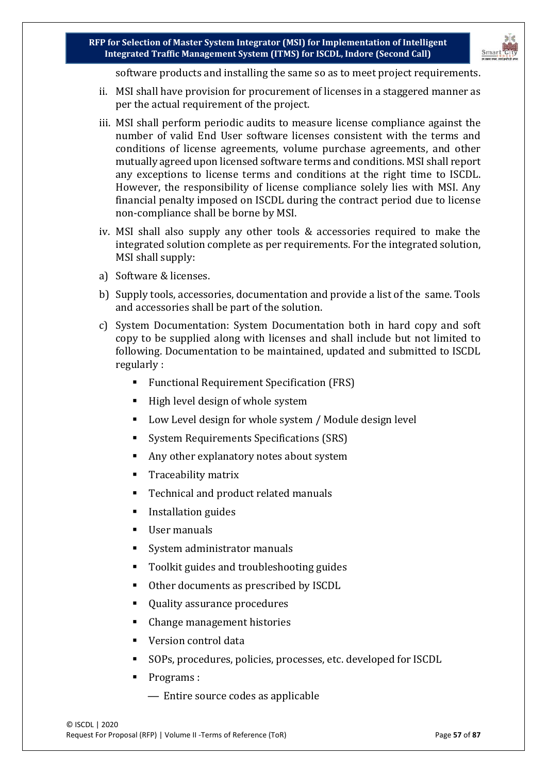

software products and installing the same so as to meet project requirements.

- ii. MSI shall have provision for procurement of licenses in a staggered manner as per the actual requirement of the project.
- iii. MSI shall perform periodic audits to measure license compliance against the number of valid End User software licenses consistent with the terms and conditions of license agreements, volume purchase agreements, and other mutually agreed upon licensed software terms and conditions. MSI shall report any exceptions to license terms and conditions at the right time to ISCDL. However, the responsibility of license compliance solely lies with MSI. Any financial penalty imposed on ISCDL during the contract period due to license non-compliance shall be borne by MSI.
- iv. MSI shall also supply any other tools & accessories required to make the integrated solution complete as per requirements. For the integrated solution, MSI shall supply:
- a) Software & licenses.
- b) Supply tools, accessories, documentation and provide a list of the same. Tools and accessories shall be part of the solution.
- c) System Documentation: System Documentation both in hard copy and soft copy to be supplied along with licenses and shall include but not limited to following. Documentation to be maintained, updated and submitted to ISCDL regularly :
	- Functional Requirement Specification (FRS)
	- $\blacksquare$  High level design of whole system
	- Low Level design for whole system / Module design level
	- System Requirements Specifications (SRS)
	- Any other explanatory notes about system
	- **Traceability matrix**
	- Technical and product related manuals
	- **Installation guides**
	- User manuals
	- System administrator manuals
	- Toolkit guides and troubleshooting guides
	- Other documents as prescribed by ISCDL
	- Quality assurance procedures
	- Change management histories
	- Version control data
	- SOPs, procedures, policies, processes, etc. developed for ISCDL
	- Programs :
		- Entire source codes as applicable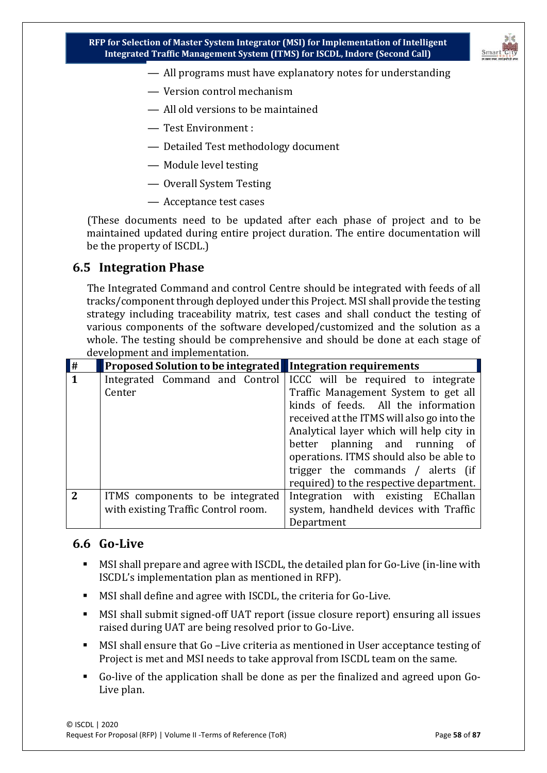

- All programs must have explanatory notes for understanding
- Version control mechanism
- All old versions to be maintained
- Test Environment :
- Detailed Test methodology document
- Module level testing
- Overall System Testing
- Acceptance test cases

(These documents need to be updated after each phase of project and to be maintained updated during entire project duration. The entire documentation will be the property of ISCDL.)

### **6.5 Integration Phase**

The Integrated Command and control Centre should be integrated with feeds of all tracks/component through deployed under this Project. MSI shall provide the testing strategy including traceability matrix, test cases and shall conduct the testing of various components of the software developed/customized and the solution as a whole. The testing should be comprehensive and should be done at each stage of development and implementation.

| $\vert \#$     | Proposed Solution to be integrated Integration requirements |                                            |
|----------------|-------------------------------------------------------------|--------------------------------------------|
| $\mathbf{1}$   | Integrated Command and Control                              | ICCC will be required to integrate         |
|                | Center                                                      | Traffic Management System to get all       |
|                |                                                             | kinds of feeds. All the information        |
|                |                                                             | received at the ITMS will also go into the |
|                |                                                             | Analytical layer which will help city in   |
|                |                                                             | better planning and running of             |
|                |                                                             | operations. ITMS should also be able to    |
|                |                                                             | trigger the commands / alerts (if          |
|                |                                                             | required) to the respective department.    |
| $\overline{2}$ | ITMS components to be integrated                            | Integration with existing EChallan         |
|                | with existing Traffic Control room.                         | system, handheld devices with Traffic      |
|                |                                                             | Department                                 |

### **6.6 Go-Live**

- MSI shall prepare and agree with ISCDL, the detailed plan for Go-Live (in-line with ISCDL's implementation plan as mentioned in RFP).
- MSI shall define and agree with ISCDL, the criteria for Go-Live.
- MSI shall submit signed-off UAT report (issue closure report) ensuring all issues raised during UAT are being resolved prior to Go-Live.
- MSI shall ensure that Go –Live criteria as mentioned in User acceptance testing of Project is met and MSI needs to take approval from ISCDL team on the same.
- Go-live of the application shall be done as per the finalized and agreed upon Go-Live plan.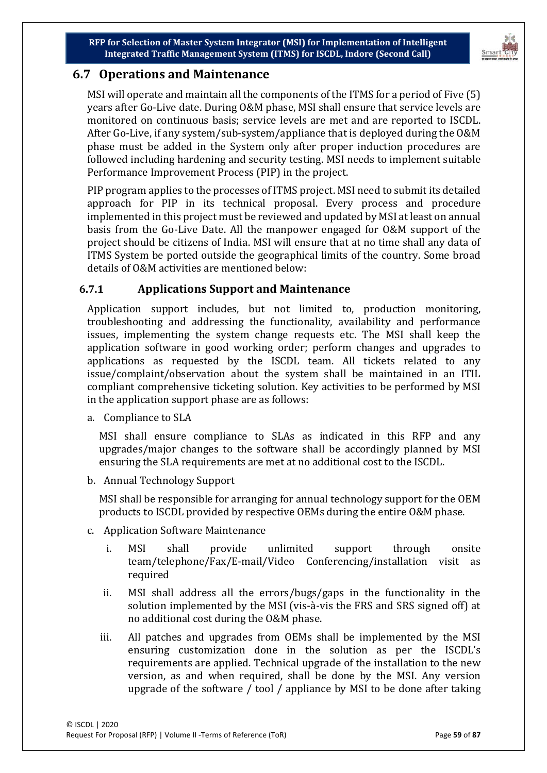

# **6.7 Operations and Maintenance**

MSI will operate and maintain all the components of the ITMS for a period of Five (5) years after Go-Live date. During O&M phase, MSI shall ensure that service levels are monitored on continuous basis; service levels are met and are reported to ISCDL. After Go-Live, if any system/sub-system/appliance that is deployed during the O&M phase must be added in the System only after proper induction procedures are followed including hardening and security testing. MSI needs to implement suitable Performance Improvement Process (PIP) in the project.

PIP program applies to the processes of ITMS project. MSI need to submit its detailed approach for PIP in its technical proposal. Every process and procedure implemented in this project must be reviewed and updated by MSI at least on annual basis from the Go-Live Date. All the manpower engaged for O&M support of the project should be citizens of India. MSI will ensure that at no time shall any data of ITMS System be ported outside the geographical limits of the country. Some broad details of O&M activities are mentioned below:

### **6.7.1 Applications Support and Maintenance**

Application support includes, but not limited to, production monitoring, troubleshooting and addressing the functionality, availability and performance issues, implementing the system change requests etc. The MSI shall keep the application software in good working order; perform changes and upgrades to applications as requested by the ISCDL team. All tickets related to any issue/complaint/observation about the system shall be maintained in an ITIL compliant comprehensive ticketing solution. Key activities to be performed by MSI in the application support phase are as follows:

a. Compliance to SLA

MSI shall ensure compliance to SLAs as indicated in this RFP and any upgrades/major changes to the software shall be accordingly planned by MSI ensuring the SLA requirements are met at no additional cost to the ISCDL.

b. Annual Technology Support

MSI shall be responsible for arranging for annual technology support for the OEM products to ISCDL provided by respective OEMs during the entire O&M phase.

- c. Application Software Maintenance
	- i. MSI shall provide unlimited support through onsite team/telephone/Fax/E-mail/Video Conferencing/installation visit as required
	- ii. MSI shall address all the errors/bugs/gaps in the functionality in the solution implemented by the MSI (vis-à-vis the FRS and SRS signed off) at no additional cost during the O&M phase.
	- iii. All patches and upgrades from OEMs shall be implemented by the MSI ensuring customization done in the solution as per the ISCDL's requirements are applied. Technical upgrade of the installation to the new version, as and when required, shall be done by the MSI. Any version upgrade of the software / tool / appliance by MSI to be done after taking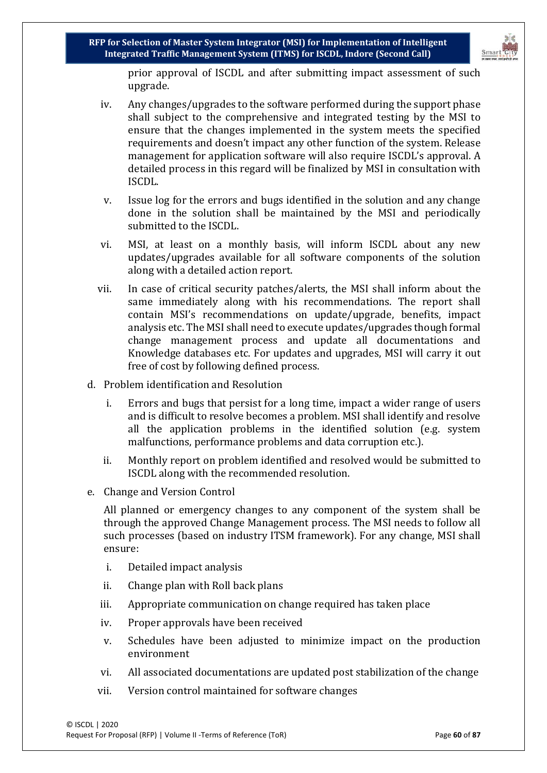

prior approval of ISCDL and after submitting impact assessment of such upgrade.

- iv. Any changes/upgrades to the software performed during the support phase shall subject to the comprehensive and integrated testing by the MSI to ensure that the changes implemented in the system meets the specified requirements and doesn't impact any other function of the system. Release management for application software will also require ISCDL's approval. A detailed process in this regard will be finalized by MSI in consultation with ISCDL.
- v. Issue log for the errors and bugs identified in the solution and any change done in the solution shall be maintained by the MSI and periodically submitted to the ISCDL.
- vi. MSI, at least on a monthly basis, will inform ISCDL about any new updates/upgrades available for all software components of the solution along with a detailed action report.
- vii. In case of critical security patches/alerts, the MSI shall inform about the same immediately along with his recommendations. The report shall contain MSI's recommendations on update/upgrade, benefits, impact analysis etc. The MSI shall need to execute updates/upgrades though formal change management process and update all documentations and Knowledge databases etc. For updates and upgrades, MSI will carry it out free of cost by following defined process.
- d. Problem identification and Resolution
	- i. Errors and bugs that persist for a long time, impact a wider range of users and is difficult to resolve becomes a problem. MSI shall identify and resolve all the application problems in the identified solution (e.g. system malfunctions, performance problems and data corruption etc.).
	- ii. Monthly report on problem identified and resolved would be submitted to ISCDL along with the recommended resolution.
- e. Change and Version Control

All planned or emergency changes to any component of the system shall be through the approved Change Management process. The MSI needs to follow all such processes (based on industry ITSM framework). For any change, MSI shall ensure:

- i. Detailed impact analysis
- ii. Change plan with Roll back plans
- iii. Appropriate communication on change required has taken place
- iv. Proper approvals have been received
- v. Schedules have been adjusted to minimize impact on the production environment
- vi. All associated documentations are updated post stabilization of the change
- vii. Version control maintained for software changes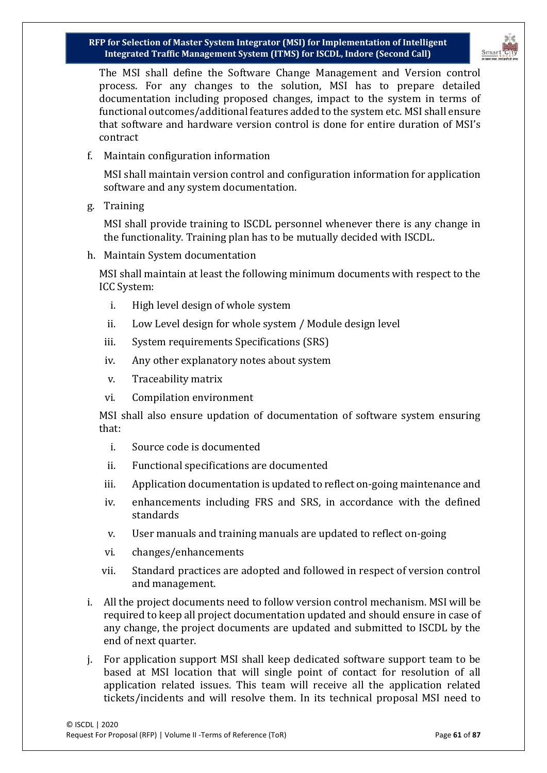

The MSI shall define the Software Change Management and Version control process. For any changes to the solution, MSI has to prepare detailed documentation including proposed changes, impact to the system in terms of functional outcomes/additional features added to the system etc. MSI shall ensure that software and hardware version control is done for entire duration of MSI's contract

f. Maintain configuration information

MSI shall maintain version control and configuration information for application software and any system documentation.

g. Training

MSI shall provide training to ISCDL personnel whenever there is any change in the functionality. Training plan has to be mutually decided with ISCDL.

h. Maintain System documentation

MSI shall maintain at least the following minimum documents with respect to the ICC System:

- i. High level design of whole system
- ii. Low Level design for whole system / Module design level
- iii. System requirements Specifications (SRS)
- iv. Any other explanatory notes about system
- v. Traceability matrix
- vi. Compilation environment

MSI shall also ensure updation of documentation of software system ensuring that:

- i. Source code is documented
- ii. Functional specifications are documented
- iii. Application documentation is updated to reflect on-going maintenance and
- iv. enhancements including FRS and SRS, in accordance with the defined standards
- v. User manuals and training manuals are updated to reflect on-going
- vi. changes/enhancements
- vii. Standard practices are adopted and followed in respect of version control and management.
- i. All the project documents need to follow version control mechanism. MSI will be required to keep all project documentation updated and should ensure in case of any change, the project documents are updated and submitted to ISCDL by the end of next quarter.
- j. For application support MSI shall keep dedicated software support team to be based at MSI location that will single point of contact for resolution of all application related issues. This team will receive all the application related tickets/incidents and will resolve them. In its technical proposal MSI need to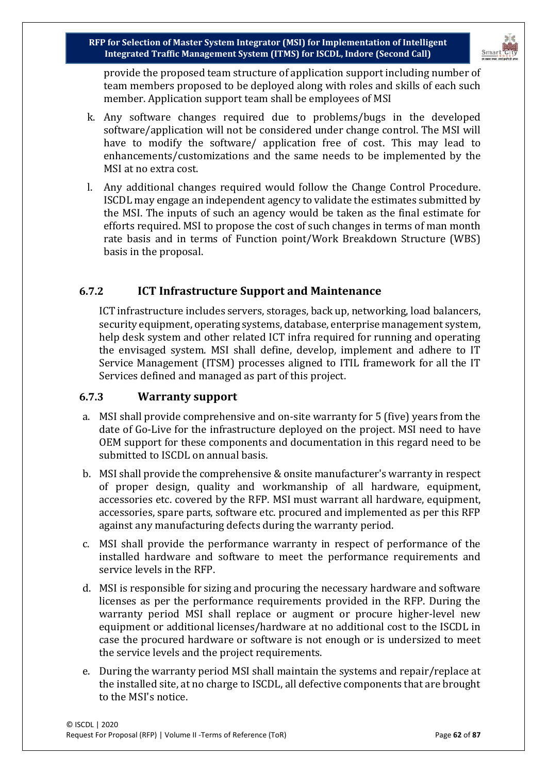

provide the proposed team structure of application support including number of team members proposed to be deployed along with roles and skills of each such member. Application support team shall be employees of MSI

- k. Any software changes required due to problems/bugs in the developed software/application will not be considered under change control. The MSI will have to modify the software/ application free of cost. This may lead to enhancements/customizations and the same needs to be implemented by the MSI at no extra cost.
- l. Any additional changes required would follow the Change Control Procedure. ISCDL may engage an independent agency to validate the estimates submitted by the MSI. The inputs of such an agency would be taken as the final estimate for efforts required. MSI to propose the cost of such changes in terms of man month rate basis and in terms of Function point/Work Breakdown Structure (WBS) basis in the proposal.

### **6.7.2 ICT Infrastructure Support and Maintenance**

ICT infrastructure includes servers, storages, back up, networking, load balancers, security equipment, operating systems, database, enterprise management system, help desk system and other related ICT infra required for running and operating the envisaged system. MSI shall define, develop, implement and adhere to IT Service Management (ITSM) processes aligned to ITIL framework for all the IT Services defined and managed as part of this project.

### **6.7.3 Warranty support**

- a. MSI shall provide comprehensive and on-site warranty for 5 (five) years from the date of Go-Live for the infrastructure deployed on the project. MSI need to have OEM support for these components and documentation in this regard need to be submitted to ISCDL on annual basis.
- b. MSI shall provide the comprehensive & onsite manufacturer's warranty in respect of proper design, quality and workmanship of all hardware, equipment, accessories etc. covered by the RFP. MSI must warrant all hardware, equipment, accessories, spare parts, software etc. procured and implemented as per this RFP against any manufacturing defects during the warranty period.
- c. MSI shall provide the performance warranty in respect of performance of the installed hardware and software to meet the performance requirements and service levels in the RFP.
- d. MSI is responsible for sizing and procuring the necessary hardware and software licenses as per the performance requirements provided in the RFP. During the warranty period MSI shall replace or augment or procure higher-level new equipment or additional licenses/hardware at no additional cost to the ISCDL in case the procured hardware or software is not enough or is undersized to meet the service levels and the project requirements.
- e. During the warranty period MSI shall maintain the systems and repair/replace at the installed site, at no charge to ISCDL, all defective components that are brought to the MSI's notice.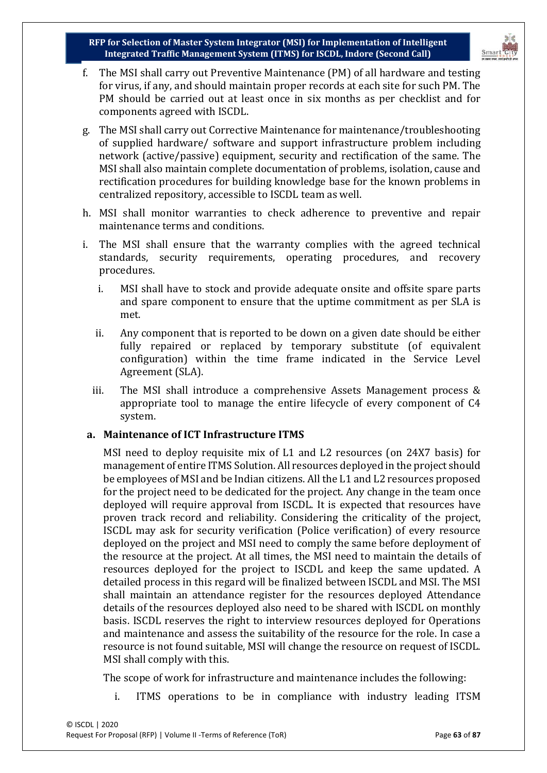

- f. The MSI shall carry out Preventive Maintenance (PM) of all hardware and testing for virus, if any, and should maintain proper records at each site for such PM. The PM should be carried out at least once in six months as per checklist and for components agreed with ISCDL.
- g. The MSI shall carry out Corrective Maintenance for maintenance/troubleshooting of supplied hardware/ software and support infrastructure problem including network (active/passive) equipment, security and rectification of the same. The MSI shall also maintain complete documentation of problems, isolation, cause and rectification procedures for building knowledge base for the known problems in centralized repository, accessible to ISCDL team as well.
- h. MSI shall monitor warranties to check adherence to preventive and repair maintenance terms and conditions.
- i. The MSI shall ensure that the warranty complies with the agreed technical standards, security requirements, operating procedures, and recovery procedures.
	- i. MSI shall have to stock and provide adequate onsite and offsite spare parts and spare component to ensure that the uptime commitment as per SLA is met.
	- ii. Any component that is reported to be down on a given date should be either fully repaired or replaced by temporary substitute (of equivalent configuration) within the time frame indicated in the Service Level Agreement (SLA).
	- iii. The MSI shall introduce a comprehensive Assets Management process & appropriate tool to manage the entire lifecycle of every component of C4 system.

#### **a. Maintenance of ICT Infrastructure ITMS**

MSI need to deploy requisite mix of L1 and L2 resources (on 24X7 basis) for management of entire ITMS Solution. All resources deployed in the project should be employees of MSI and be Indian citizens. All the L1 and L2 resources proposed for the project need to be dedicated for the project. Any change in the team once deployed will require approval from ISCDL. It is expected that resources have proven track record and reliability. Considering the criticality of the project, ISCDL may ask for security verification (Police verification) of every resource deployed on the project and MSI need to comply the same before deployment of the resource at the project. At all times, the MSI need to maintain the details of resources deployed for the project to ISCDL and keep the same updated. A detailed process in this regard will be finalized between ISCDL and MSI. The MSI shall maintain an attendance register for the resources deployed Attendance details of the resources deployed also need to be shared with ISCDL on monthly basis. ISCDL reserves the right to interview resources deployed for Operations and maintenance and assess the suitability of the resource for the role. In case a resource is not found suitable, MSI will change the resource on request of ISCDL. MSI shall comply with this.

The scope of work for infrastructure and maintenance includes the following:

i. ITMS operations to be in compliance with industry leading ITSM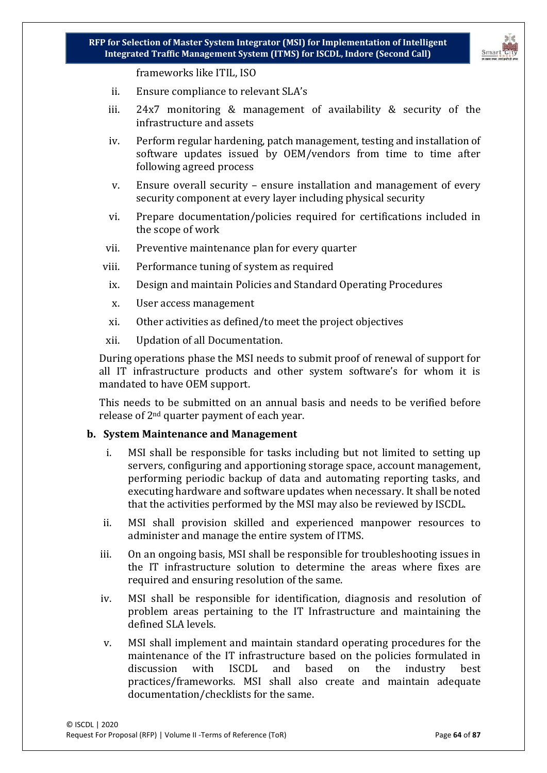

frameworks like ITIL, ISO

- ii. Ensure compliance to relevant SLA's
- iii. 24x7 monitoring & management of availability & security of the infrastructure and assets
- iv. Perform regular hardening, patch management, testing and installation of software updates issued by OEM/vendors from time to time after following agreed process
- v. Ensure overall security ensure installation and management of every security component at every layer including physical security
- vi. Prepare documentation/policies required for certifications included in the scope of work
- vii. Preventive maintenance plan for every quarter
- viii. Performance tuning of system as required
	- ix. Design and maintain Policies and Standard Operating Procedures
	- x. User access management
	- xi. Other activities as defined/to meet the project objectives
- xii. Updation of all Documentation.

During operations phase the MSI needs to submit proof of renewal of support for all IT infrastructure products and other system software's for whom it is mandated to have OEM support.

This needs to be submitted on an annual basis and needs to be verified before release of 2nd quarter payment of each year.

#### **b. System Maintenance and Management**

- i. MSI shall be responsible for tasks including but not limited to setting up servers, configuring and apportioning storage space, account management, performing periodic backup of data and automating reporting tasks, and executing hardware and software updates when necessary. It shall be noted that the activities performed by the MSI may also be reviewed by ISCDL.
- ii. MSI shall provision skilled and experienced manpower resources to administer and manage the entire system of ITMS.
- iii. On an ongoing basis, MSI shall be responsible for troubleshooting issues in the IT infrastructure solution to determine the areas where fixes are required and ensuring resolution of the same.
- iv. MSI shall be responsible for identification, diagnosis and resolution of problem areas pertaining to the IT Infrastructure and maintaining the defined SLA levels.
- v. MSI shall implement and maintain standard operating procedures for the maintenance of the IT infrastructure based on the policies formulated in discussion with ISCDL and based on the industry best discussion with ISCDL and based on the industry best practices/frameworks. MSI shall also create and maintain adequate documentation/checklists for the same.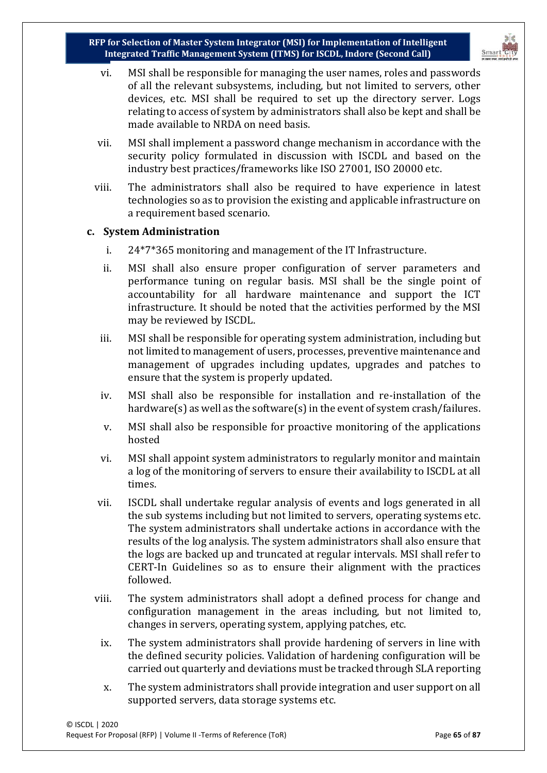

- vi. MSI shall be responsible for managing the user names, roles and passwords of all the relevant subsystems, including, but not limited to servers, other devices, etc. MSI shall be required to set up the directory server. Logs relating to access of system by administrators shall also be kept and shall be made available to NRDA on need basis.
- vii. MSI shall implement a password change mechanism in accordance with the security policy formulated in discussion with ISCDL and based on the industry best practices/frameworks like ISO 27001, ISO 20000 etc.
- viii. The administrators shall also be required to have experience in latest technologies so as to provision the existing and applicable infrastructure on a requirement based scenario.

#### **c. System Administration**

- i. 24\*7\*365 monitoring and management of the IT Infrastructure.
- ii. MSI shall also ensure proper configuration of server parameters and performance tuning on regular basis. MSI shall be the single point of accountability for all hardware maintenance and support the ICT infrastructure. It should be noted that the activities performed by the MSI may be reviewed by ISCDL.
- iii. MSI shall be responsible for operating system administration, including but not limited to management of users, processes, preventive maintenance and management of upgrades including updates, upgrades and patches to ensure that the system is properly updated.
- iv. MSI shall also be responsible for installation and re-installation of the hardware(s) as well as the software(s) in the event of system crash/failures.
- v. MSI shall also be responsible for proactive monitoring of the applications hosted
- vi. MSI shall appoint system administrators to regularly monitor and maintain a log of the monitoring of servers to ensure their availability to ISCDL at all times.
- vii. ISCDL shall undertake regular analysis of events and logs generated in all the sub systems including but not limited to servers, operating systems etc. The system administrators shall undertake actions in accordance with the results of the log analysis. The system administrators shall also ensure that the logs are backed up and truncated at regular intervals. MSI shall refer to CERT-In Guidelines so as to ensure their alignment with the practices followed.
- viii. The system administrators shall adopt a defined process for change and configuration management in the areas including, but not limited to, changes in servers, operating system, applying patches, etc.
	- ix. The system administrators shall provide hardening of servers in line with the defined security policies. Validation of hardening configuration will be carried out quarterly and deviations must be tracked through SLA reporting
	- x. The system administrators shall provide integration and user support on all supported servers, data storage systems etc.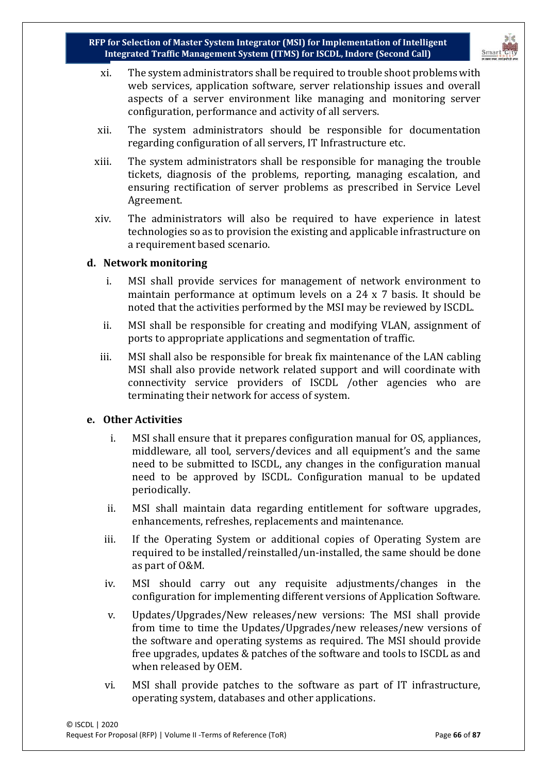- xi. The system administrators shall be required to trouble shoot problems with web services, application software, server relationship issues and overall aspects of a server environment like managing and monitoring server configuration, performance and activity of all servers.
- xii. The system administrators should be responsible for documentation regarding configuration of all servers, IT Infrastructure etc.
- xiii. The system administrators shall be responsible for managing the trouble tickets, diagnosis of the problems, reporting, managing escalation, and ensuring rectification of server problems as prescribed in Service Level Agreement.
- xiv. The administrators will also be required to have experience in latest technologies so as to provision the existing and applicable infrastructure on a requirement based scenario.

#### **d. Network monitoring**

- i. MSI shall provide services for management of network environment to maintain performance at optimum levels on a 24 x 7 basis. It should be noted that the activities performed by the MSI may be reviewed by ISCDL.
- ii. MSI shall be responsible for creating and modifying VLAN, assignment of ports to appropriate applications and segmentation of traffic.
- iii. MSI shall also be responsible for break fix maintenance of the LAN cabling MSI shall also provide network related support and will coordinate with connectivity service providers of ISCDL /other agencies who are terminating their network for access of system.

#### **e. Other Activities**

- i. MSI shall ensure that it prepares configuration manual for OS, appliances, middleware, all tool, servers/devices and all equipment's and the same need to be submitted to ISCDL, any changes in the configuration manual need to be approved by ISCDL. Configuration manual to be updated periodically.
- ii. MSI shall maintain data regarding entitlement for software upgrades, enhancements, refreshes, replacements and maintenance.
- iii. If the Operating System or additional copies of Operating System are required to be installed/reinstalled/un-installed, the same should be done as part of O&M.
- iv. MSI should carry out any requisite adjustments/changes in the configuration for implementing different versions of Application Software.
- v. Updates/Upgrades/New releases/new versions: The MSI shall provide from time to time the Updates/Upgrades/new releases/new versions of the software and operating systems as required. The MSI should provide free upgrades, updates & patches of the software and tools to ISCDL as and when released by OEM.
- vi. MSI shall provide patches to the software as part of IT infrastructure, operating system, databases and other applications.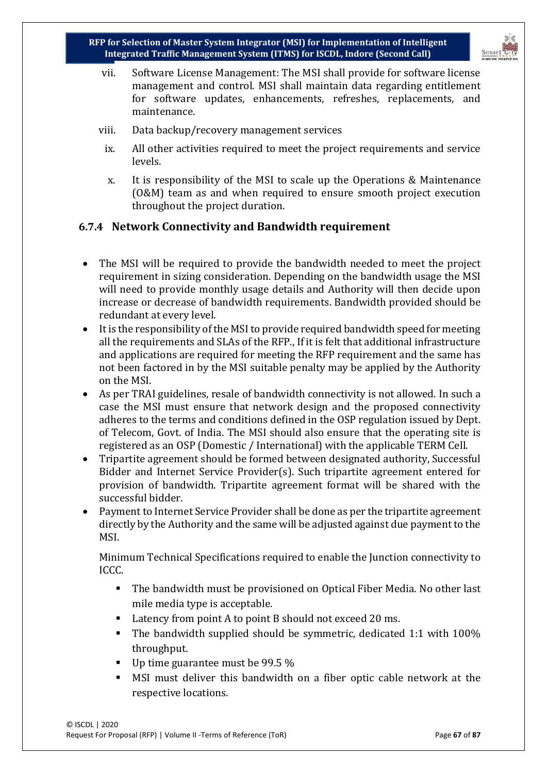

- vii. Software License Management: The MSI shall provide for software license management and control. MSI shall maintain data regarding entitlement for software updates, enhancements, refreshes, replacements, and maintenance.
- viii. Data backup/recovery management services
	- ix. All other activities required to meet the project requirements and service levels.
	- x. It is responsibility of the MSI to scale up the Operations & Maintenance (O&M) team as and when required to ensure smooth project execution throughout the project duration.

### **6.7.4 Network Connectivity and Bandwidth requirement**

- The MSI will be required to provide the bandwidth needed to meet the project requirement in sizing consideration. Depending on the bandwidth usage the MSI will need to provide monthly usage details and Authority will then decide upon increase or decrease of bandwidth requirements. Bandwidth provided should be redundant at every level.
- It is the responsibility of the MSI to provide required bandwidth speed for meeting all the requirements and SLAs of the RFP., If it is felt that additional infrastructure and applications are required for meeting the RFP requirement and the same has not been factored in by the MSI suitable penalty may be applied by the Authority on the MSI.
- As per TRAI guidelines, resale of bandwidth connectivity is not allowed. In such a case the MSI must ensure that network design and the proposed connectivity adheres to the terms and conditions defined in the OSP regulation issued by Dept. of Telecom, Govt. of India. The MSI should also ensure that the operating site is registered as an OSP (Domestic / International) with the applicable TERM Cell.
- Tripartite agreement should be formed between designated authority, Successful Bidder and Internet Service Provider(s). Such tripartite agreement entered for provision of bandwidth. Tripartite agreement format will be shared with the successful bidder.
- Payment to Internet Service Provider shall be done as per the tripartite agreement directly by the Authority and the same will be adjusted against due payment to the MSI.

Minimum Technical Specifications required to enable the Junction connectivity to ICCC.

- The bandwidth must be provisioned on Optical Fiber Media. No other last mile media type is acceptable.
- Latency from point A to point B should not exceed 20 ms.
- The bandwidth supplied should be symmetric, dedicated 1:1 with 100% throughput.
- Up time guarantee must be 99.5 %
- MSI must deliver this bandwidth on a fiber optic cable network at the respective locations.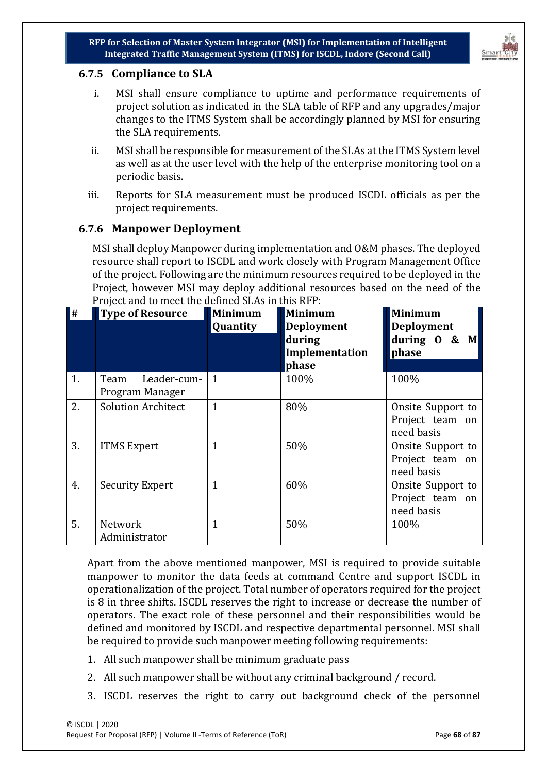



#### **6.7.5 Compliance to SLA**

- i. MSI shall ensure compliance to uptime and performance requirements of project solution as indicated in the SLA table of RFP and any upgrades/major changes to the ITMS System shall be accordingly planned by MSI for ensuring the SLA requirements.
- ii. MSI shall be responsible for measurement of the SLAs at the ITMS System level as well as at the user level with the help of the enterprise monitoring tool on a periodic basis.
- iii. Reports for SLA measurement must be produced ISCDL officials as per the project requirements.

### **6.7.6 Manpower Deployment**

MSI shall deploy Manpower during implementation and O&M phases. The deployed resource shall report to ISCDL and work closely with Program Management Office of the project. Following are the minimum resources required to be deployed in the Project, however MSI may deploy additional resources based on the need of the Project and to meet the defined SLAs in this RFP:

| $\blacksquare$ | <b>Type of Resource</b>             | <b>Minimum</b>  | <b>Minimum</b>                                         | <b>Minimum</b>                                     |
|----------------|-------------------------------------|-----------------|--------------------------------------------------------|----------------------------------------------------|
|                |                                     | <b>Quantity</b> | <b>Deployment</b><br>during<br>Implementation<br>phase | <b>Deployment</b><br>during $0 \& M$<br>phase      |
| 1.             | Team Leader-cum-<br>Program Manager | $\mathbf{1}$    | 100%                                                   | 100%                                               |
| 2.             | <b>Solution Architect</b>           | $\mathbf{1}$    | 80%                                                    | Onsite Support to<br>Project team on<br>need basis |
| 3.             | <b>ITMS Expert</b>                  | 1               | 50%                                                    | Onsite Support to<br>Project team on<br>need basis |
| 4.             | <b>Security Expert</b>              | $\mathbf{1}$    | 60%                                                    | Onsite Support to<br>Project team on<br>need basis |
| 5.             | Network<br>Administrator            | $\mathbf{1}$    | 50%                                                    | 100%                                               |

Apart from the above mentioned manpower, MSI is required to provide suitable manpower to monitor the data feeds at command Centre and support ISCDL in operationalization of the project. Total number of operators required for the project is 8 in three shifts. ISCDL reserves the right to increase or decrease the number of operators. The exact role of these personnel and their responsibilities would be defined and monitored by ISCDL and respective departmental personnel. MSI shall be required to provide such manpower meeting following requirements:

- 1. All such manpower shall be minimum graduate pass
- 2. All such manpower shall be without any criminal background / record.
- 3. ISCDL reserves the right to carry out background check of the personnel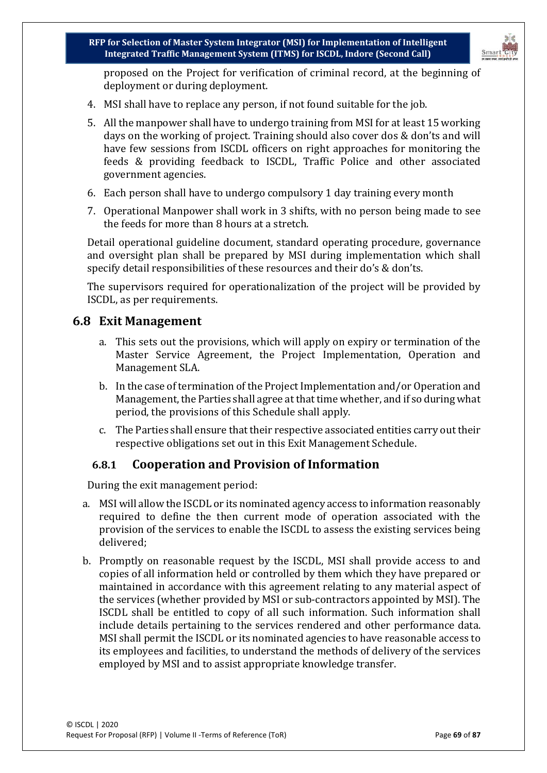

proposed on the Project for verification of criminal record, at the beginning of deployment or during deployment.

- 4. MSI shall have to replace any person, if not found suitable for the job.
- 5. All the manpower shall have to undergo training from MSI for at least 15 working days on the working of project. Training should also cover dos & don'ts and will have few sessions from ISCDL officers on right approaches for monitoring the feeds & providing feedback to ISCDL, Traffic Police and other associated government agencies.
- 6. Each person shall have to undergo compulsory 1 day training every month
- 7. Operational Manpower shall work in 3 shifts, with no person being made to see the feeds for more than 8 hours at a stretch.

Detail operational guideline document, standard operating procedure, governance and oversight plan shall be prepared by MSI during implementation which shall specify detail responsibilities of these resources and their do's & don'ts.

The supervisors required for operationalization of the project will be provided by ISCDL, as per requirements.

### **6.8 Exit Management**

- a. This sets out the provisions, which will apply on expiry or termination of the Master Service Agreement, the Project Implementation, Operation and Management SLA.
- b. In the case of termination of the Project Implementation and/or Operation and Management, the Parties shall agree at that time whether, and if so during what period, the provisions of this Schedule shall apply.
- c. The Parties shall ensure that their respective associated entities carry out their respective obligations set out in this Exit Management Schedule.

### **6.8.1 Cooperation and Provision of Information**

During the exit management period:

- a. MSI will allow the ISCDL or its nominated agency access to information reasonably required to define the then current mode of operation associated with the provision of the services to enable the ISCDL to assess the existing services being delivered;
- b. Promptly on reasonable request by the ISCDL, MSI shall provide access to and copies of all information held or controlled by them which they have prepared or maintained in accordance with this agreement relating to any material aspect of the services (whether provided by MSI or sub-contractors appointed by MSI). The ISCDL shall be entitled to copy of all such information. Such information shall include details pertaining to the services rendered and other performance data. MSI shall permit the ISCDL or its nominated agencies to have reasonable access to its employees and facilities, to understand the methods of delivery of the services employed by MSI and to assist appropriate knowledge transfer.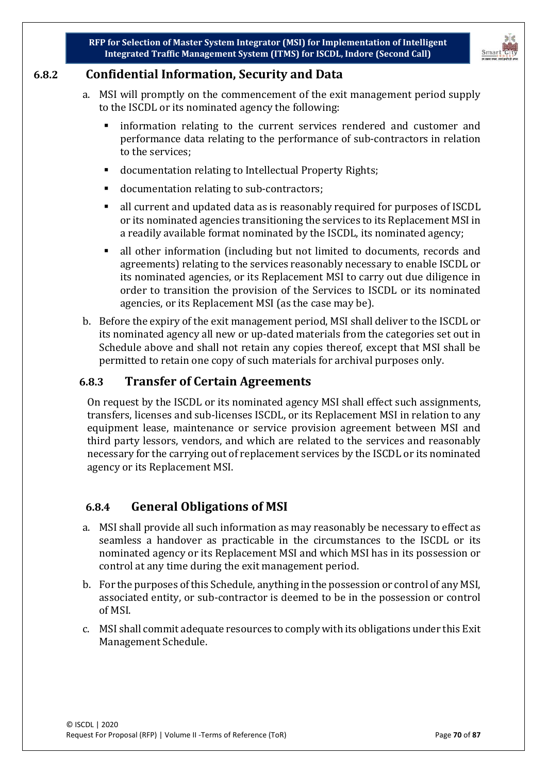

# **6.8.2 Confidential Information, Security and Data**

- a. MSI will promptly on the commencement of the exit management period supply to the ISCDL or its nominated agency the following:
	- information relating to the current services rendered and customer and performance data relating to the performance of sub-contractors in relation to the services;
	- documentation relating to Intellectual Property Rights;
	- documentation relating to sub-contractors;
	- all current and updated data as is reasonably required for purposes of ISCDL or its nominated agencies transitioning the services to its Replacement MSI in a readily available format nominated by the ISCDL, its nominated agency;
	- all other information (including but not limited to documents, records and agreements) relating to the services reasonably necessary to enable ISCDL or its nominated agencies, or its Replacement MSI to carry out due diligence in order to transition the provision of the Services to ISCDL or its nominated agencies, or its Replacement MSI (as the case may be).
- b. Before the expiry of the exit management period, MSI shall deliver to the ISCDL or its nominated agency all new or up-dated materials from the categories set out in Schedule above and shall not retain any copies thereof, except that MSI shall be permitted to retain one copy of such materials for archival purposes only.

# **6.8.3 Transfer of Certain Agreements**

On request by the ISCDL or its nominated agency MSI shall effect such assignments, transfers, licenses and sub-licenses ISCDL, or its Replacement MSI in relation to any equipment lease, maintenance or service provision agreement between MSI and third party lessors, vendors, and which are related to the services and reasonably necessary for the carrying out of replacement services by the ISCDL or its nominated agency or its Replacement MSI.

# **6.8.4 General Obligations of MSI**

- a. MSI shall provide all such information as may reasonably be necessary to effect as seamless a handover as practicable in the circumstances to the ISCDL or its nominated agency or its Replacement MSI and which MSI has in its possession or control at any time during the exit management period.
- b. For the purposes of this Schedule, anything in the possession or control of any MSI, associated entity, or sub-contractor is deemed to be in the possession or control of MSI.
- c. MSI shall commit adequate resources to comply with its obligations under this Exit Management Schedule.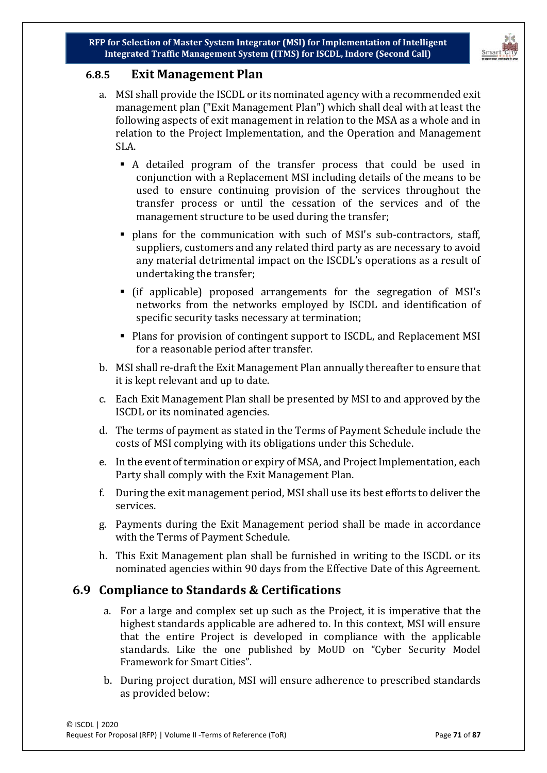

### **6.8.5 Exit Management Plan**

- a. MSI shall provide the ISCDL or its nominated agency with a recommended exit management plan ("Exit Management Plan") which shall deal with at least the following aspects of exit management in relation to the MSA as a whole and in relation to the Project Implementation, and the Operation and Management SLA.
	- A detailed program of the transfer process that could be used in conjunction with a Replacement MSI including details of the means to be used to ensure continuing provision of the services throughout the transfer process or until the cessation of the services and of the management structure to be used during the transfer;
	- plans for the communication with such of MSI's sub-contractors, staff, suppliers, customers and any related third party as are necessary to avoid any material detrimental impact on the ISCDL's operations as a result of undertaking the transfer;
	- (if applicable) proposed arrangements for the segregation of MSI's networks from the networks employed by ISCDL and identification of specific security tasks necessary at termination;
	- Plans for provision of contingent support to ISCDL, and Replacement MSI for a reasonable period after transfer.
- b. MSI shall re-draft the Exit Management Plan annually thereafter to ensure that it is kept relevant and up to date.
- c. Each Exit Management Plan shall be presented by MSI to and approved by the ISCDL or its nominated agencies.
- d. The terms of payment as stated in the Terms of Payment Schedule include the costs of MSI complying with its obligations under this Schedule.
- e. In the event of termination or expiry of MSA, and Project Implementation, each Party shall comply with the Exit Management Plan.
- f. During the exit management period, MSI shall use its best efforts to deliver the services.
- g. Payments during the Exit Management period shall be made in accordance with the Terms of Payment Schedule.
- h. This Exit Management plan shall be furnished in writing to the ISCDL or its nominated agencies within 90 days from the Effective Date of this Agreement.

### **6.9 Compliance to Standards & Certifications**

- a. For a large and complex set up such as the Project, it is imperative that the highest standards applicable are adhered to. In this context, MSI will ensure that the entire Project is developed in compliance with the applicable standards. Like the one published by MoUD on "Cyber Security Model Framework for Smart Cities".
- b. During project duration, MSI will ensure adherence to prescribed standards as provided below: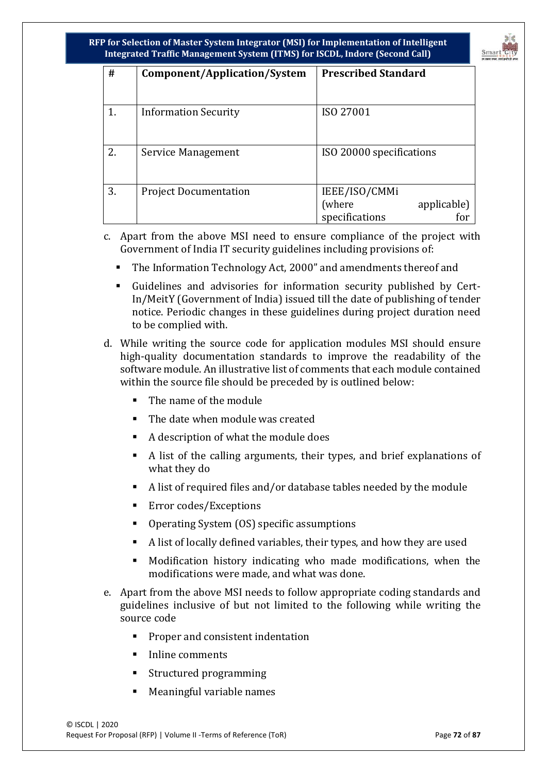

| #  | Component/Application/System | <b>Prescribed Standard</b>                                      |
|----|------------------------------|-----------------------------------------------------------------|
| 1. | <b>Information Security</b>  | ISO 27001                                                       |
| 2. | Service Management           | ISO 20000 specifications                                        |
| 3. | <b>Project Documentation</b> | IEEE/ISO/CMMi<br>(where<br>applicable)<br>specifications<br>for |

- c. Apart from the above MSI need to ensure compliance of the project with Government of India IT security guidelines including provisions of:
	- The Information Technology Act, 2000" and amendments thereof and
	- Guidelines and advisories for information security published by Cert-In/MeitY (Government of India) issued till the date of publishing of tender notice. Periodic changes in these guidelines during project duration need to be complied with.
- d. While writing the source code for application modules MSI should ensure high-quality documentation standards to improve the readability of the software module. An illustrative list of comments that each module contained within the source file should be preceded by is outlined below:
	- The name of the module
	- **The date when module was created**
	- A description of what the module does
	- A list of the calling arguments, their types, and brief explanations of what they do
	- A list of required files and/or database tables needed by the module
	- **Error codes/Exceptions**
	- Operating System (OS) specific assumptions
	- A list of locally defined variables, their types, and how they are used
	- Modification history indicating who made modifications, when the modifications were made, and what was done.
- e. Apart from the above MSI needs to follow appropriate coding standards and guidelines inclusive of but not limited to the following while writing the source code
	- **Proper and consistent indentation**
	- Inline comments
	- Structured programming
	- Meaningful variable names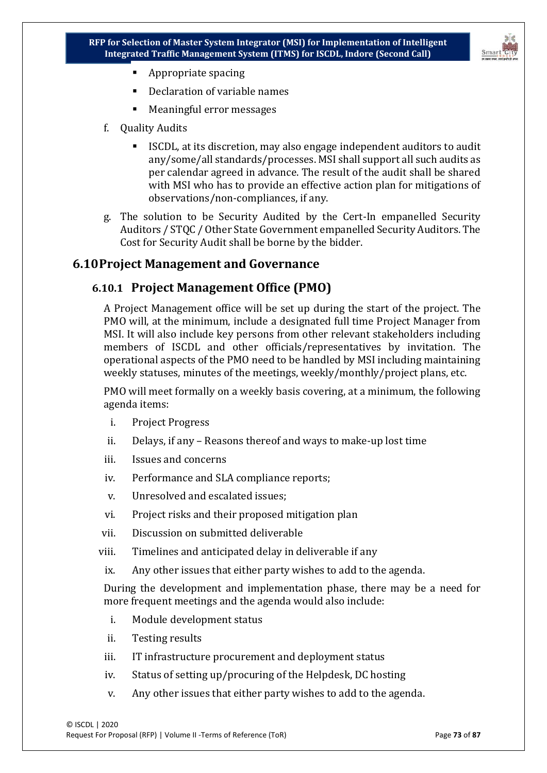

- **Appropriate spacing**
- Declaration of variable names
- Meaningful error messages
- f. Quality Audits
	- ISCDL, at its discretion, may also engage independent auditors to audit any/some/all standards/processes. MSI shall support all such audits as per calendar agreed in advance. The result of the audit shall be shared with MSI who has to provide an effective action plan for mitigations of observations/non-compliances, if any.
- g. The solution to be Security Audited by the Cert-In empanelled Security Auditors / STQC / Other State Government empanelled Security Auditors. The Cost for Security Audit shall be borne by the bidder.

#### **6.10Project Management and Governance**

#### **6.10.1 Project Management Office (PMO)**

A Project Management office will be set up during the start of the project. The PMO will, at the minimum, include a designated full time Project Manager from MSI. It will also include key persons from other relevant stakeholders including members of ISCDL and other officials/representatives by invitation. The operational aspects of the PMO need to be handled by MSI including maintaining weekly statuses, minutes of the meetings, weekly/monthly/project plans, etc.

PMO will meet formally on a weekly basis covering, at a minimum, the following agenda items:

- i. Project Progress
- ii. Delays, if any Reasons thereof and ways to make-up lost time
- iii. Issues and concerns
- iv. Performance and SLA compliance reports;
- v. Unresolved and escalated issues;
- vi. Project risks and their proposed mitigation plan
- vii. Discussion on submitted deliverable
- viii. Timelines and anticipated delay in deliverable if any
- ix. Any other issues that either party wishes to add to the agenda.

During the development and implementation phase, there may be a need for more frequent meetings and the agenda would also include:

- i. Module development status
- ii. Testing results
- iii. IT infrastructure procurement and deployment status
- iv. Status of setting up/procuring of the Helpdesk, DC hosting
- v. Any other issues that either party wishes to add to the agenda.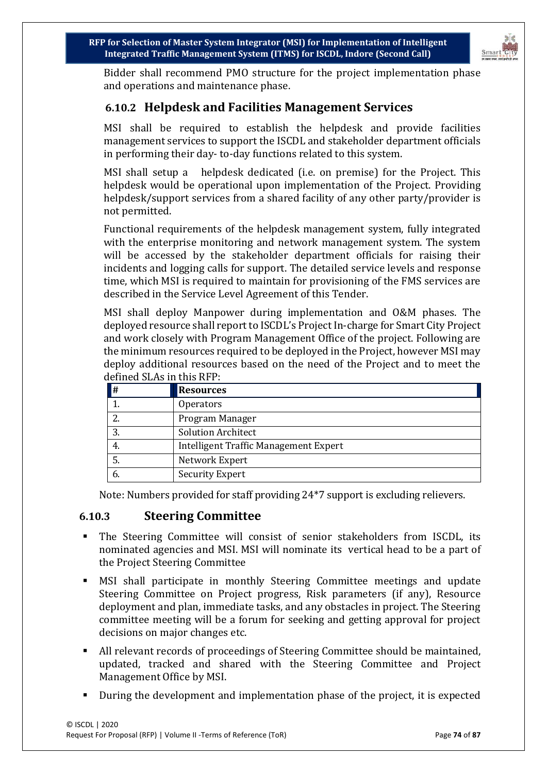

Bidder shall recommend PMO structure for the project implementation phase and operations and maintenance phase.

### **6.10.2 Helpdesk and Facilities Management Services**

MSI shall be required to establish the helpdesk and provide facilities management services to support the ISCDL and stakeholder department officials in performing their day- to-day functions related to this system.

MSI shall setup a helpdesk dedicated (i.e. on premise) for the Project. This helpdesk would be operational upon implementation of the Project. Providing helpdesk/support services from a shared facility of any other party/provider is not permitted.

Functional requirements of the helpdesk management system, fully integrated with the enterprise monitoring and network management system. The system will be accessed by the stakeholder department officials for raising their incidents and logging calls for support. The detailed service levels and response time, which MSI is required to maintain for provisioning of the FMS services are described in the Service Level Agreement of this Tender.

MSI shall deploy Manpower during implementation and O&M phases. The deployed resource shall report to ISCDL's Project In-charge for Smart City Project and work closely with Program Management Office of the project. Following are the minimum resources required to be deployed in the Project, however MSI may deploy additional resources based on the need of the Project and to meet the defined SLAs in this RFP:

| $\parallel$ # | <b>Resources</b>                      |
|---------------|---------------------------------------|
|               | <b>Operators</b>                      |
|               | Program Manager                       |
|               | <b>Solution Architect</b>             |
| 4.            | Intelligent Traffic Management Expert |
|               | Network Expert                        |
|               | <b>Security Expert</b>                |

Note: Numbers provided for staff providing 24\*7 support is excluding relievers.

#### **6.10.3 Steering Committee**

- The Steering Committee will consist of senior stakeholders from ISCDL, its nominated agencies and MSI. MSI will nominate its vertical head to be a part of the Project Steering Committee
- MSI shall participate in monthly Steering Committee meetings and update Steering Committee on Project progress, Risk parameters (if any), Resource deployment and plan, immediate tasks, and any obstacles in project. The Steering committee meeting will be a forum for seeking and getting approval for project decisions on major changes etc.
- All relevant records of proceedings of Steering Committee should be maintained, updated, tracked and shared with the Steering Committee and Project Management Office by MSI.
- During the development and implementation phase of the project, it is expected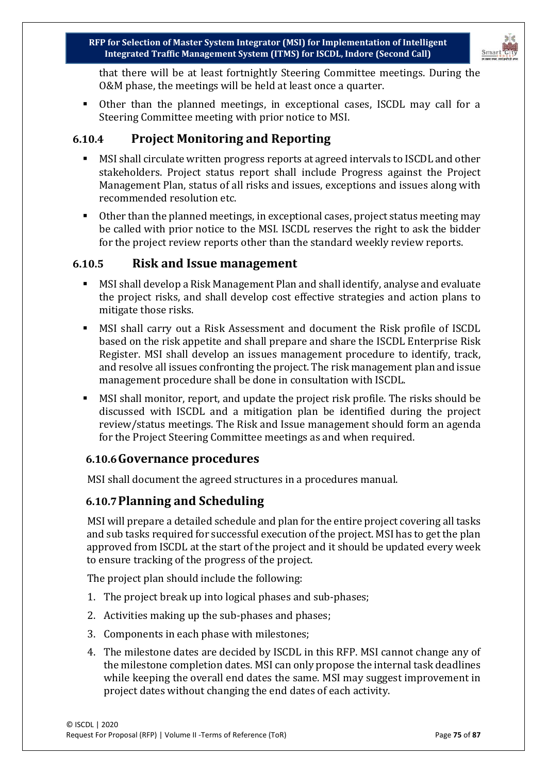

that there will be at least fortnightly Steering Committee meetings. During the O&M phase, the meetings will be held at least once a quarter.

 Other than the planned meetings, in exceptional cases, ISCDL may call for a Steering Committee meeting with prior notice to MSI.

### **6.10.4 Project Monitoring and Reporting**

- MSI shall circulate written progress reports at agreed intervals to ISCDL and other stakeholders. Project status report shall include Progress against the Project Management Plan, status of all risks and issues, exceptions and issues along with recommended resolution etc.
- Other than the planned meetings, in exceptional cases, project status meeting may be called with prior notice to the MSI. ISCDL reserves the right to ask the bidder for the project review reports other than the standard weekly review reports.

#### **6.10.5 Risk and Issue management**

- MSI shall develop a Risk Management Plan and shall identify, analyse and evaluate the project risks, and shall develop cost effective strategies and action plans to mitigate those risks.
- MSI shall carry out a Risk Assessment and document the Risk profile of ISCDL based on the risk appetite and shall prepare and share the ISCDL Enterprise Risk Register. MSI shall develop an issues management procedure to identify, track, and resolve all issues confronting the project. The risk management plan and issue management procedure shall be done in consultation with ISCDL.
- MSI shall monitor, report, and update the project risk profile. The risks should be discussed with ISCDL and a mitigation plan be identified during the project review/status meetings. The Risk and Issue management should form an agenda for the Project Steering Committee meetings as and when required.

#### **6.10.6Governance procedures**

MSI shall document the agreed structures in a procedures manual.

#### **6.10.7Planning and Scheduling**

MSI will prepare a detailed schedule and plan for the entire project covering all tasks and sub tasks required for successful execution of the project. MSI has to get the plan approved from ISCDL at the start of the project and it should be updated every week to ensure tracking of the progress of the project.

The project plan should include the following:

- 1. The project break up into logical phases and sub-phases;
- 2. Activities making up the sub-phases and phases;
- 3. Components in each phase with milestones;
- 4. The milestone dates are decided by ISCDL in this RFP. MSI cannot change any of the milestone completion dates. MSI can only propose the internal task deadlines while keeping the overall end dates the same. MSI may suggest improvement in project dates without changing the end dates of each activity.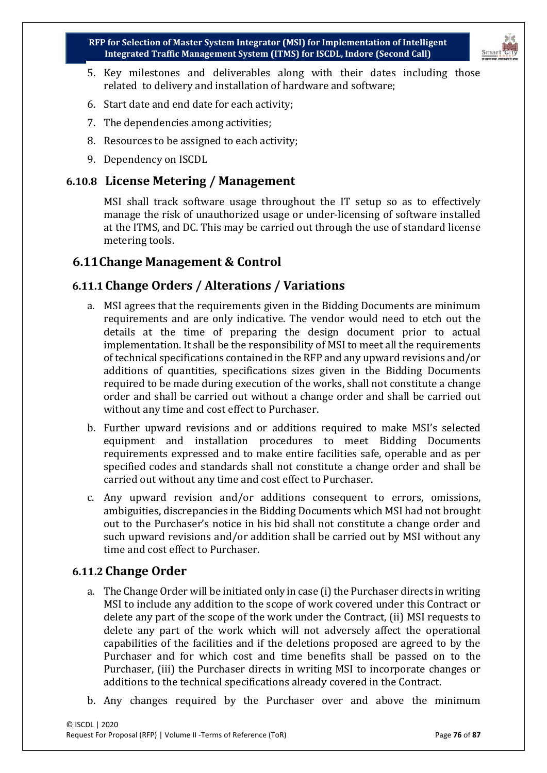

- 5. Key milestones and deliverables along with their dates including those related to delivery and installation of hardware and software;
- 6. Start date and end date for each activity;
- 7. The dependencies among activities;
- 8. Resources to be assigned to each activity;
- 9. Dependency on ISCDL

## **6.10.8 License Metering / Management**

MSI shall track software usage throughout the IT setup so as to effectively manage the risk of unauthorized usage or under-licensing of software installed at the ITMS, and DC. This may be carried out through the use of standard license metering tools.

# **6.11Change Management & Control**

# **6.11.1 Change Orders / Alterations / Variations**

- a. MSI agrees that the requirements given in the Bidding Documents are minimum requirements and are only indicative. The vendor would need to etch out the details at the time of preparing the design document prior to actual implementation. It shall be the responsibility of MSI to meet all the requirements of technical specifications contained in the RFP and any upward revisions and/or additions of quantities, specifications sizes given in the Bidding Documents required to be made during execution of the works, shall not constitute a change order and shall be carried out without a change order and shall be carried out without any time and cost effect to Purchaser.
- b. Further upward revisions and or additions required to make MSI's selected equipment and installation procedures to meet Bidding Documents requirements expressed and to make entire facilities safe, operable and as per specified codes and standards shall not constitute a change order and shall be carried out without any time and cost effect to Purchaser.
- c. Any upward revision and/or additions consequent to errors, omissions, ambiguities, discrepancies in the Bidding Documents which MSI had not brought out to the Purchaser's notice in his bid shall not constitute a change order and such upward revisions and/or addition shall be carried out by MSI without any time and cost effect to Purchaser.

# **6.11.2 Change Order**

- a. The Change Order will be initiated only in case (i) the Purchaser directs in writing MSI to include any addition to the scope of work covered under this Contract or delete any part of the scope of the work under the Contract, (ii) MSI requests to delete any part of the work which will not adversely affect the operational capabilities of the facilities and if the deletions proposed are agreed to by the Purchaser and for which cost and time benefits shall be passed on to the Purchaser, (iii) the Purchaser directs in writing MSI to incorporate changes or additions to the technical specifications already covered in the Contract.
- b. Any changes required by the Purchaser over and above the minimum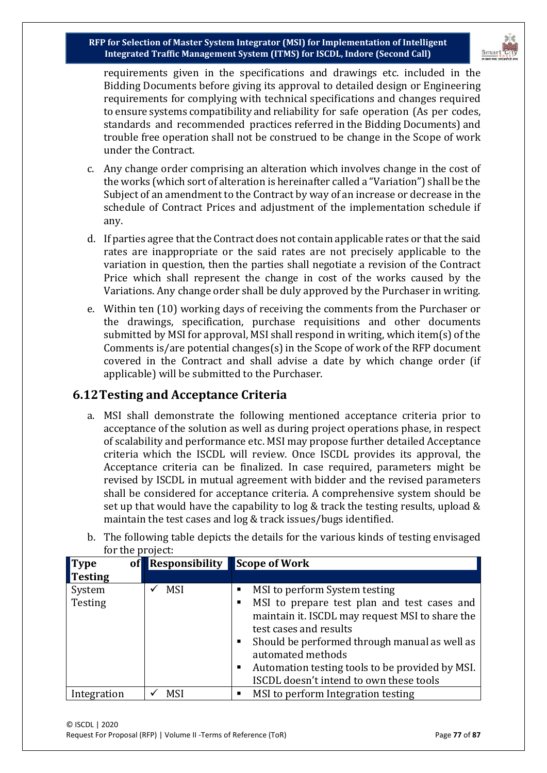

requirements given in the specifications and drawings etc. included in the Bidding Documents before giving its approval to detailed design or Engineering requirements for complying with technical specifications and changes required to ensure systems compatibility and reliability for safe operation (As per codes, standards and recommended practices referred in the Bidding Documents) and trouble free operation shall not be construed to be change in the Scope of work under the Contract.

- c. Any change order comprising an alteration which involves change in the cost of the works (which sort of alteration is hereinafter called a "Variation") shall be the Subject of an amendment to the Contract by way of an increase or decrease in the schedule of Contract Prices and adjustment of the implementation schedule if any.
- d. If parties agree that the Contract does not contain applicable rates or that the said rates are inappropriate or the said rates are not precisely applicable to the variation in question, then the parties shall negotiate a revision of the Contract Price which shall represent the change in cost of the works caused by the Variations. Any change order shall be duly approved by the Purchaser in writing.
- e. Within ten (10) working days of receiving the comments from the Purchaser or the drawings, specification, purchase requisitions and other documents submitted by MSI for approval, MSI shall respond in writing, which item(s) of the Comments is/are potential changes(s) in the Scope of work of the RFP document covered in the Contract and shall advise a date by which change order (if applicable) will be submitted to the Purchaser.

### **6.12Testing and Acceptance Criteria**

a. MSI shall demonstrate the following mentioned acceptance criteria prior to acceptance of the solution as well as during project operations phase, in respect of scalability and performance etc. MSI may propose further detailed Acceptance criteria which the ISCDL will review. Once ISCDL provides its approval, the Acceptance criteria can be finalized. In case required, parameters might be revised by ISCDL in mutual agreement with bidder and the revised parameters shall be considered for acceptance criteria. A comprehensive system should be set up that would have the capability to log & track the testing results, upload & maintain the test cases and log & track issues/bugs identified.

| for the project: | b. The following table depicts the details for the various kinds of testing envisaged |
|------------------|---------------------------------------------------------------------------------------|
|                  |                                                                                       |

| of<br>$\blacksquare$ Type | <b>Responsibility</b> | <b>Scope of Work</b>                                 |
|---------------------------|-----------------------|------------------------------------------------------|
| Testing                   |                       |                                                      |
| System                    | <b>MSI</b>            | MSI to perform System testing<br>п                   |
| Testing                   |                       | MSI to prepare test plan and test cases and<br>٠     |
|                           |                       | maintain it. ISCDL may request MSI to share the      |
|                           |                       | test cases and results                               |
|                           |                       | Should be performed through manual as well as<br>п   |
|                           |                       | automated methods                                    |
|                           |                       | Automation testing tools to be provided by MSI.<br>п |
|                           |                       | ISCDL doesn't intend to own these tools              |
| Integration               | <b>MSI</b>            | MSI to perform Integration testing<br>٠              |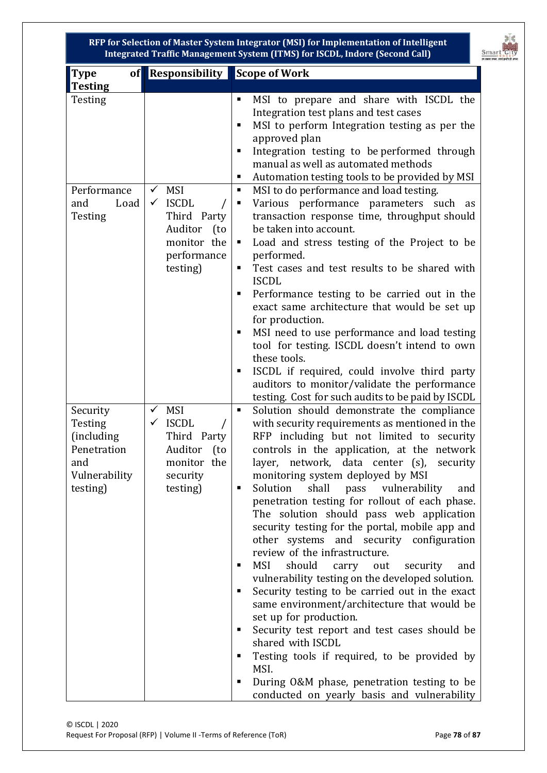

| of<br><b>Type</b>                                                                     | <b>Responsibility</b>                                                                                                                               | Scope of Work                                                                                                                                                                                                                                                                                                                                                                                                                                                                                                                                                                                                                                                                                                                                                                                                                                                                                                                                                                                                                                                   |  |  |  |  |  |
|---------------------------------------------------------------------------------------|-----------------------------------------------------------------------------------------------------------------------------------------------------|-----------------------------------------------------------------------------------------------------------------------------------------------------------------------------------------------------------------------------------------------------------------------------------------------------------------------------------------------------------------------------------------------------------------------------------------------------------------------------------------------------------------------------------------------------------------------------------------------------------------------------------------------------------------------------------------------------------------------------------------------------------------------------------------------------------------------------------------------------------------------------------------------------------------------------------------------------------------------------------------------------------------------------------------------------------------|--|--|--|--|--|
| <b>Testing</b>                                                                        |                                                                                                                                                     |                                                                                                                                                                                                                                                                                                                                                                                                                                                                                                                                                                                                                                                                                                                                                                                                                                                                                                                                                                                                                                                                 |  |  |  |  |  |
| Testing                                                                               |                                                                                                                                                     | MSI to prepare and share with ISCDL the<br>п<br>Integration test plans and test cases<br>MSI to perform Integration testing as per the<br>п<br>approved plan<br>Integration testing to be performed through<br>٠<br>manual as well as automated methods<br>п                                                                                                                                                                                                                                                                                                                                                                                                                                                                                                                                                                                                                                                                                                                                                                                                    |  |  |  |  |  |
| Performance<br>Load<br>and<br>Testing                                                 | <b>MSI</b><br>$\checkmark$<br><b>ISCDL</b><br>$\checkmark$<br>Third Party<br>Auditor<br>(t <sub>0</sub> )<br>monitor the<br>performance<br>testing) | Automation testing tools to be provided by MSI<br>MSI to do performance and load testing.<br>ш<br>Various performance parameters such as<br>٠<br>transaction response time, throughput should<br>be taken into account.<br>Load and stress testing of the Project to be<br>п<br>performed.<br>Test cases and test results to be shared with<br>٠<br><b>ISCDL</b><br>Performance testing to be carried out in the<br>٠<br>exact same architecture that would be set up<br>for production.<br>MSI need to use performance and load testing<br>tool for testing. ISCDL doesn't intend to own<br>these tools.<br>ISCDL if required, could involve third party<br>auditors to monitor/validate the performance<br>testing. Cost for such audits to be paid by ISCDL                                                                                                                                                                                                                                                                                                  |  |  |  |  |  |
| Security<br>Testing<br>(including)<br>Penetration<br>and<br>Vulnerability<br>testing) | <b>MSI</b><br>$\checkmark$<br><b>ISCDL</b><br>$\checkmark$<br>Third<br>Party<br>Auditor<br>(t <sub>0</sub> )<br>monitor the<br>security<br>testing) | Solution should demonstrate the compliance<br>٠<br>with security requirements as mentioned in the<br>RFP including but not limited to security<br>controls in the application, at the network<br>layer, network, data center (s),<br>security<br>monitoring system deployed by MSI<br>Solution<br>shall pass vulnerability<br>٠<br>and<br>penetration testing for rollout of each phase.<br>The solution should pass web application<br>security testing for the portal, mobile app and<br>other systems and security configuration<br>review of the infrastructure.<br><b>MSI</b><br>should<br>carry<br>security<br>out<br>and<br>п<br>vulnerability testing on the developed solution.<br>Security testing to be carried out in the exact<br>same environment/architecture that would be<br>set up for production.<br>Security test report and test cases should be<br>п<br>shared with ISCDL<br>Testing tools if required, to be provided by<br>п<br>MSI.<br>During O&M phase, penetration testing to be<br>٠<br>conducted on yearly basis and vulnerability |  |  |  |  |  |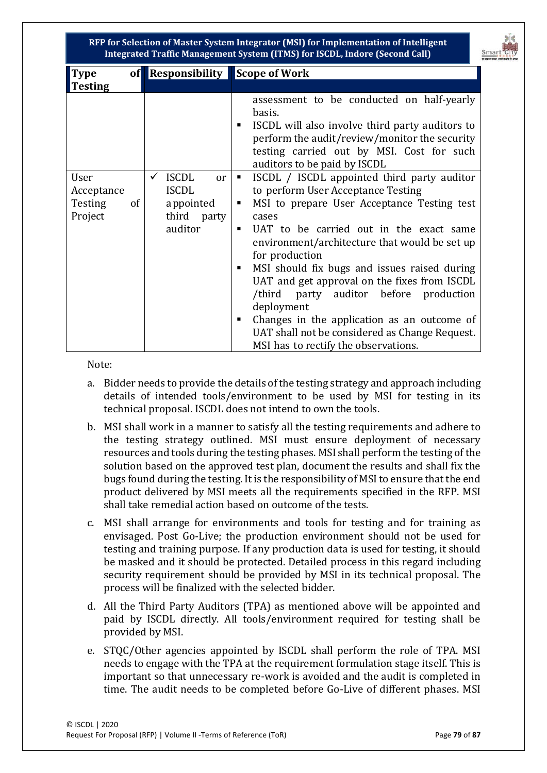

| $\blacksquare$ Type |    | of Responsibility Scope of Work               |                                                                                                                                                                                                                                           |
|---------------------|----|-----------------------------------------------|-------------------------------------------------------------------------------------------------------------------------------------------------------------------------------------------------------------------------------------------|
| <b>Testing</b>      |    |                                               |                                                                                                                                                                                                                                           |
|                     |    |                                               | assessment to be conducted on half-yearly<br>basis.<br>ISCDL will also involve third party auditors to<br>п<br>perform the audit/review/monitor the security<br>testing carried out by MSI. Cost for such<br>auditors to be paid by ISCDL |
| User                |    | <b>ISCDL</b><br>$\checkmark$<br><sub>or</sub> | ISCDL / ISCDL appointed third party auditor<br>$\blacksquare$                                                                                                                                                                             |
| Acceptance          |    | <b>ISCDL</b>                                  | to perform User Acceptance Testing                                                                                                                                                                                                        |
| <b>Testing</b>      | of | appointed                                     | MSI to prepare User Acceptance Testing test<br>٠                                                                                                                                                                                          |
| Project             |    | third party                                   | cases                                                                                                                                                                                                                                     |
|                     |    | auditor                                       | UAT to be carried out in the exact same                                                                                                                                                                                                   |
|                     |    |                                               | environment/architecture that would be set up<br>for production                                                                                                                                                                           |
|                     |    |                                               | MSI should fix bugs and issues raised during<br>٠                                                                                                                                                                                         |
|                     |    |                                               | UAT and get approval on the fixes from ISCDL                                                                                                                                                                                              |
|                     |    |                                               | /third party auditor before production                                                                                                                                                                                                    |
|                     |    |                                               | deployment                                                                                                                                                                                                                                |
|                     |    |                                               | Changes in the application as an outcome of<br>п                                                                                                                                                                                          |
|                     |    |                                               | UAT shall not be considered as Change Request.                                                                                                                                                                                            |
|                     |    |                                               | MSI has to rectify the observations.                                                                                                                                                                                                      |

Note:

- a. Bidder needs to provide the details of the testing strategy and approach including details of intended tools/environment to be used by MSI for testing in its technical proposal. ISCDL does not intend to own the tools.
- b. MSI shall work in a manner to satisfy all the testing requirements and adhere to the testing strategy outlined. MSI must ensure deployment of necessary resources and tools during the testing phases. MSI shall perform the testing of the solution based on the approved test plan, document the results and shall fix the bugs found during the testing. It is the responsibility of MSI to ensure that the end product delivered by MSI meets all the requirements specified in the RFP. MSI shall take remedial action based on outcome of the tests.
- c. MSI shall arrange for environments and tools for testing and for training as envisaged. Post Go-Live; the production environment should not be used for testing and training purpose. If any production data is used for testing, it should be masked and it should be protected. Detailed process in this regard including security requirement should be provided by MSI in its technical proposal. The process will be finalized with the selected bidder.
- d. All the Third Party Auditors (TPA) as mentioned above will be appointed and paid by ISCDL directly. All tools/environment required for testing shall be provided by MSI.
- e. STQC/Other agencies appointed by ISCDL shall perform the role of TPA. MSI needs to engage with the TPA at the requirement formulation stage itself. This is important so that unnecessary re-work is avoided and the audit is completed in time. The audit needs to be completed before Go-Live of different phases. MSI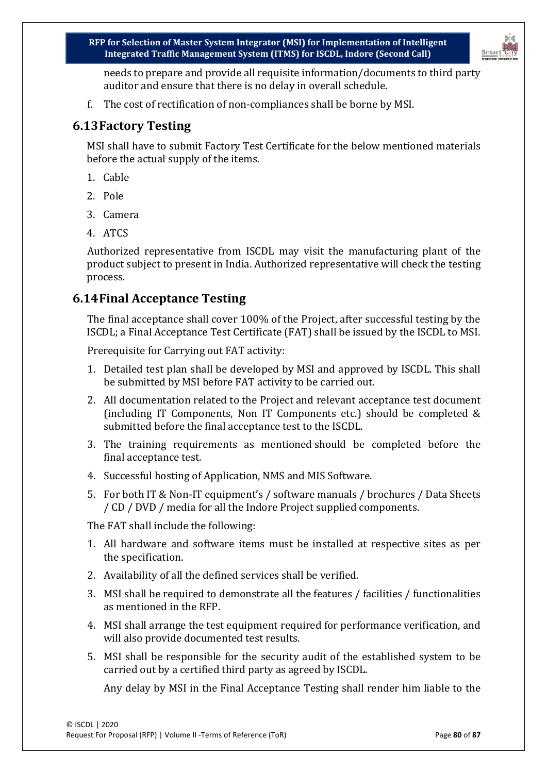

needs to prepare and provide all requisite information/documents to third party auditor and ensure that there is no delay in overall schedule.

f. The cost of rectification of non-compliances shall be borne by MSI.

## **6.13Factory Testing**

MSI shall have to submit Factory Test Certificate for the below mentioned materials before the actual supply of the items.

- 1. Cable
- 2. Pole
- 3. Camera
- 4. ATCS

Authorized representative from ISCDL may visit the manufacturing plant of the product subject to present in India. Authorized representative will check the testing process.

# **6.14Final Acceptance Testing**

The final acceptance shall cover 100% of the Project, after successful testing by the ISCDL; a Final Acceptance Test Certificate (FAT) shall be issued by the ISCDL to MSI.

Prerequisite for Carrying out FAT activity:

- 1. Detailed test plan shall be developed by MSI and approved by ISCDL. This shall be submitted by MSI before FAT activity to be carried out.
- 2. All documentation related to the Project and relevant acceptance test document (including IT Components, Non IT Components etc.) should be completed & submitted before the final acceptance test to the ISCDL.
- 3. The training requirements as mentioned should be completed before the final acceptance test.
- 4. Successful hosting of Application, NMS and MIS Software.
- 5. For both IT & Non-IT equipment's / software manuals / brochures / Data Sheets / CD / DVD / media for all the Indore Project supplied components.

The FAT shall include the following:

- 1. All hardware and software items must be installed at respective sites as per the specification.
- 2. Availability of all the defined services shall be verified.
- 3. MSI shall be required to demonstrate all the features / facilities / functionalities as mentioned in the RFP.
- 4. MSI shall arrange the test equipment required for performance verification, and will also provide documented test results.
- 5. MSI shall be responsible for the security audit of the established system to be carried out by a certified third party as agreed by ISCDL.

Any delay by MSI in the Final Acceptance Testing shall render him liable to the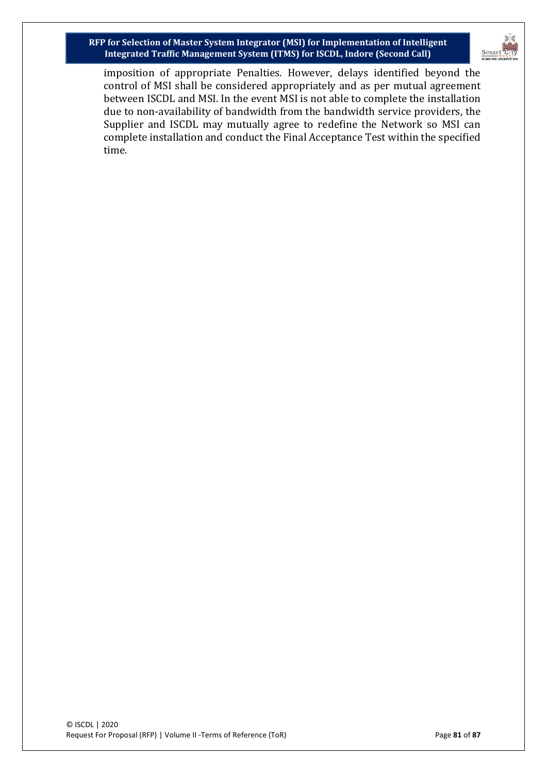

imposition of appropriate Penalties. However, delays identified beyond the control of MSI shall be considered appropriately and as per mutual agreement between ISCDL and MSI. In the event MSI is not able to complete the installation due to non-availability of bandwidth from the bandwidth service providers, the Supplier and ISCDL may mutually agree to redefine the Network so MSI can complete installation and conduct the Final Acceptance Test within the specified time.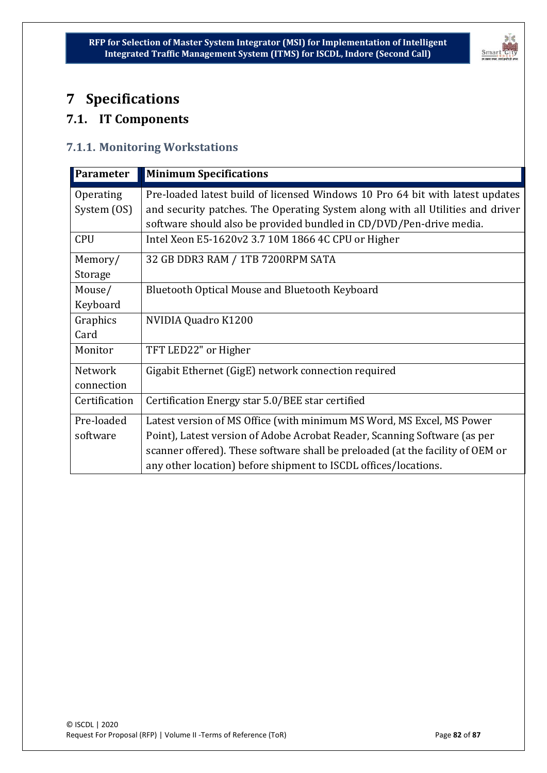

# **7 Specifications**

# **7.1. IT Components**

#### **7.1.1. Monitoring Workstations**

| Parameter                | <b>Minimum Specifications</b>                                                                                                                                   |
|--------------------------|-----------------------------------------------------------------------------------------------------------------------------------------------------------------|
| Operating<br>System (OS) | Pre-loaded latest build of licensed Windows 10 Pro 64 bit with latest updates<br>and security patches. The Operating System along with all Utilities and driver |
|                          | software should also be provided bundled in CD/DVD/Pen-drive media.                                                                                             |
| <b>CPU</b>               | Intel Xeon E5-1620v2 3.7 10M 1866 4C CPU or Higher                                                                                                              |
| Memory/                  | 32 GB DDR3 RAM / 1TB 7200RPM SATA                                                                                                                               |
| Storage                  |                                                                                                                                                                 |
| Mouse/                   | <b>Bluetooth Optical Mouse and Bluetooth Keyboard</b>                                                                                                           |
| Keyboard                 |                                                                                                                                                                 |
| Graphics                 | NVIDIA Quadro K1200                                                                                                                                             |
| Card                     |                                                                                                                                                                 |
| Monitor                  | TFT LED22" or Higher                                                                                                                                            |
| <b>Network</b>           | Gigabit Ethernet (GigE) network connection required                                                                                                             |
| connection               |                                                                                                                                                                 |
| Certification            | Certification Energy star 5.0/BEE star certified                                                                                                                |
| Pre-loaded               | Latest version of MS Office (with minimum MS Word, MS Excel, MS Power                                                                                           |
| software                 | Point), Latest version of Adobe Acrobat Reader, Scanning Software (as per                                                                                       |
|                          | scanner offered). These software shall be preloaded (at the facility of OEM or                                                                                  |
|                          | any other location) before shipment to ISCDL offices/locations.                                                                                                 |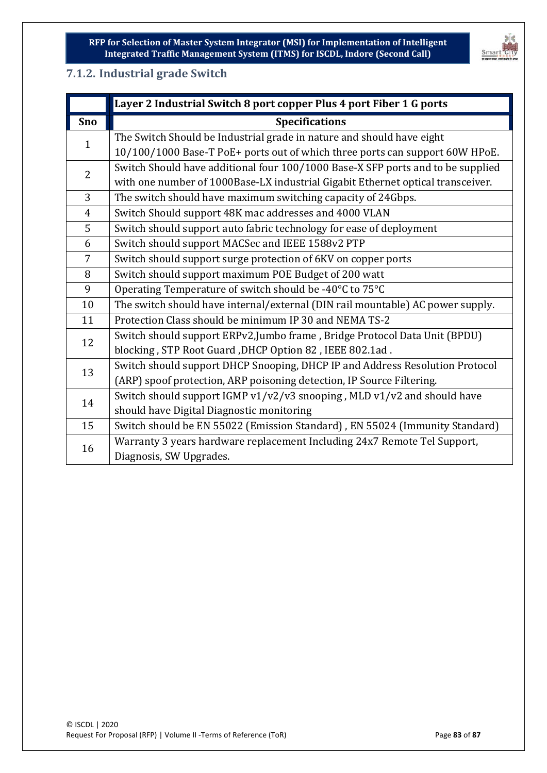

#### **7.1.2. Industrial grade Switch**

|                | Layer 2 Industrial Switch 8 port copper Plus 4 port Fiber 1 G ports             |
|----------------|---------------------------------------------------------------------------------|
| <b>Sno</b>     | <b>Specifications</b>                                                           |
| $\mathbf{1}$   | The Switch Should be Industrial grade in nature and should have eight           |
|                | 10/100/1000 Base-T PoE+ ports out of which three ports can support 60W HPoE.    |
| $\overline{2}$ | Switch Should have additional four 100/1000 Base-X SFP ports and to be supplied |
|                | with one number of 1000Base-LX industrial Gigabit Ethernet optical transceiver. |
| $\overline{3}$ | The switch should have maximum switching capacity of 24Gbps.                    |
| $\overline{4}$ | Switch Should support 48K mac addresses and 4000 VLAN                           |
| 5              | Switch should support auto fabric technology for ease of deployment             |
| 6              | Switch should support MACSec and IEEE 1588v2 PTP                                |
| $\overline{7}$ | Switch should support surge protection of 6KV on copper ports                   |
| 8              | Switch should support maximum POE Budget of 200 watt                            |
| 9              | Operating Temperature of switch should be -40°C to 75°C                         |
| 10             | The switch should have internal/external (DIN rail mountable) AC power supply.  |
| 11             | Protection Class should be minimum IP 30 and NEMA TS-2                          |
| 12             | Switch should support ERPv2, Jumbo frame, Bridge Protocol Data Unit (BPDU)      |
|                | blocking, STP Root Guard, DHCP Option 82, IEEE 802.1ad.                         |
| 13             | Switch should support DHCP Snooping, DHCP IP and Address Resolution Protocol    |
|                | (ARP) spoof protection, ARP poisoning detection, IP Source Filtering.           |
| 14             | Switch should support IGMP v1/v2/v3 snooping, MLD v1/v2 and should have         |
|                | should have Digital Diagnostic monitoring                                       |
| 15             | Switch should be EN 55022 (Emission Standard), EN 55024 (Immunity Standard)     |
| 16             | Warranty 3 years hardware replacement Including 24x7 Remote Tel Support,        |
|                | Diagnosis, SW Upgrades.                                                         |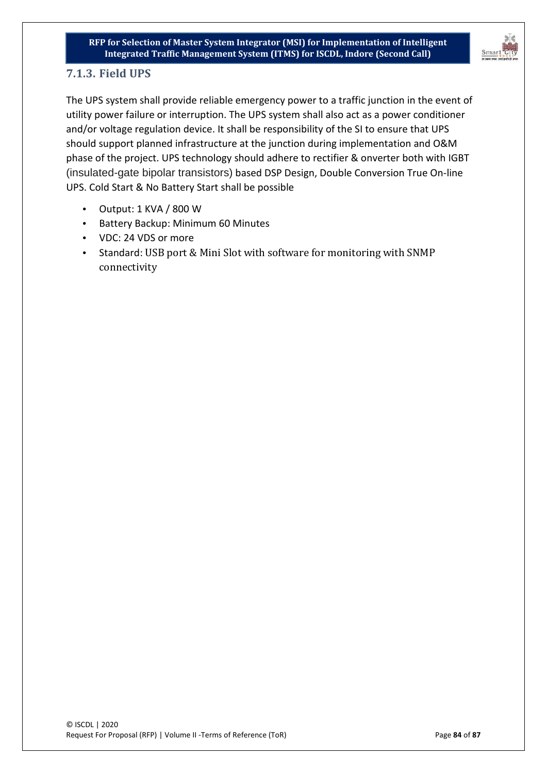

#### **7.1.3. Field UPS**

The UPS system shall provide reliable emergency power to a traffic junction in the event of utility power failure or interruption. The UPS system shall also act as a power conditioner and/or voltage regulation device. It shall be responsibility of the SI to ensure that UPS should support planned infrastructure at the junction during implementation and O&M phase of the project. UPS technology should adhere to rectifier & onverter both with IGBT (insulated-gate bipolar transistors) based DSP Design, Double Conversion True On-line UPS. Cold Start & No Battery Start shall be possible

- Output: 1 KVA / 800 W
- Battery Backup: Minimum 60 Minutes
- VDC: 24 VDS or more
- Standard: USB port & Mini Slot with software for monitoring with SNMP connectivity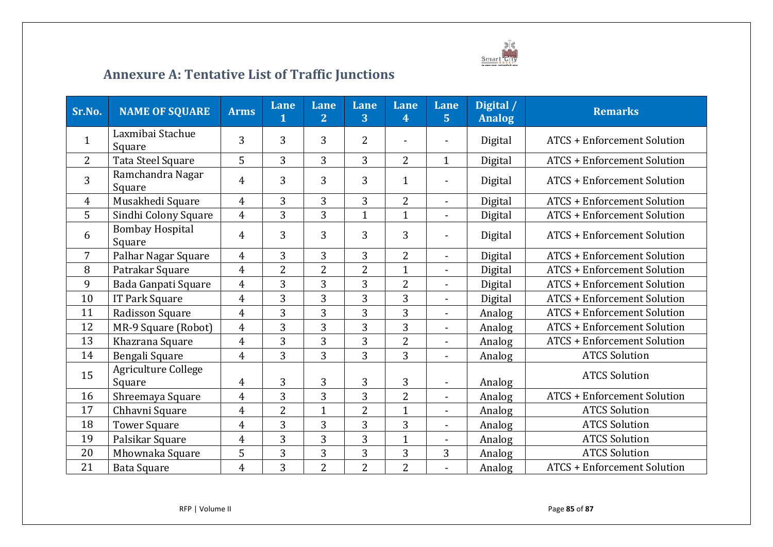

# **Annexure A: Tentative List of Traffic Junctions**

| Sr.No.         | <b>NAME OF SQUARE</b>            | <b>Arms</b>    | Lane<br>1      | Lane<br>$\overline{2}$ | Lane<br>3      | <b>Lane</b><br>4 | Lane<br>5 <sup>1</sup>   | Digital /<br><b>Analog</b> | <b>Remarks</b>                     |
|----------------|----------------------------------|----------------|----------------|------------------------|----------------|------------------|--------------------------|----------------------------|------------------------------------|
| $\mathbf{1}$   | Laxmibai Stachue<br>Square       | 3              | 3              | $\overline{3}$         | $\overline{2}$ |                  |                          | Digital                    | <b>ATCS + Enforcement Solution</b> |
| $\overline{2}$ | Tata Steel Square                | 5              | 3              | 3                      | 3              | $\overline{2}$   | $\mathbf{1}$             | Digital                    | <b>ATCS + Enforcement Solution</b> |
| 3              | Ramchandra Nagar<br>Square       | 4              | 3              | 3                      | 3              | $\mathbf{1}$     |                          | Digital                    | <b>ATCS + Enforcement Solution</b> |
| $\overline{4}$ | Musakhedi Square                 | $\overline{4}$ | 3              | 3                      | 3              | $\overline{2}$   | $\blacksquare$           | Digital                    | <b>ATCS + Enforcement Solution</b> |
| 5              | Sindhi Colony Square             | $\overline{4}$ | 3              | 3                      | $\mathbf{1}$   | $\mathbf{1}$     | $\overline{a}$           | Digital                    | <b>ATCS + Enforcement Solution</b> |
| 6              | <b>Bombay Hospital</b><br>Square | $\overline{4}$ | 3              | 3                      | 3              | 3                |                          | Digital                    | <b>ATCS + Enforcement Solution</b> |
| 7              | Palhar Nagar Square              | $\overline{4}$ | 3              | 3                      | 3              | $\overline{2}$   | $\overline{\phantom{a}}$ | Digital                    | <b>ATCS + Enforcement Solution</b> |
| 8              | Patrakar Square                  | $\overline{4}$ | $\overline{2}$ | $\overline{2}$         | $\overline{2}$ | $\overline{1}$   | $\overline{\phantom{a}}$ | Digital                    | <b>ATCS + Enforcement Solution</b> |
| 9              | Bada Ganpati Square              | $\overline{4}$ | 3              | 3                      | 3              | $\overline{2}$   |                          | Digital                    | <b>ATCS + Enforcement Solution</b> |
| 10             | <b>IT Park Square</b>            | $\overline{4}$ | 3              | 3                      | 3              | 3                |                          | Digital                    | <b>ATCS + Enforcement Solution</b> |
| 11             | Radisson Square                  | $\overline{4}$ | 3              | 3                      | 3              | 3                | $\blacksquare$           | Analog                     | <b>ATCS + Enforcement Solution</b> |
| 12             | MR-9 Square (Robot)              | $\overline{4}$ | 3              | 3                      | 3              | 3                | $\overline{\phantom{a}}$ | Analog                     | <b>ATCS + Enforcement Solution</b> |
| 13             | Khazrana Square                  | $\overline{4}$ | 3              | 3                      | 3              | $\overline{2}$   | $\overline{a}$           | Analog                     | <b>ATCS + Enforcement Solution</b> |
| 14             | Bengali Square                   | $\overline{4}$ | 3              | 3                      | 3              | $\overline{3}$   |                          | Analog                     | <b>ATCS Solution</b>               |
| 15             | Agriculture College<br>Square    | 4              | 3              | 3                      | 3              | 3                | $\overline{\phantom{a}}$ | Analog                     | <b>ATCS Solution</b>               |
| 16             | Shreemaya Square                 | $\overline{4}$ | 3              | 3                      | 3              | $\overline{2}$   |                          | Analog                     | <b>ATCS + Enforcement Solution</b> |
| 17             | Chhavni Square                   | $\overline{4}$ | $\overline{2}$ | $\mathbf{1}$           | $\overline{2}$ | $\mathbf{1}$     |                          | Analog                     | <b>ATCS Solution</b>               |
| 18             | <b>Tower Square</b>              | $\overline{4}$ | 3              | 3                      | 3              | 3                | $\blacksquare$           | Analog                     | <b>ATCS Solution</b>               |
| 19             | Palsikar Square                  | 4              | 3              | 3                      | 3              | $\mathbf{1}$     |                          | Analog                     | <b>ATCS Solution</b>               |
| 20             | Mhownaka Square                  | 5              | 3              | 3                      | 3              | 3                | 3                        | Analog                     | <b>ATCS Solution</b>               |
| 21             | <b>Bata Square</b>               | 4              | 3              | 2                      | $\overline{2}$ | $\overline{2}$   |                          | Analog                     | <b>ATCS + Enforcement Solution</b> |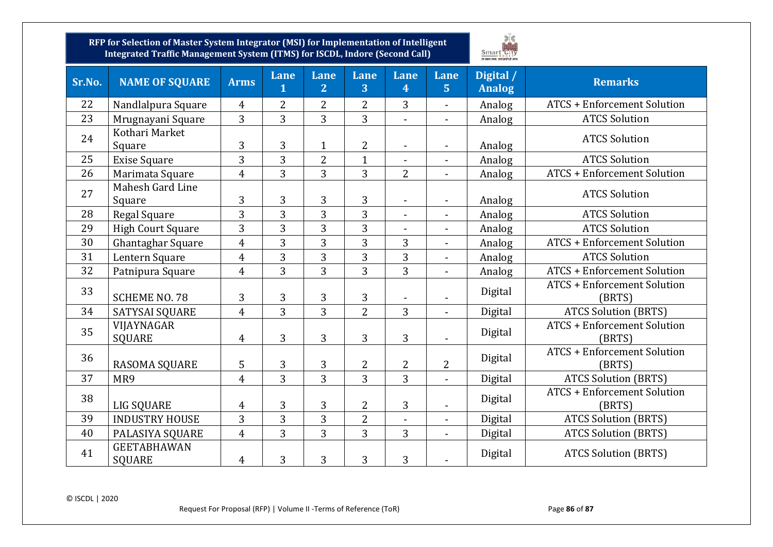

| Sr.No. | <b>NAME OF SQUARE</b>               | <b>Arms</b>    | <b>Lane</b><br>$\overline{1}$ | Lane<br>$\overline{2}$ | Lane<br>3      | Lane<br>4                    | Lane<br>5 <sup>1</sup>   | Digital /<br><b>Analog</b> | <b>Remarks</b>                               |
|--------|-------------------------------------|----------------|-------------------------------|------------------------|----------------|------------------------------|--------------------------|----------------------------|----------------------------------------------|
| 22     | Nandlalpura Square                  | $\overline{4}$ | $\overline{2}$                | $\overline{2}$         | $\overline{2}$ | 3                            | ÷.                       | Analog                     | <b>ATCS + Enforcement Solution</b>           |
| 23     | Mrugnayani Square                   | 3              | $\overline{3}$                | $\overline{3}$         | $\overline{3}$ | $\overline{a}$               | $\overline{\phantom{0}}$ | Analog                     | <b>ATCS Solution</b>                         |
| 24     | Kothari Market<br>Square            | 3              | 3                             | $\mathbf{1}$           | $\overline{2}$ |                              |                          | Analog                     | <b>ATCS Solution</b>                         |
| 25     | <b>Exise Square</b>                 | 3              | 3                             | $\overline{2}$         | $\mathbf{1}$   | $\qquad \qquad \blacksquare$ | $\overline{\phantom{a}}$ | Analog                     | <b>ATCS Solution</b>                         |
| 26     | Marimata Square                     | $\overline{4}$ | 3                             | $\overline{3}$         | $\overline{3}$ | $\overline{2}$               | $\overline{\phantom{0}}$ | Analog                     | <b>ATCS + Enforcement Solution</b>           |
| 27     | Mahesh Gard Line<br>Square          | 3              | 3                             | 3                      | 3              | $\frac{1}{2}$                | $\overline{\phantom{0}}$ | Analog                     | <b>ATCS Solution</b>                         |
| 28     | Regal Square                        | 3              | 3                             | $\overline{3}$         | $\overline{3}$ |                              |                          | Analog                     | <b>ATCS Solution</b>                         |
| 29     | <b>High Court Square</b>            | 3              | 3                             | 3                      | 3              | $\overline{\phantom{0}}$     | $\overline{\phantom{0}}$ | Analog                     | <b>ATCS Solution</b>                         |
| 30     | Ghantaghar Square                   | $\overline{4}$ | 3                             | 3                      | $\overline{3}$ | $\overline{3}$               |                          | Analog                     | <b>ATCS + Enforcement Solution</b>           |
| 31     | Lentern Square                      | $\overline{4}$ | 3                             | 3                      | $\overline{3}$ | 3                            | $\blacksquare$           | Analog                     | <b>ATCS Solution</b>                         |
| 32     | Patnipura Square                    | $\overline{4}$ | 3                             | $\overline{3}$         | $\overline{3}$ | $\overline{3}$               | $\blacksquare$           | Analog                     | <b>ATCS + Enforcement Solution</b>           |
| 33     | <b>SCHEME NO. 78</b>                | 3              | 3                             | 3                      | $\overline{3}$ |                              | $\overline{\phantom{0}}$ | Digital                    | <b>ATCS + Enforcement Solution</b><br>(BRTS) |
| 34     | SATYSAI SQUARE                      | $\overline{4}$ | 3                             | $\overline{3}$         | $\overline{2}$ | 3                            |                          | Digital                    | <b>ATCS Solution (BRTS)</b>                  |
| 35     | VIJAYNAGAR<br><b>SQUARE</b>         | $\overline{4}$ | 3                             | $\overline{3}$         | $\overline{3}$ | $\overline{3}$               | $\overline{a}$           | Digital                    | <b>ATCS + Enforcement Solution</b><br>(BRTS) |
| 36     | RASOMA SQUARE                       | 5              | 3                             | 3                      | $\overline{2}$ | $\overline{2}$               | $\overline{2}$           | Digital                    | <b>ATCS + Enforcement Solution</b><br>(BRTS) |
| 37     | MR9                                 | $\overline{4}$ | $\overline{3}$                | $\overline{3}$         | $\overline{3}$ | $\overline{3}$               | $\overline{\phantom{0}}$ | Digital                    | <b>ATCS Solution (BRTS)</b>                  |
| 38     | LIG SQUARE                          | $\overline{4}$ | 3                             | $\overline{3}$         | $\overline{2}$ | $\overline{3}$               |                          | Digital                    | <b>ATCS + Enforcement Solution</b><br>(BRTS) |
| 39     | <b>INDUSTRY HOUSE</b>               | $\overline{3}$ | 3                             | $\overline{3}$         | $\overline{2}$ | $\overline{a}$               | $\overline{\phantom{0}}$ | Digital                    | <b>ATCS Solution (BRTS)</b>                  |
| 40     | PALASIYA SQUARE                     | $\overline{4}$ | 3                             | $\overline{3}$         | $\overline{3}$ | $\overline{3}$               | $\overline{\phantom{0}}$ | Digital                    | <b>ATCS Solution (BRTS)</b>                  |
| 41     | <b>GEETABHAWAN</b><br><b>SQUARE</b> | $\overline{4}$ | 3                             | 3                      | $\overline{3}$ | 3                            | $\overline{\phantom{0}}$ | Digital                    | <b>ATCS Solution (BRTS)</b>                  |

© ISCDL | 2020

Request For Proposal (RFP) | Volume II -Terms of Reference (ToR) Page 86 of 87